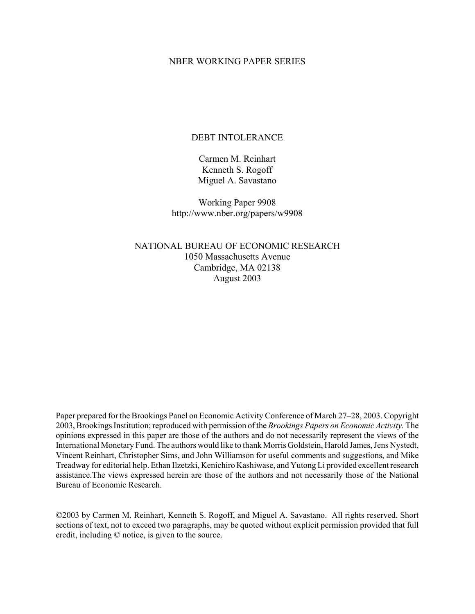## NBER WORKING PAPER SERIES

## DEBT INTOLERANCE

Carmen M. Reinhart Kenneth S. Rogoff Miguel A. Savastano

Working Paper 9908 http://www.nber.org/papers/w9908

## NATIONAL BUREAU OF ECONOMIC RESEARCH 1050 Massachusetts Avenue Cambridge, MA 02138 August 2003

Paper prepared for the Brookings Panel on Economic Activity Conference of March 27–28, 2003. Copyright 2003, Brookings Institution; reproduced with permission of the *Brookings Papers on Economic Activity.* The opinions expressed in this paper are those of the authors and do not necessarily represent the views of the International Monetary Fund. The authors would like to thank Morris Goldstein, Harold James, Jens Nystedt, Vincent Reinhart, Christopher Sims, and John Williamson for useful comments and suggestions, and Mike Treadway for editorial help. Ethan Ilzetzki, Kenichiro Kashiwase, and Yutong Li provided excellent research assistance.The views expressed herein are those of the authors and not necessarily those of the National Bureau of Economic Research.

©2003 by Carmen M. Reinhart, Kenneth S. Rogoff, and Miguel A. Savastano. All rights reserved. Short sections of text, not to exceed two paragraphs, may be quoted without explicit permission provided that full credit, including © notice, is given to the source.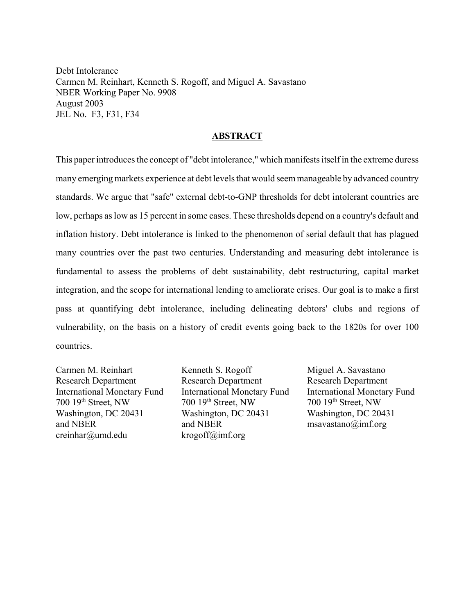Debt Intolerance Carmen M. Reinhart, Kenneth S. Rogoff, and Miguel A. Savastano NBER Working Paper No. 9908 August 2003 JEL No. F3, F31, F34

## **ABSTRACT**

This paper introduces the concept of "debt intolerance," which manifests itself in the extreme duress many emerging markets experience at debt levels that would seem manageable by advanced country standards. We argue that "safe" external debt-to-GNP thresholds for debt intolerant countries are low, perhaps as low as 15 percent in some cases. These thresholds depend on a country's default and inflation history. Debt intolerance is linked to the phenomenon of serial default that has plagued many countries over the past two centuries. Understanding and measuring debt intolerance is fundamental to assess the problems of debt sustainability, debt restructuring, capital market integration, and the scope for international lending to ameliorate crises. Our goal is to make a first pass at quantifying debt intolerance, including delineating debtors' clubs and regions of vulnerability, on the basis on a history of credit events going back to the 1820s for over 100 countries.

Research Department Research Department Research Department Research Department International Monetary Fund International Monetary Fund International Monetary Fund 700 19th Street, NW 700 19th Street, NW 700 19th Street, NW Washington, DC 20431 Washington, DC 20431 Washington, DC 20431 and NBER and NBER msavastano@imf.org creinhar@umd.edu krogoff@imf.org

Carmen M. Reinhart Kenneth S. Rogoff Miguel A. Savastano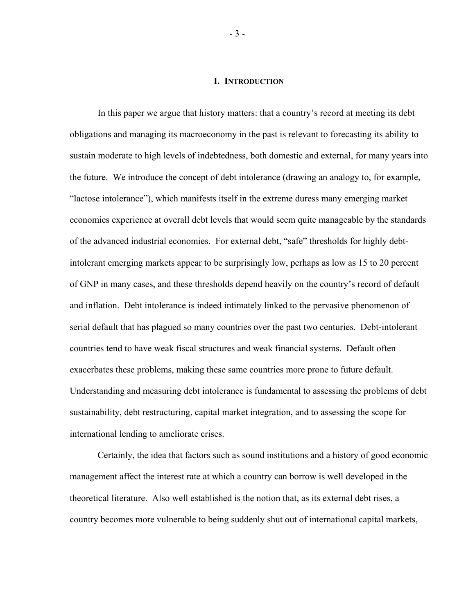#### **I. INTRODUCTION**

In this paper we argue that history matters: that a country's record at meeting its debt obligations and managing its macroeconomy in the past is relevant to forecasting its ability to sustain moderate to high levels of indebtedness, both domestic and external, for many years into the future. We introduce the concept of debt intolerance (drawing an analogy to, for example, "lactose intolerance"), which manifests itself in the extreme duress many emerging market economies experience at overall debt levels that would seem quite manageable by the standards of the advanced industrial economies. For external debt, "safe" thresholds for highly debtintolerant emerging markets appear to be surprisingly low, perhaps as low as 15 to 20 percent of GNP in many cases, and these thresholds depend heavily on the country's record of default and inflation. Debt intolerance is indeed intimately linked to the pervasive phenomenon of serial default that has plagued so many countries over the past two centuries. Debt-intolerant countries tend to have weak fiscal structures and weak financial systems. Default often exacerbates these problems, making these same countries more prone to future default. Understanding and measuring debt intolerance is fundamental to assessing the problems of debt sustainability, debt restructuring, capital market integration, and to assessing the scope for international lending to ameliorate crises.

 Certainly, the idea that factors such as sound institutions and a history of good economic management affect the interest rate at which a country can borrow is well developed in the theoretical literature. Also well established is the notion that, as its external debt rises, a country becomes more vulnerable to being suddenly shut out of international capital markets,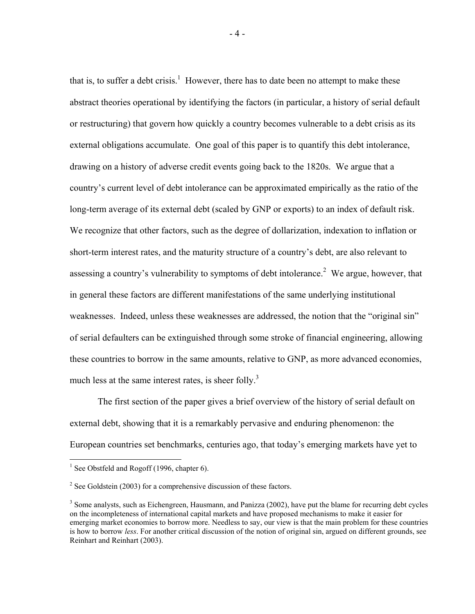that is, to suffer a debt crisis.<sup>1</sup> However, there has to date been no attempt to make these abstract theories operational by identifying the factors (in particular, a history of serial default or restructuring) that govern how quickly a country becomes vulnerable to a debt crisis as its external obligations accumulate. One goal of this paper is to quantify this debt intolerance, drawing on a history of adverse credit events going back to the 1820s. We argue that a country's current level of debt intolerance can be approximated empirically as the ratio of the long-term average of its external debt (scaled by GNP or exports) to an index of default risk. We recognize that other factors, such as the degree of dollarization, indexation to inflation or short-term interest rates, and the maturity structure of a country's debt, are also relevant to assessing a country's vulnerability to symptoms of debt intolerance.<sup>2</sup> We argue, however, that in general these factors are different manifestations of the same underlying institutional weaknesses. Indeed, unless these weaknesses are addressed, the notion that the "original sin" of serial defaulters can be extinguished through some stroke of financial engineering, allowing these countries to borrow in the same amounts, relative to GNP, as more advanced economies, much less at the same interest rates, is sheer folly.<sup>3</sup>

The first section of the paper gives a brief overview of the history of serial default on external debt, showing that it is a remarkably pervasive and enduring phenomenon: the European countries set benchmarks, centuries ago, that today's emerging markets have yet to

<sup>&</sup>lt;sup>1</sup> See Obstfeld and Rogoff (1996, chapter 6).

 $2^2$  See Goldstein (2003) for a comprehensive discussion of these factors.

<sup>&</sup>lt;sup>3</sup> Some analysts, such as Eichengreen, Hausmann, and Panizza (2002), have put the blame for recurring debt cycles on the incompleteness of international capital markets and have proposed mechanisms to make it easier for emerging market economies to borrow more. Needless to say, our view is that the main problem for these countries is how to borrow *less*. For another critical discussion of the notion of original sin, argued on different grounds, see Reinhart and Reinhart (2003).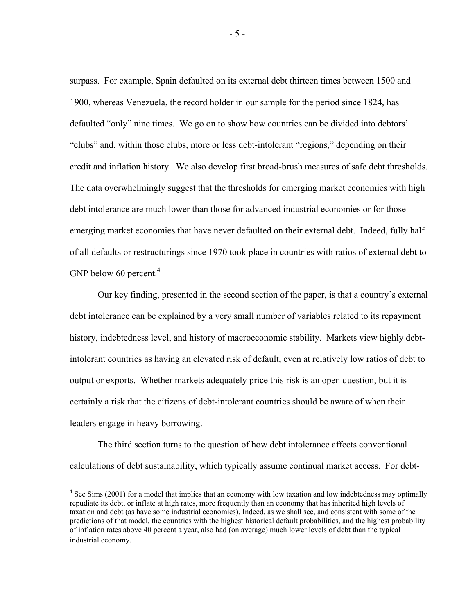surpass. For example, Spain defaulted on its external debt thirteen times between 1500 and 1900, whereas Venezuela, the record holder in our sample for the period since 1824, has defaulted "only" nine times. We go on to show how countries can be divided into debtors' "clubs" and, within those clubs, more or less debt-intolerant "regions," depending on their credit and inflation history. We also develop first broad-brush measures of safe debt thresholds. The data overwhelmingly suggest that the thresholds for emerging market economies with high debt intolerance are much lower than those for advanced industrial economies or for those emerging market economies that have never defaulted on their external debt. Indeed, fully half of all defaults or restructurings since 1970 took place in countries with ratios of external debt to GNP below 60 percent. $4$ 

Our key finding, presented in the second section of the paper, is that a country's external debt intolerance can be explained by a very small number of variables related to its repayment history, indebtedness level, and history of macroeconomic stability. Markets view highly debtintolerant countries as having an elevated risk of default, even at relatively low ratios of debt to output or exports. Whether markets adequately price this risk is an open question, but it is certainly a risk that the citizens of debt-intolerant countries should be aware of when their leaders engage in heavy borrowing.

The third section turns to the question of how debt intolerance affects conventional calculations of debt sustainability, which typically assume continual market access. For debt-

1

 $-5 -$ 

<sup>&</sup>lt;sup>4</sup> See Sims (2001) for a model that implies that an economy with low taxation and low indebtedness may optimally repudiate its debt, or inflate at high rates, more frequently than an economy that has inherited high levels of taxation and debt (as have some industrial economies). Indeed, as we shall see, and consistent with some of the predictions of that model, the countries with the highest historical default probabilities, and the highest probability of inflation rates above 40 percent a year, also had (on average) much lower levels of debt than the typical industrial economy.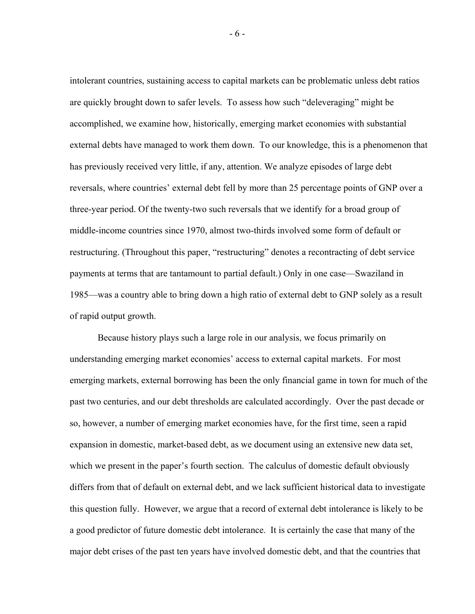intolerant countries, sustaining access to capital markets can be problematic unless debt ratios are quickly brought down to safer levels. To assess how such "deleveraging" might be accomplished, we examine how, historically, emerging market economies with substantial external debts have managed to work them down. To our knowledge, this is a phenomenon that has previously received very little, if any, attention. We analyze episodes of large debt reversals, where countries' external debt fell by more than 25 percentage points of GNP over a three-year period. Of the twenty-two such reversals that we identify for a broad group of middle-income countries since 1970, almost two-thirds involved some form of default or restructuring. (Throughout this paper, "restructuring" denotes a recontracting of debt service payments at terms that are tantamount to partial default.) Only in one case—Swaziland in 1985—was a country able to bring down a high ratio of external debt to GNP solely as a result of rapid output growth.

Because history plays such a large role in our analysis, we focus primarily on understanding emerging market economies' access to external capital markets. For most emerging markets, external borrowing has been the only financial game in town for much of the past two centuries, and our debt thresholds are calculated accordingly. Over the past decade or so, however, a number of emerging market economies have, for the first time, seen a rapid expansion in domestic, market-based debt, as we document using an extensive new data set, which we present in the paper's fourth section. The calculus of domestic default obviously differs from that of default on external debt, and we lack sufficient historical data to investigate this question fully. However, we argue that a record of external debt intolerance is likely to be a good predictor of future domestic debt intolerance. It is certainly the case that many of the major debt crises of the past ten years have involved domestic debt, and that the countries that

- 6 -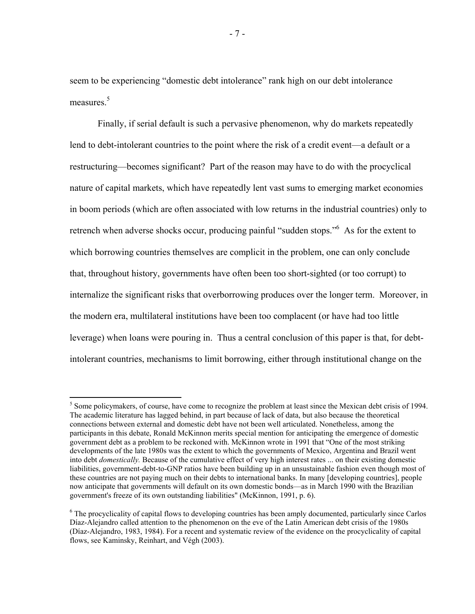seem to be experiencing "domestic debt intolerance" rank high on our debt intolerance measures<sup>5</sup>

Finally, if serial default is such a pervasive phenomenon, why do markets repeatedly lend to debt-intolerant countries to the point where the risk of a credit event—a default or a restructuring—becomes significant? Part of the reason may have to do with the procyclical nature of capital markets, which have repeatedly lent vast sums to emerging market economies in boom periods (which are often associated with low returns in the industrial countries) only to retrench when adverse shocks occur, producing painful "sudden stops."<sup>6</sup> As for the extent to which borrowing countries themselves are complicit in the problem, one can only conclude that, throughout history, governments have often been too short-sighted (or too corrupt) to internalize the significant risks that overborrowing produces over the longer term. Moreover, in the modern era, multilateral institutions have been too complacent (or have had too little leverage) when loans were pouring in. Thus a central conclusion of this paper is that, for debtintolerant countries, mechanisms to limit borrowing, either through institutional change on the

<sup>&</sup>lt;sup>5</sup> Some policymakers, of course, have come to recognize the problem at least since the Mexican debt crisis of 1994. The academic literature has lagged behind, in part because of lack of data, but also because the theoretical connections between external and domestic debt have not been well articulated. Nonetheless, among the participants in this debate, Ronald McKinnon merits special mention for anticipating the emergence of domestic government debt as a problem to be reckoned with. McKinnon wrote in 1991 that "One of the most striking developments of the late 1980s was the extent to which the governments of Mexico, Argentina and Brazil went into debt *domestically.* Because of the cumulative effect of very high interest rates ... on their existing domestic liabilities, government-debt-to-GNP ratios have been building up in an unsustainable fashion even though most of these countries are not paying much on their debts to international banks. In many [developing countries], people now anticipate that governments will default on its own domestic bonds—as in March 1990 with the Brazilian government's freeze of its own outstanding liabilities" (McKinnon, 1991, p. 6).

<sup>&</sup>lt;sup>6</sup> The procyclicality of capital flows to developing countries has been amply documented, particularly since Carlos Díaz-Alejandro called attention to the phenomenon on the eve of the Latin American debt crisis of the 1980s (Díaz-Alejandro, 1983, 1984). For a recent and systematic review of the evidence on the procyclicality of capital flows, see Kaminsky, Reinhart, and Végh (2003).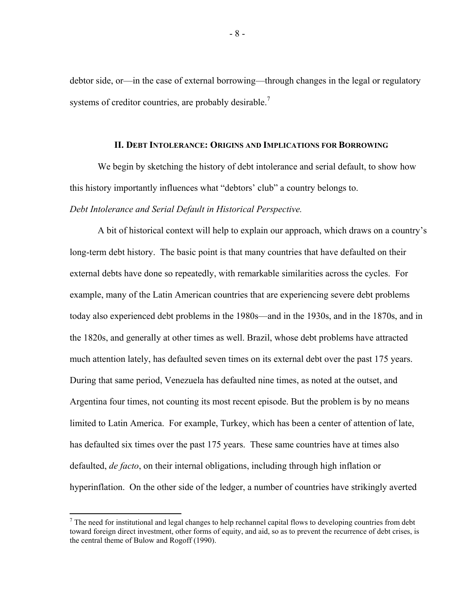debtor side, or—in the case of external borrowing—through changes in the legal or regulatory systems of creditor countries, are probably desirable.<sup>7</sup>

## **II. DEBT INTOLERANCE: ORIGINS AND IMPLICATIONS FOR BORROWING**

We begin by sketching the history of debt intolerance and serial default, to show how this history importantly influences what "debtors' club" a country belongs to. *Debt Intolerance and Serial Default in Historical Perspective.*

A bit of historical context will help to explain our approach, which draws on a country's long-term debt history. The basic point is that many countries that have defaulted on their external debts have done so repeatedly, with remarkable similarities across the cycles. For example, many of the Latin American countries that are experiencing severe debt problems today also experienced debt problems in the 1980s—and in the 1930s, and in the 1870s, and in the 1820s, and generally at other times as well. Brazil, whose debt problems have attracted much attention lately, has defaulted seven times on its external debt over the past 175 years. During that same period, Venezuela has defaulted nine times, as noted at the outset, and Argentina four times, not counting its most recent episode. But the problem is by no means limited to Latin America. For example, Turkey, which has been a center of attention of late, has defaulted six times over the past 175 years. These same countries have at times also defaulted, *de facto*, on their internal obligations, including through high inflation or hyperinflation. On the other side of the ledger, a number of countries have strikingly averted

 $<sup>7</sup>$  The need for institutional and legal changes to help rechannel capital flows to developing countries from debt</sup> toward foreign direct investment, other forms of equity, and aid, so as to prevent the recurrence of debt crises, is the central theme of Bulow and Rogoff (1990).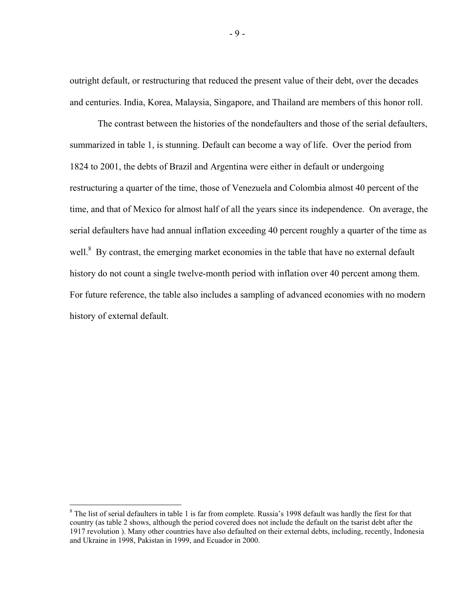outright default, or restructuring that reduced the present value of their debt, over the decades and centuries. India, Korea, Malaysia, Singapore, and Thailand are members of this honor roll.

The contrast between the histories of the nondefaulters and those of the serial defaulters, summarized in table 1, is stunning. Default can become a way of life. Over the period from 1824 to 2001, the debts of Brazil and Argentina were either in default or undergoing restructuring a quarter of the time, those of Venezuela and Colombia almost 40 percent of the time, and that of Mexico for almost half of all the years since its independence. On average, the serial defaulters have had annual inflation exceeding 40 percent roughly a quarter of the time as well.<sup>8</sup> By contrast, the emerging market economies in the table that have no external default history do not count a single twelve-month period with inflation over 40 percent among them. For future reference, the table also includes a sampling of advanced economies with no modern history of external default.

1

 $- 9 -$ 

 $8$  The list of serial defaulters in table 1 is far from complete. Russia's 1998 default was hardly the first for that country (as table 2 shows, although the period covered does not include the default on the tsarist debt after the 1917 revolution ). Many other countries have also defaulted on their external debts, including, recently, Indonesia and Ukraine in 1998, Pakistan in 1999, and Ecuador in 2000.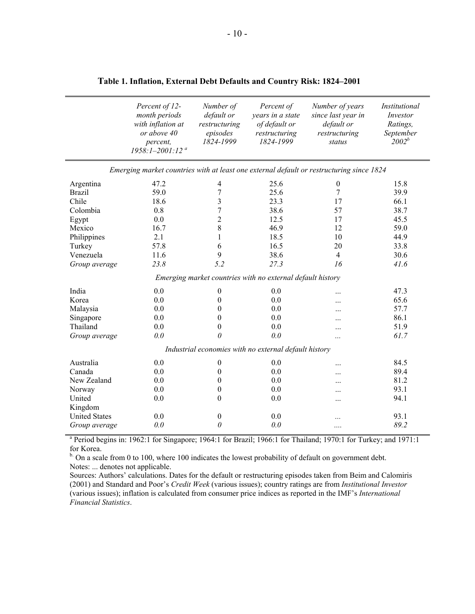|                      | Percent of 12-<br>month periods<br>with inflation at<br>or above 40<br>percent,<br>1958:1-2001:12 <sup>a</sup> | Number of<br>default or<br>restructuring<br>episodes<br>1824-1999 | Percent of<br>years in a state<br>of default or<br>restructuring<br>1824-1999 | Number of years<br>since last year in<br>default or<br>restructuring<br>status | <i>Institutional</i><br>Investor<br>Ratings,<br>September<br>$2002^b$ |
|----------------------|----------------------------------------------------------------------------------------------------------------|-------------------------------------------------------------------|-------------------------------------------------------------------------------|--------------------------------------------------------------------------------|-----------------------------------------------------------------------|
|                      | Emerging market countries with at least one external default or restructuring since 1824                       |                                                                   |                                                                               |                                                                                |                                                                       |
| Argentina            | 47.2                                                                                                           | 4                                                                 | 25.6                                                                          | $\mathbf{0}$                                                                   | 15.8                                                                  |
| <b>Brazil</b>        | 59.0                                                                                                           | 7                                                                 | 25.6                                                                          | 7                                                                              | 39.9                                                                  |
| Chile                | 18.6                                                                                                           | 3                                                                 | 23.3                                                                          | 17                                                                             | 66.1                                                                  |
| Colombia             | 0.8                                                                                                            | 7                                                                 | 38.6                                                                          | 57                                                                             | 38.7                                                                  |
| Egypt                | 0.0                                                                                                            | $\overline{2}$                                                    | 12.5                                                                          | 17                                                                             | 45.5                                                                  |
| Mexico               | 16.7                                                                                                           | 8                                                                 | 46.9                                                                          | 12                                                                             | 59.0                                                                  |
| Philippines          | 2.1                                                                                                            | 1                                                                 | 18.5                                                                          | 10                                                                             | 44.9                                                                  |
| Turkey               | 57.8                                                                                                           | 6                                                                 | 16.5                                                                          | 20                                                                             | 33.8                                                                  |
| Venezuela            | 11.6                                                                                                           | 9                                                                 | 38.6                                                                          | $\overline{4}$                                                                 | 30.6                                                                  |
| Group average        | 23.8                                                                                                           | 5.2                                                               | 27.3                                                                          | 16                                                                             | 41.6                                                                  |
|                      |                                                                                                                |                                                                   | Emerging market countries with no external default history                    |                                                                                |                                                                       |
| India                | 0.0                                                                                                            | $\theta$                                                          | 0.0                                                                           | .                                                                              | 47.3                                                                  |
| Korea                | 0.0                                                                                                            | 0                                                                 | 0.0                                                                           | .                                                                              | 65.6                                                                  |
| Malaysia             | 0.0                                                                                                            | $\theta$                                                          | 0.0                                                                           | .                                                                              | 57.7                                                                  |
| Singapore            | 0.0                                                                                                            | $\boldsymbol{0}$                                                  | 0.0                                                                           | .                                                                              | 86.1                                                                  |
| Thailand             | 0.0                                                                                                            | $\boldsymbol{0}$                                                  | 0.0                                                                           | .                                                                              | 51.9                                                                  |
| Group average        | 0.0                                                                                                            | $\theta$                                                          | 0.0                                                                           | $\ddotsc$                                                                      | 61.7                                                                  |
|                      |                                                                                                                |                                                                   | Industrial economies with no external default history                         |                                                                                |                                                                       |
| Australia            | 0.0                                                                                                            | $\boldsymbol{0}$                                                  | 0.0                                                                           |                                                                                | 84.5                                                                  |
| Canada               | 0.0                                                                                                            | 0                                                                 | 0.0                                                                           | .<br>$\ddotsc$                                                                 | 89.4                                                                  |
| New Zealand          | 0.0                                                                                                            | 0                                                                 | 0.0                                                                           | .                                                                              | 81.2                                                                  |
| Norway               | 0.0                                                                                                            | 0                                                                 | 0.0                                                                           |                                                                                | 93.1                                                                  |
| United               | 0.0                                                                                                            | $\Omega$                                                          | 0.0                                                                           | $\ddotsc$                                                                      | 94.1                                                                  |
| Kingdom              |                                                                                                                |                                                                   |                                                                               |                                                                                |                                                                       |
| <b>United States</b> | 0.0                                                                                                            | $\boldsymbol{0}$                                                  | 0.0                                                                           | $\cdots$                                                                       | 93.1                                                                  |
| Group average        | 0.0                                                                                                            | 0                                                                 | 0.0                                                                           | $\cdots$                                                                       | 89.2                                                                  |

#### **Table 1. Inflation, External Debt Defaults and Country Risk: 1824–2001**

<sup>a</sup> Period begins in: 1962:1 for Singapore; 1964:1 for Brazil; 1966:1 for Thailand; 1970:1 for Turkey; and 1971:1 for Korea.

<sup>b.</sup> On a scale from 0 to 100, where 100 indicates the lowest probability of default on government debt. Notes: ... denotes not applicable.

Sources: Authors' calculations. Dates for the default or restructuring episodes taken from Beim and Calomiris (2001) and Standard and Poor's *Credit Week* (various issues); country ratings are from *Institutional Investor* (various issues); inflation is calculated from consumer price indices as reported in the IMF's *International Financial Statistics*.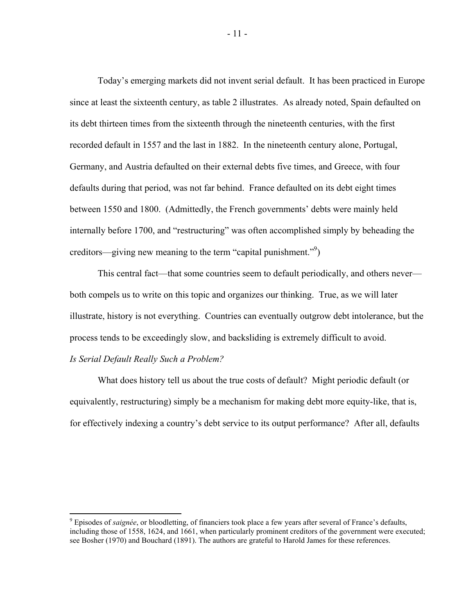Today's emerging markets did not invent serial default. It has been practiced in Europe since at least the sixteenth century, as table 2 illustrates. As already noted, Spain defaulted on its debt thirteen times from the sixteenth through the nineteenth centuries, with the first recorded default in 1557 and the last in 1882. In the nineteenth century alone, Portugal, Germany, and Austria defaulted on their external debts five times, and Greece, with four defaults during that period, was not far behind. France defaulted on its debt eight times between 1550 and 1800. (Admittedly, the French governments' debts were mainly held internally before 1700, and "restructuring" was often accomplished simply by beheading the creditors—giving new meaning to the term "capital punishment."<sup>9</sup>)

This central fact—that some countries seem to default periodically, and others never both compels us to write on this topic and organizes our thinking. True, as we will later illustrate, history is not everything. Countries can eventually outgrow debt intolerance, but the process tends to be exceedingly slow, and backsliding is extremely difficult to avoid.

# *Is Serial Default Really Such a Problem?*

1

What does history tell us about the true costs of default? Might periodic default (or equivalently, restructuring) simply be a mechanism for making debt more equity-like, that is, for effectively indexing a country's debt service to its output performance? After all, defaults

<sup>&</sup>lt;sup>9</sup> Episodes of *saignée*, or bloodletting, of financiers took place a few years after several of France's defaults, including those of 1558, 1624, and 1661, when particularly prominent creditors of the government were executed; see Bosher (1970) and Bouchard (1891). The authors are grateful to Harold James for these references.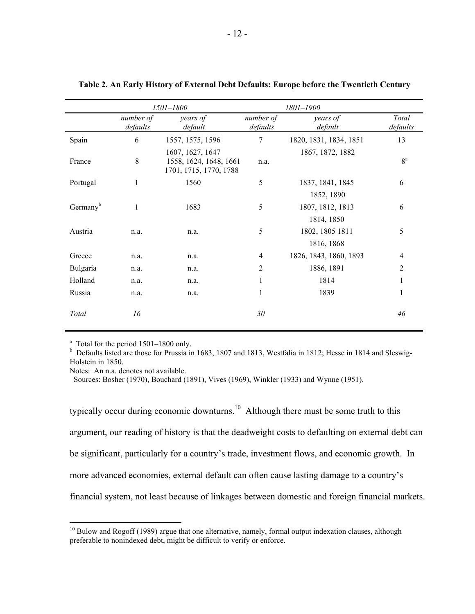|                      |                       | 1501-1800                                                            |                       | 1801-1900              |                   |
|----------------------|-----------------------|----------------------------------------------------------------------|-----------------------|------------------------|-------------------|
|                      | number of<br>defaults | years of<br>default                                                  | number of<br>defaults | years of<br>default    | Total<br>defaults |
| Spain                | 6                     | 1557, 1575, 1596                                                     | $\overline{7}$        | 1820, 1831, 1834, 1851 | 13                |
| France               | 8                     | 1607, 1627, 1647<br>1558, 1624, 1648, 1661<br>1701, 1715, 1770, 1788 | n.a.                  | 1867, 1872, 1882       | 8 <sup>a</sup>    |
| Portugal             | $\mathbf{1}$          | 1560                                                                 | 5                     | 1837, 1841, 1845       | 6                 |
|                      |                       |                                                                      |                       | 1852, 1890             |                   |
| Germany <sup>b</sup> | $\mathbf{1}$          | 1683                                                                 | 5                     | 1807, 1812, 1813       | 6                 |
|                      |                       |                                                                      |                       | 1814, 1850             |                   |
| Austria              | n.a.                  | n.a.                                                                 | 5                     | 1802, 1805 1811        | 5                 |
|                      |                       |                                                                      |                       | 1816, 1868             |                   |
| Greece               | n.a.                  | n.a.                                                                 | $\overline{4}$        | 1826, 1843, 1860, 1893 | 4                 |
| Bulgaria             | n.a.                  | n.a.                                                                 | $\overline{2}$        | 1886, 1891             | 2                 |
| Holland              | n.a.                  | n.a.                                                                 | 1                     | 1814                   | 1                 |
| Russia               | n.a.                  | n.a.                                                                 | $\mathbf{1}$          | 1839                   | 1                 |
| Total                | 16                    |                                                                      | 30                    |                        | 46                |

#### **Table 2. An Early History of External Debt Defaults: Europe before the Twentieth Century**

<sup>a</sup> Total for the period 1501–1800 only.<br><sup>b</sup> Defaults listed are those for Prussia in 1683, 1807 and 1813, Westfalia in 1812; Hesse in 1814 and Sleswig-Holstein in 1850.

Notes: An n.a. denotes not available.

1

Sources: Bosher (1970), Bouchard (1891), Vives (1969), Winkler (1933) and Wynne (1951).

typically occur during economic downturns.<sup>10</sup> Although there must be some truth to this argument, our reading of history is that the deadweight costs to defaulting on external debt can be significant, particularly for a country's trade, investment flows, and economic growth. In more advanced economies, external default can often cause lasting damage to a country's financial system, not least because of linkages between domestic and foreign financial markets.

 $10$  Bulow and Rogoff (1989) argue that one alternative, namely, formal output indexation clauses, although preferable to nonindexed debt, might be difficult to verify or enforce.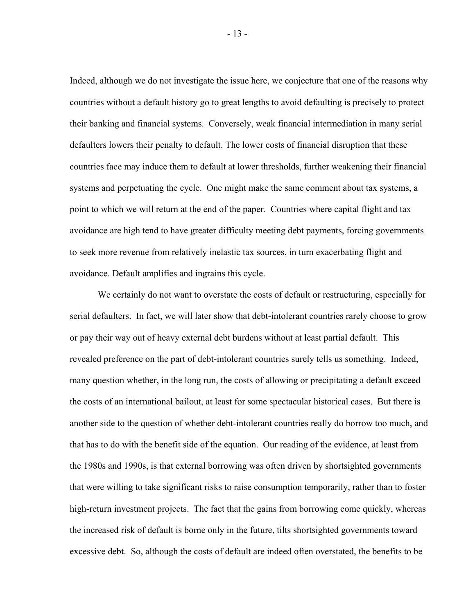Indeed, although we do not investigate the issue here, we conjecture that one of the reasons why countries without a default history go to great lengths to avoid defaulting is precisely to protect their banking and financial systems. Conversely, weak financial intermediation in many serial defaulters lowers their penalty to default. The lower costs of financial disruption that these countries face may induce them to default at lower thresholds, further weakening their financial systems and perpetuating the cycle. One might make the same comment about tax systems, a point to which we will return at the end of the paper. Countries where capital flight and tax avoidance are high tend to have greater difficulty meeting debt payments, forcing governments to seek more revenue from relatively inelastic tax sources, in turn exacerbating flight and avoidance. Default amplifies and ingrains this cycle.

 We certainly do not want to overstate the costs of default or restructuring, especially for serial defaulters. In fact, we will later show that debt-intolerant countries rarely choose to grow or pay their way out of heavy external debt burdens without at least partial default. This revealed preference on the part of debt-intolerant countries surely tells us something. Indeed, many question whether, in the long run, the costs of allowing or precipitating a default exceed the costs of an international bailout, at least for some spectacular historical cases. But there is another side to the question of whether debt-intolerant countries really do borrow too much, and that has to do with the benefit side of the equation. Our reading of the evidence, at least from the 1980s and 1990s, is that external borrowing was often driven by shortsighted governments that were willing to take significant risks to raise consumption temporarily, rather than to foster high-return investment projects. The fact that the gains from borrowing come quickly, whereas the increased risk of default is borne only in the future, tilts shortsighted governments toward excessive debt. So, although the costs of default are indeed often overstated, the benefits to be

- 13 -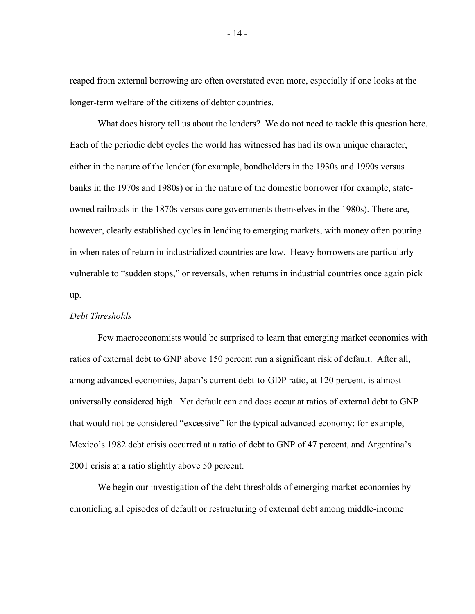reaped from external borrowing are often overstated even more, especially if one looks at the longer-term welfare of the citizens of debtor countries.

What does history tell us about the lenders? We do not need to tackle this question here. Each of the periodic debt cycles the world has witnessed has had its own unique character, either in the nature of the lender (for example, bondholders in the 1930s and 1990s versus banks in the 1970s and 1980s) or in the nature of the domestic borrower (for example, stateowned railroads in the 1870s versus core governments themselves in the 1980s). There are, however, clearly established cycles in lending to emerging markets, with money often pouring in when rates of return in industrialized countries are low. Heavy borrowers are particularly vulnerable to "sudden stops," or reversals, when returns in industrial countries once again pick up.

## *Debt Thresholds*

 Few macroeconomists would be surprised to learn that emerging market economies with ratios of external debt to GNP above 150 percent run a significant risk of default. After all, among advanced economies, Japan's current debt-to-GDP ratio, at 120 percent, is almost universally considered high. Yet default can and does occur at ratios of external debt to GNP that would not be considered "excessive" for the typical advanced economy: for example, Mexico's 1982 debt crisis occurred at a ratio of debt to GNP of 47 percent, and Argentina's 2001 crisis at a ratio slightly above 50 percent.

 We begin our investigation of the debt thresholds of emerging market economies by chronicling all episodes of default or restructuring of external debt among middle-income

- 14 -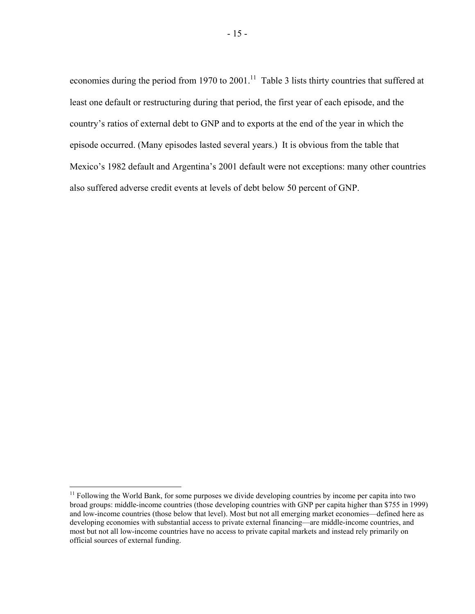economies during the period from 1970 to 2001.<sup>11</sup> Table 3 lists thirty countries that suffered at least one default or restructuring during that period, the first year of each episode, and the country's ratios of external debt to GNP and to exports at the end of the year in which the episode occurred. (Many episodes lasted several years.) It is obvious from the table that Mexico's 1982 default and Argentina's 2001 default were not exceptions: many other countries also suffered adverse credit events at levels of debt below 50 percent of GNP.

<sup>&</sup>lt;sup>11</sup> Following the World Bank, for some purposes we divide developing countries by income per capita into two broad groups: middle-income countries (those developing countries with GNP per capita higher than \$755 in 1999) and low-income countries (those below that level). Most but not all emerging market economies—defined here as developing economies with substantial access to private external financing—are middle-income countries, and most but not all low-income countries have no access to private capital markets and instead rely primarily on official sources of external funding.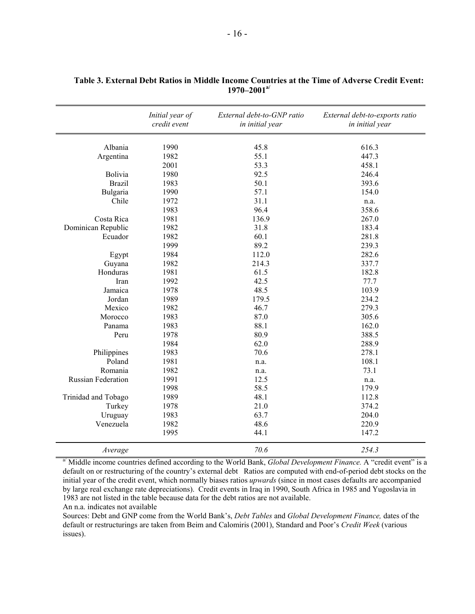|                     | Initial year of<br>credit event | External debt-to-GNP ratio<br>in initial year | External debt-to-exports ratio<br>in initial year |
|---------------------|---------------------------------|-----------------------------------------------|---------------------------------------------------|
| Albania             | 1990                            | 45.8                                          | 616.3                                             |
|                     | 1982                            | 55.1                                          | 447.3                                             |
| Argentina           | 2001                            | 53.3                                          | 458.1                                             |
| Bolivia             | 1980                            | 92.5                                          | 246.4                                             |
| <b>Brazil</b>       | 1983                            | 50.1                                          | 393.6                                             |
|                     | 1990                            | 57.1                                          | 154.0                                             |
| Bulgaria            |                                 | 31.1                                          |                                                   |
| Chile               | 1972                            | 96.4                                          | n.a.<br>358.6                                     |
| Costa Rica          | 1983                            | 136.9                                         | 267.0                                             |
|                     | 1981                            |                                               |                                                   |
| Dominican Republic  | 1982<br>1982                    | 31.8<br>60.1                                  | 183.4<br>281.8                                    |
| Ecuador             | 1999                            | 89.2                                          | 239.3                                             |
|                     |                                 | 112.0                                         |                                                   |
| Egypt               | 1984                            |                                               | 282.6                                             |
| Guyana              | 1982                            | 214.3                                         | 337.7                                             |
| Honduras            | 1981                            | 61.5<br>42.5                                  | 182.8                                             |
| Iran                | 1992<br>1978                    | 48.5                                          | 77.7<br>103.9                                     |
| Jamaica             | 1989                            | 179.5                                         | 234.2                                             |
| Jordan              |                                 |                                               |                                                   |
| Mexico              | 1982                            | 46.7                                          | 279.3                                             |
| Morocco             | 1983                            | 87.0                                          | 305.6                                             |
| Panama              | 1983                            | 88.1                                          | 162.0                                             |
| Peru                | 1978                            | 80.9                                          | 388.5                                             |
|                     | 1984                            | 62.0                                          | 288.9                                             |
| Philippines         | 1983                            | 70.6                                          | 278.1                                             |
| Poland              | 1981                            | n.a.                                          | 108.1                                             |
| Romania             | 1982                            | n.a.                                          | 73.1                                              |
| Russian Federation  | 1991                            | 12.5                                          | n.a.                                              |
|                     | 1998                            | 58.5                                          | 179.9                                             |
| Trinidad and Tobago | 1989                            | 48.1                                          | 112.8                                             |
| Turkey              | 1978                            | 21.0                                          | 374.2                                             |
| Uruguay             | 1983                            | 63.7                                          | 204.0                                             |
| Venezuela           | 1982                            | 48.6                                          | 220.9                                             |
|                     | 1995                            | 44.1                                          | 147.2                                             |
| Average             |                                 | 70.6                                          | 254.3                                             |

#### **Table 3. External Debt Ratios in Middle Income Countries at the Time of Adverse Credit Event: 1970–2001a/**

<sup>a/</sup> Middle income countries defined according to the World Bank, *Global Development Finance*. A "credit event" is a default on or restructuring of the country's external debt Ratios are computed with end-of-period debt stocks on the initial year of the credit event, which normally biases ratios *upwards* (since in most cases defaults are accompanied by large real exchange rate depreciations). Credit events in Iraq in 1990, South Africa in 1985 and Yugoslavia in 1983 are not listed in the table because data for the debt ratios are not available.

An n.a. indicates not available

Sources: Debt and GNP come from the World Bank's, *Debt Tables* and *Global Development Finance,* dates of the default or restructurings are taken from Beim and Calomiris (2001), Standard and Poor's *Credit Week* (various issues).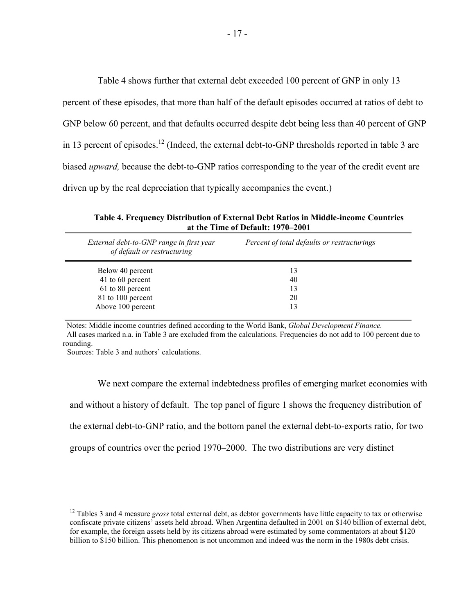Table 4 shows further that external debt exceeded 100 percent of GNP in only 13 percent of these episodes, that more than half of the default episodes occurred at ratios of debt to GNP below 60 percent, and that defaults occurred despite debt being less than 40 percent of GNP in 13 percent of episodes.<sup>12</sup> (Indeed, the external debt-to-GNP thresholds reported in table 3 are biased *upward,* because the debt-to-GNP ratios corresponding to the year of the credit event are driven up by the real depreciation that typically accompanies the event.)

**Table 4. Frequency Distribution of External Debt Ratios in Middle-income Countries at the Time of Default: 1970–2001** 

| External debt-to-GNP range in first year<br>of default or restructuring | Percent of total defaults or restructurings |
|-------------------------------------------------------------------------|---------------------------------------------|
| Below 40 percent                                                        | 13                                          |
| 41 to 60 percent                                                        | 40                                          |
| 61 to 80 percent                                                        | 13                                          |
| 81 to 100 percent                                                       | 20                                          |
| Above 100 percent                                                       | 13                                          |

 Notes: Middle income countries defined according to the World Bank, *Global Development Finance.*  All cases marked n.a. in Table 3 are excluded from the calculations. Frequencies do not add to 100 percent due to rounding.

Sources: Table 3 and authors' calculations.

1

We next compare the external indebtedness profiles of emerging market economies with and without a history of default. The top panel of figure 1 shows the frequency distribution of the external debt-to-GNP ratio, and the bottom panel the external debt-to-exports ratio, for two groups of countries over the period 1970–2000. The two distributions are very distinct

<sup>&</sup>lt;sup>12</sup> Tables 3 and 4 measure *gross* total external debt, as debtor governments have little capacity to tax or otherwise confiscate private citizens' assets held abroad. When Argentina defaulted in 2001 on \$140 billion of external debt, for example, the foreign assets held by its citizens abroad were estimated by some commentators at about \$120 billion to \$150 billion. This phenomenon is not uncommon and indeed was the norm in the 1980s debt crisis.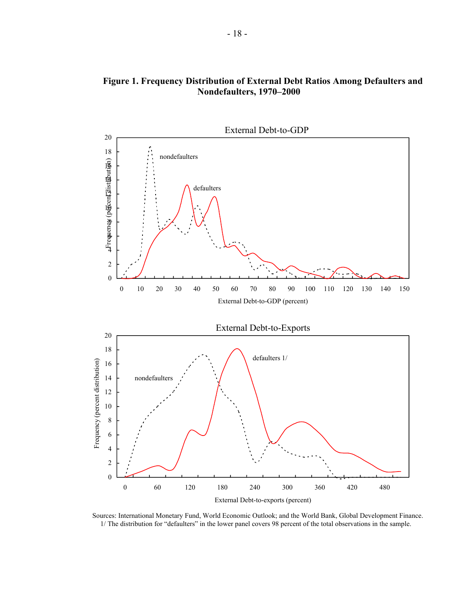# **Figure 1. Frequency Distribution of External Debt Ratios Among Defaulters and Nondefaulters, 1970–2000**



 Sources: International Monetary Fund, World Economic Outlook; and the World Bank, Global Development Finance. 1/ The distribution for "defaulters" in the lower panel covers 98 percent of the total observations in the sample.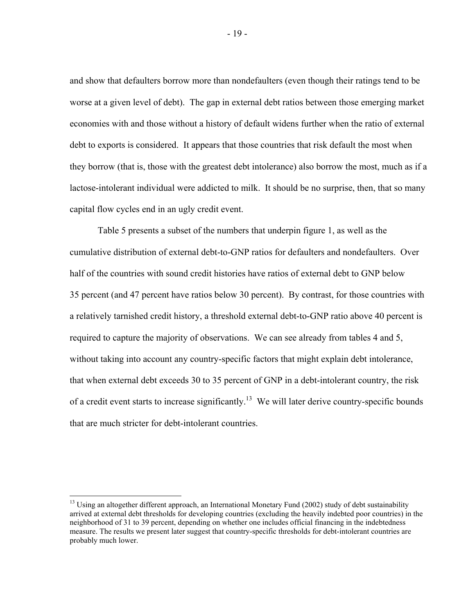and show that defaulters borrow more than nondefaulters (even though their ratings tend to be worse at a given level of debt). The gap in external debt ratios between those emerging market economies with and those without a history of default widens further when the ratio of external debt to exports is considered. It appears that those countries that risk default the most when they borrow (that is, those with the greatest debt intolerance) also borrow the most, much as if a lactose-intolerant individual were addicted to milk. It should be no surprise, then, that so many capital flow cycles end in an ugly credit event.

Table 5 presents a subset of the numbers that underpin figure 1, as well as the cumulative distribution of external debt-to-GNP ratios for defaulters and nondefaulters. Over half of the countries with sound credit histories have ratios of external debt to GNP below 35 percent (and 47 percent have ratios below 30 percent). By contrast, for those countries with a relatively tarnished credit history, a threshold external debt-to-GNP ratio above 40 percent is required to capture the majority of observations. We can see already from tables 4 and 5, without taking into account any country-specific factors that might explain debt intolerance, that when external debt exceeds 30 to 35 percent of GNP in a debt-intolerant country, the risk of a credit event starts to increase significantly.<sup>13</sup> We will later derive country-specific bounds that are much stricter for debt-intolerant countries.

<sup>&</sup>lt;sup>13</sup> Using an altogether different approach, an International Monetary Fund (2002) study of debt sustainability arrived at external debt thresholds for developing countries (excluding the heavily indebted poor countries) in the neighborhood of 31 to 39 percent, depending on whether one includes official financing in the indebtedness measure. The results we present later suggest that country-specific thresholds for debt-intolerant countries are probably much lower.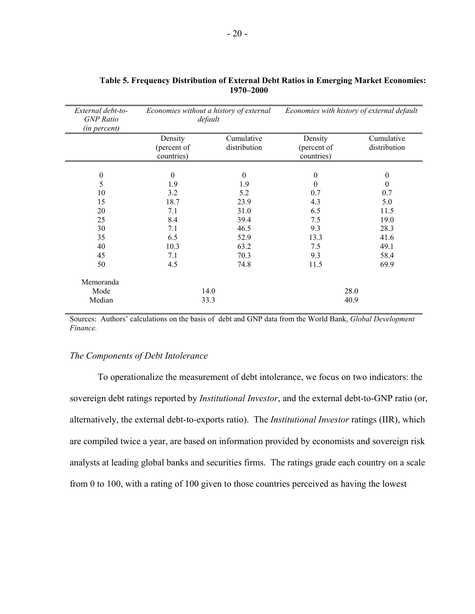| External debt-to-<br><b>GNP</b> Ratio<br>(in percent) |                                      | Economies without a history of external<br>default | Economies with history of external default |                            |  |
|-------------------------------------------------------|--------------------------------------|----------------------------------------------------|--------------------------------------------|----------------------------|--|
|                                                       | Density<br>(percent of<br>countries) | Cumulative<br>distribution                         | Density<br>(percent of<br>countries)       | Cumulative<br>distribution |  |
| $\mathbf{0}$                                          | $\boldsymbol{0}$                     | $\theta$                                           | $\overline{0}$                             | 0                          |  |
| 5                                                     | 1.9                                  | 1.9                                                | $\theta$                                   | $\theta$                   |  |
| 10                                                    | 3.2                                  | 5.2                                                | 0.7                                        | 0.7                        |  |
| 15                                                    | 18.7                                 | 23.9                                               | 4.3                                        | 5.0                        |  |
| 20                                                    | 7.1                                  | 31.0                                               | 6.5                                        | 11.5                       |  |
| 25                                                    | 8.4                                  | 39.4                                               | 7.5                                        | 19.0                       |  |
| 30                                                    | 7.1                                  | 46.5                                               | 9.3                                        | 28.3                       |  |
| 35                                                    | 6.5                                  | 52.9                                               | 13.3                                       | 41.6                       |  |
| 40                                                    | 10.3                                 | 63.2                                               | 7.5                                        | 49.1                       |  |
| 45                                                    | 7.1                                  | 70.3                                               | 9.3                                        | 58.4                       |  |
| 50                                                    | 4.5                                  | 74.8                                               | 11.5                                       | 69.9                       |  |
| Memoranda                                             |                                      |                                                    |                                            |                            |  |
| Mode                                                  |                                      | 14.0                                               |                                            | 28.0                       |  |
| Median                                                | 33.3                                 |                                                    | 40.9                                       |                            |  |

#### **Table 5. Frequency Distribution of External Debt Ratios in Emerging Market Economies: 1970–2000**

Sources: Authors' calculations on the basis of debt and GNP data from the World Bank, *Global Development Finance.*

## *The Components of Debt Intolerance*

To operationalize the measurement of debt intolerance, we focus on two indicators: the sovereign debt ratings reported by *Institutional Investor*, and the external debt-to-GNP ratio (or, alternatively, the external debt-to-exports ratio). The *Institutional Investor* ratings (IIR), which are compiled twice a year, are based on information provided by economists and sovereign risk analysts at leading global banks and securities firms. The ratings grade each country on a scale from 0 to 100, with a rating of 100 given to those countries perceived as having the lowest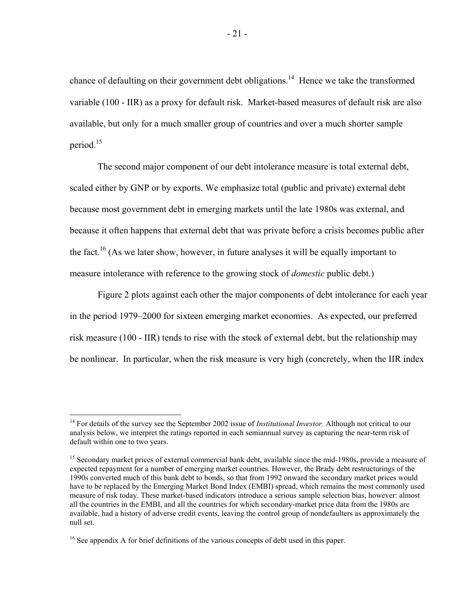chance of defaulting on their government debt obligations.<sup>14</sup> Hence we take the transformed variable (100 - IIR) as a proxy for default risk. Market-based measures of default risk are also available, but only for a much smaller group of countries and over a much shorter sample period.<sup>15</sup>

The second major component of our debt intolerance measure is total external debt, scaled either by GNP or by exports. We emphasize total (public and private) external debt because most government debt in emerging markets until the late 1980s was external, and because it often happens that external debt that was private before a crisis becomes public after the fact.<sup>16</sup> (As we later show, however, in future analyses it will be equally important to measure intolerance with reference to the growing stock of *domestic* public debt.)

Figure 2 plots against each other the major components of debt intolerance for each year in the period 1979–2000 for sixteen emerging market economies. As expected, our preferred risk measure (100 - IIR) tends to rise with the stock of external debt, but the relationship may be nonlinear. In particular, when the risk measure is very high (concretely, when the IIR index

<sup>&</sup>lt;sup>14</sup> For details of the survey see the September 2002 issue of *Institutional Investor*. Although not critical to our analysis below, we interpret the ratings reported in each semiannual survey as capturing the near-term risk of default within one to two years.

<sup>&</sup>lt;sup>15</sup> Secondary market prices of external commercial bank debt, available since the mid-1980s, provide a measure of expected repayment for a number of emerging market countries. However, the Brady debt restructurings of the 1990s converted much of this bank debt to bonds, so that from 1992 onward the secondary market prices would have to be replaced by the Emerging Market Bond Index (EMBI) spread, which remains the most commonly used measure of risk today. These market-based indicators introduce a serious sample selection bias, however: almost all the countries in the EMBI, and all the countries for which secondary-market price data from the 1980s are available, had a history of adverse credit events, leaving the control group of nondefaulters as approximately the null set.

<sup>&</sup>lt;sup>16</sup> See appendix A for brief definitions of the various concepts of debt used in this paper.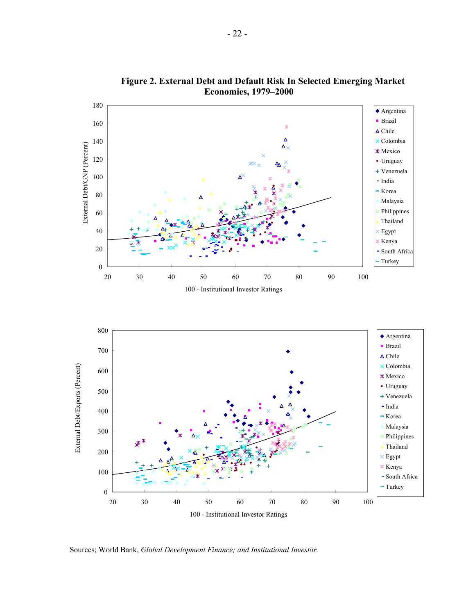

**Figure 2. External Debt and Default Risk In Selected Emerging Market Economies, 1979–2000** 

Sources; World Bank, *Global Development Finance; and Institutional Investor.*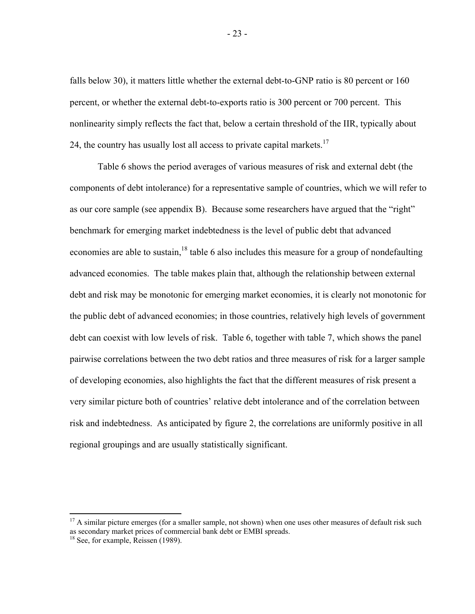falls below 30), it matters little whether the external debt-to-GNP ratio is 80 percent or 160 percent, or whether the external debt-to-exports ratio is 300 percent or 700 percent. This nonlinearity simply reflects the fact that, below a certain threshold of the IIR, typically about 24, the country has usually lost all access to private capital markets.<sup>17</sup>

Table 6 shows the period averages of various measures of risk and external debt (the components of debt intolerance) for a representative sample of countries, which we will refer to as our core sample (see appendix B). Because some researchers have argued that the "right" benchmark for emerging market indebtedness is the level of public debt that advanced economies are able to sustain,  $^{18}$  table 6 also includes this measure for a group of nondefaulting advanced economies. The table makes plain that, although the relationship between external debt and risk may be monotonic for emerging market economies, it is clearly not monotonic for the public debt of advanced economies; in those countries, relatively high levels of government debt can coexist with low levels of risk. Table 6, together with table 7, which shows the panel pairwise correlations between the two debt ratios and three measures of risk for a larger sample of developing economies, also highlights the fact that the different measures of risk present a very similar picture both of countries' relative debt intolerance and of the correlation between risk and indebtedness. As anticipated by figure 2, the correlations are uniformly positive in all regional groupings and are usually statistically significant.

 $17$  A similar picture emerges (for a smaller sample, not shown) when one uses other measures of default risk such as secondary market prices of commercial bank debt or EMBI spreads.

 $18$  See, for example, Reissen (1989).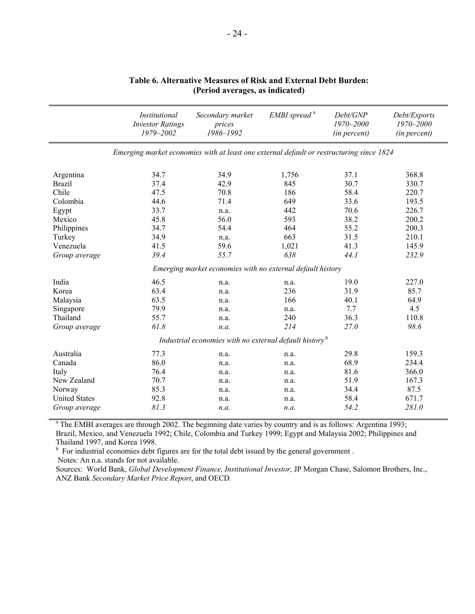|                                                                                                          | <i>Institutional</i><br><b>Investor Ratings</b><br>1979-2002                             | Secondary market<br>prices<br>1986-1992                              | EMBI spread <sup>a</sup>                                        | Debt/GNP<br>1970-2000<br>(in percent)                                | Debt/Exports<br>1970-2000<br>(in percent)                                     |
|----------------------------------------------------------------------------------------------------------|------------------------------------------------------------------------------------------|----------------------------------------------------------------------|-----------------------------------------------------------------|----------------------------------------------------------------------|-------------------------------------------------------------------------------|
|                                                                                                          | Emerging market economies with at least one external default or restructuring since 1824 |                                                                      |                                                                 |                                                                      |                                                                               |
| Argentina<br><b>Brazil</b><br>Chile<br>Colombia<br>Egypt<br>Mexico<br>Philippines<br>Turkey<br>Venezuela | 34.7<br>37.4<br>47.5<br>44.6<br>33.7<br>45.8<br>34.7<br>34.9<br>41.5                     | 34.9<br>42.9<br>70.8<br>71.4<br>n.a.<br>56.0<br>54.4<br>n.a.<br>59.6 | 1,756<br>845<br>186<br>649<br>442<br>593<br>464<br>663<br>1,021 | 37.1<br>30.7<br>58.4<br>33.6<br>70.6<br>38.2<br>55.2<br>31.5<br>41.3 | 368.8<br>330.7<br>220.7<br>193.5<br>226.7<br>200.2<br>200.3<br>210.1<br>145.9 |
| Group average                                                                                            | 39.4                                                                                     | 55.7                                                                 | 638                                                             | 44.1                                                                 | 232.9                                                                         |
|                                                                                                          |                                                                                          | Emerging market economies with no external default history           |                                                                 |                                                                      |                                                                               |
| India<br>Korea<br>Malaysia<br>Singapore<br>Thailand<br>Group average                                     | 46.5<br>63.4<br>63.5<br>79.9<br>55.7<br>61.8                                             | n.a.<br>n.a.<br>n.a.<br>n.a.<br>n.a.<br>n.a.                         | n.a.<br>236<br>166<br>n.a.<br>240<br>214                        | 19.0<br>31.9<br>40.1<br>7.7<br>36.3<br>27.0                          | 227.0<br>85.7<br>64.9<br>4.5<br>110.8<br>98.6                                 |
|                                                                                                          |                                                                                          | Industrial economies with no external default history <sup>b</sup>   |                                                                 |                                                                      |                                                                               |
| Australia<br>Canada<br>Italy<br>New Zealand<br>Norway<br><b>United States</b><br>Group average           | 77.3<br>86.0<br>76.4<br>70.7<br>85.3<br>92.8<br>81.3                                     | n.a.<br>n.a.<br>n.a.<br>n.a.<br>n.a.<br>n.a.<br>n.a.                 | n.a.<br>n.a.<br>n.a.<br>n.a.<br>n.a.<br>n.a.<br>n.a.            | 29.8<br>68.9<br>81.6<br>51.9<br>34.4<br>58.4<br>54.2                 | 159.3<br>234.4<br>366.0<br>167.3<br>87.5<br>671.7<br>281.0                    |

### **Table 6. Alternative Measures of Risk and External Debt Burden: (Period averages, as indicated)**

<sup>a</sup> The EMBI averages are through 2002. The beginning date varies by country and is as follows: Argentina 1993; Brazil, Mexico, and Venezuela 1992; Chile, Colombia and Turkey 1999; Egypt and Malaysia 2002; Philippines and Thailand 1997, and Korea 1998.

<sup>b</sup> For industrial economies debt figures are for the total debt issued by the general government.

Notes: An n.a. stands for not available.

Sources: World Bank, *Global Development Finance, Institutional Investor,* JP Morgan Chase, Salomon Brothers, Inc., ANZ Bank *Secondary Market Price Report*, and OECD*.*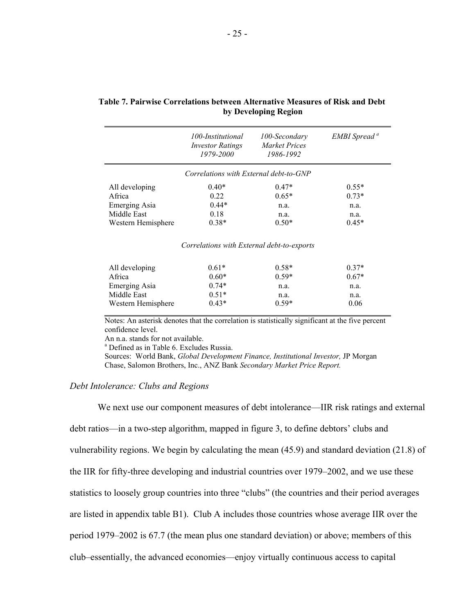|                    | 100-Institutional<br><b>Investor Ratings</b><br>1979-2000 | 100-Secondary<br>Market Prices<br>1986-1992 | EMBI Spread <sup>a</sup> |
|--------------------|-----------------------------------------------------------|---------------------------------------------|--------------------------|
|                    | Correlations with External debt-to-GNP                    |                                             |                          |
| All developing     | $0.40*$                                                   | $0.47*$                                     | $0.55*$                  |
| Africa             | 0.22                                                      | $0.65*$                                     | $0.73*$                  |
| Emerging Asia      | $0.44*$                                                   | n.a.                                        | n.a.                     |
| Middle East        | 0.18                                                      | n.a.                                        | n.a.                     |
| Western Hemisphere | $0.38*$                                                   | $0.50*$                                     | $0.45*$                  |
|                    | Correlations with External debt-to-exports                |                                             |                          |
| All developing     | $0.61*$                                                   | $0.58*$                                     | $0.37*$                  |
| Africa             | $0.60*$                                                   | $0.59*$                                     | $0.67*$                  |
| Emerging Asia      | $0.74*$                                                   | n.a.                                        | n.a.                     |
| Middle East        | $0.51*$                                                   | n.a.                                        | n.a.                     |
| Western Hemisphere | $0.43*$                                                   | $0.59*$                                     | 0.06                     |

**Table 7. Pairwise Correlations between Alternative Measures of Risk and Debt by Developing Region** 

Notes: An asterisk denotes that the correlation is statistically significant at the five percent confidence level.

An n.a. stands for not available.

a Defined as in Table 6. Excludes Russia.

Sources: World Bank, *Global Development Finance, Institutional Investor,* JP Morgan Chase, Salomon Brothers, Inc., ANZ Bank *Secondary Market Price Report.* 

## *Debt Intolerance: Clubs and Regions*

 We next use our component measures of debt intolerance—IIR risk ratings and external debt ratios—in a two-step algorithm, mapped in figure 3, to define debtors' clubs and vulnerability regions. We begin by calculating the mean (45.9) and standard deviation (21.8) of the IIR for fifty-three developing and industrial countries over 1979–2002, and we use these statistics to loosely group countries into three "clubs" (the countries and their period averages are listed in appendix table B1). Club A includes those countries whose average IIR over the period 1979–2002 is 67.7 (the mean plus one standard deviation) or above; members of this club–essentially, the advanced economies—enjoy virtually continuous access to capital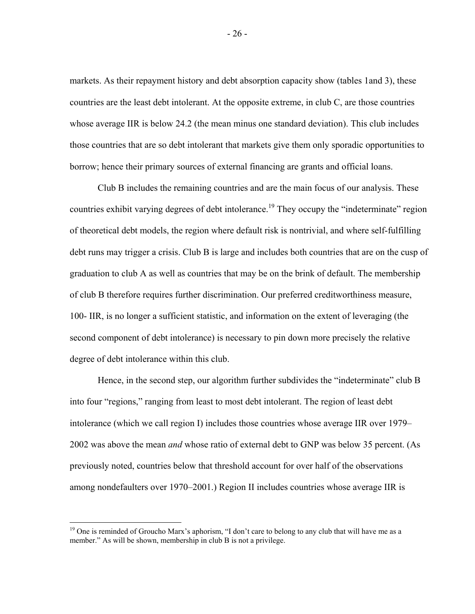markets. As their repayment history and debt absorption capacity show (tables 1and 3), these countries are the least debt intolerant. At the opposite extreme, in club C, are those countries whose average IIR is below 24.2 (the mean minus one standard deviation). This club includes those countries that are so debt intolerant that markets give them only sporadic opportunities to borrow; hence their primary sources of external financing are grants and official loans.

Club B includes the remaining countries and are the main focus of our analysis. These countries exhibit varying degrees of debt intolerance.<sup>19</sup> They occupy the "indeterminate" region of theoretical debt models, the region where default risk is nontrivial, and where self-fulfilling debt runs may trigger a crisis. Club B is large and includes both countries that are on the cusp of graduation to club A as well as countries that may be on the brink of default. The membership of club B therefore requires further discrimination. Our preferred creditworthiness measure, 100- IIR, is no longer a sufficient statistic, and information on the extent of leveraging (the second component of debt intolerance) is necessary to pin down more precisely the relative degree of debt intolerance within this club.

Hence, in the second step, our algorithm further subdivides the "indeterminate" club B into four "regions," ranging from least to most debt intolerant. The region of least debt intolerance (which we call region I) includes those countries whose average IIR over 1979– 2002 was above the mean *and* whose ratio of external debt to GNP was below 35 percent. (As previously noted, countries below that threshold account for over half of the observations among nondefaulters over 1970–2001.) Region II includes countries whose average IIR is

1

- 26 -

 $19$  One is reminded of Groucho Marx's aphorism, "I don't care to belong to any club that will have me as a member." As will be shown, membership in club B is not a privilege.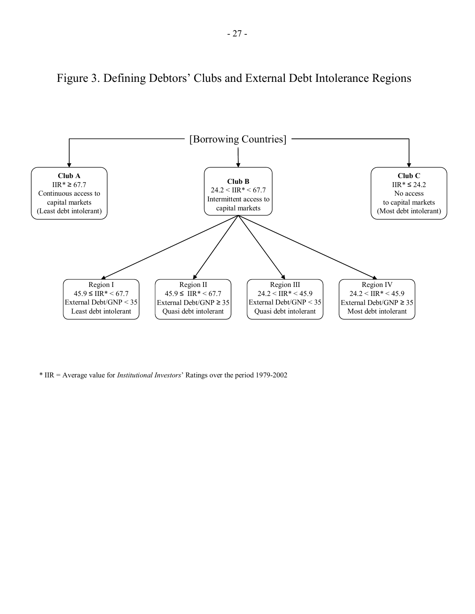

# Figure 3. Defining Debtors' Clubs and External Debt Intolerance Regions

\* IIR = Average value for *Institutional Investors*' Ratings over the period 1979-2002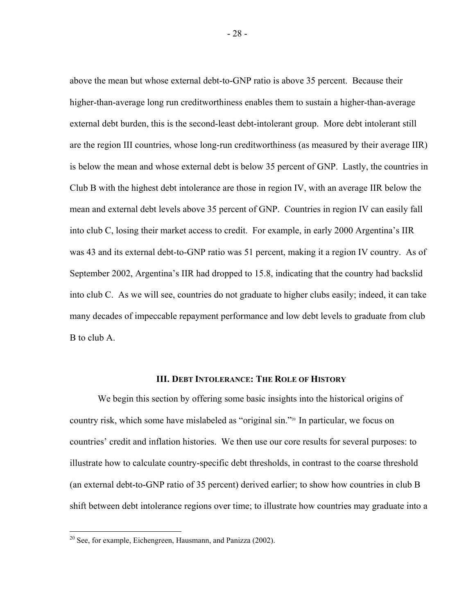above the mean but whose external debt-to-GNP ratio is above 35 percent. Because their higher-than-average long run creditworthiness enables them to sustain a higher-than-average external debt burden, this is the second-least debt-intolerant group. More debt intolerant still are the region III countries, whose long-run creditworthiness (as measured by their average IIR) is below the mean and whose external debt is below 35 percent of GNP. Lastly, the countries in Club B with the highest debt intolerance are those in region IV, with an average IIR below the mean and external debt levels above 35 percent of GNP. Countries in region IV can easily fall into club C, losing their market access to credit. For example, in early 2000 Argentina's IIR was 43 and its external debt-to-GNP ratio was 51 percent, making it a region IV country. As of September 2002, Argentina's IIR had dropped to 15.8, indicating that the country had backslid into club C. As we will see, countries do not graduate to higher clubs easily; indeed, it can take many decades of impeccable repayment performance and low debt levels to graduate from club B to club A.

#### **III. DEBT INTOLERANCE: THE ROLE OF HISTORY**

We begin this section by offering some basic insights into the historical origins of country risk, which some have mislabeled as "original sin."20 In particular, we focus on countries' credit and inflation histories. We then use our core results for several purposes: to illustrate how to calculate country-specific debt thresholds, in contrast to the coarse threshold (an external debt-to-GNP ratio of 35 percent) derived earlier; to show how countries in club B shift between debt intolerance regions over time; to illustrate how countries may graduate into a

<u>.</u>

 $20$  See, for example, Eichengreen, Hausmann, and Panizza (2002).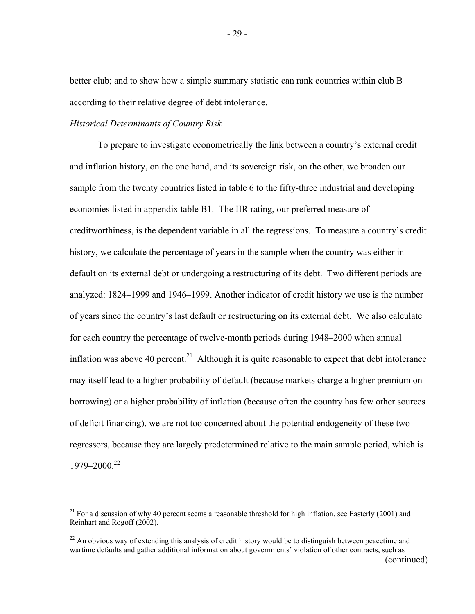better club; and to show how a simple summary statistic can rank countries within club B according to their relative degree of debt intolerance.

## *Historical Determinants of Country Risk*

1

To prepare to investigate econometrically the link between a country's external credit and inflation history, on the one hand, and its sovereign risk, on the other, we broaden our sample from the twenty countries listed in table 6 to the fifty-three industrial and developing economies listed in appendix table B1. The IIR rating, our preferred measure of creditworthiness, is the dependent variable in all the regressions. To measure a country's credit history, we calculate the percentage of years in the sample when the country was either in default on its external debt or undergoing a restructuring of its debt. Two different periods are analyzed: 1824–1999 and 1946–1999. Another indicator of credit history we use is the number of years since the country's last default or restructuring on its external debt. We also calculate for each country the percentage of twelve-month periods during 1948–2000 when annual inflation was above 40 percent.<sup>21</sup> Although it is quite reasonable to expect that debt intolerance may itself lead to a higher probability of default (because markets charge a higher premium on borrowing) or a higher probability of inflation (because often the country has few other sources of deficit financing), we are not too concerned about the potential endogeneity of these two regressors, because they are largely predetermined relative to the main sample period, which is  $1979 - 2000^{22}$ 

 $21$  For a discussion of why 40 percent seems a reasonable threshold for high inflation, see Easterly (2001) and Reinhart and Rogoff (2002).

 $^{22}$  An obvious way of extending this analysis of credit history would be to distinguish between peacetime and wartime defaults and gather additional information about governments' violation of other contracts, such as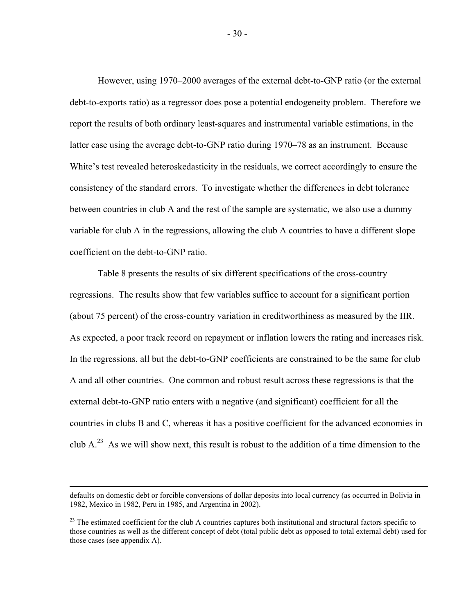However, using 1970–2000 averages of the external debt-to-GNP ratio (or the external debt-to-exports ratio) as a regressor does pose a potential endogeneity problem. Therefore we report the results of both ordinary least-squares and instrumental variable estimations, in the latter case using the average debt-to-GNP ratio during 1970–78 as an instrument. Because White's test revealed heteroskedasticity in the residuals, we correct accordingly to ensure the consistency of the standard errors. To investigate whether the differences in debt tolerance between countries in club A and the rest of the sample are systematic, we also use a dummy variable for club A in the regressions, allowing the club A countries to have a different slope coefficient on the debt-to-GNP ratio.

Table 8 presents the results of six different specifications of the cross-country regressions. The results show that few variables suffice to account for a significant portion (about 75 percent) of the cross-country variation in creditworthiness as measured by the IIR. As expected, a poor track record on repayment or inflation lowers the rating and increases risk. In the regressions, all but the debt-to-GNP coefficients are constrained to be the same for club A and all other countries. One common and robust result across these regressions is that the external debt-to-GNP ratio enters with a negative (and significant) coefficient for all the countries in clubs B and C, whereas it has a positive coefficient for the advanced economies in club  $A<sup>23</sup>$  As we will show next, this result is robust to the addition of a time dimension to the

defaults on domestic debt or forcible conversions of dollar deposits into local currency (as occurred in Bolivia in 1982, Mexico in 1982, Peru in 1985, and Argentina in 2002).

 $^{23}$  The estimated coefficient for the club A countries captures both institutional and structural factors specific to those countries as well as the different concept of debt (total public debt as opposed to total external debt) used for those cases (see appendix A).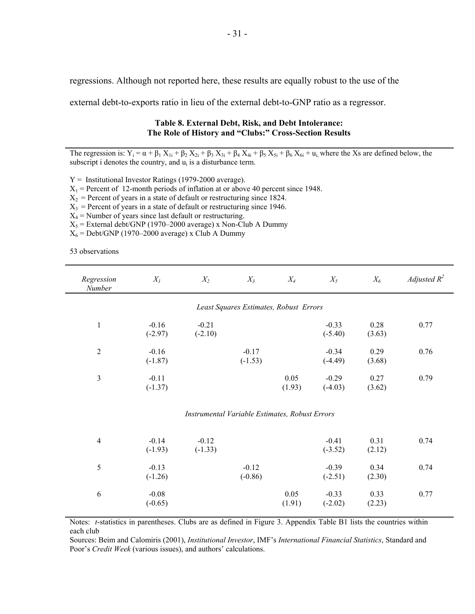regressions. Although not reported here, these results are equally robust to the use of the

external debt-to-exports ratio in lieu of the external debt-to-GNP ratio as a regressor.

### **Table 8. External Debt, Risk, and Debt Intolerance: The Role of History and "Clubs:" Cross-Section Results**

The regression is:  $Y_i = \alpha + \beta_1 X_{1i} + \beta_2 X_{2i} + \beta_3 X_{3i} + \beta_4 X_{4i} + \beta_5 X_{5i} + \beta_6 X_{6i} + u_i$ , where the Xs are defined below, the subscript i denotes the country, and  $u_i$  is a disturbance term.

 $Y =$  Institutional Investor Ratings (1979-2000 average).

 $X_1$  = Percent of 12-month periods of inflation at or above 40 percent since 1948.

 $X_2$  = Percent of years in a state of default or restructuring since 1824.

 $X_3$  = Percent of years in a state of default or restructuring since 1946.

 $X_4$  = Number of years since last default or restructuring.

 $X_5$  = External debt/GNP (1970–2000 average) x Non-Club A Dummy

 $X_6$  = Debt/GNP (1970–2000 average) x Club A Dummy

53 observations

| Regression<br>Number | $X_I$                | $X_2$                | $X_3$                                          | $X_4$          | $X_5$                | $X_6$          | Adjusted $R^2$ |
|----------------------|----------------------|----------------------|------------------------------------------------|----------------|----------------------|----------------|----------------|
|                      |                      |                      | Least Squares Estimates, Robust Errors         |                |                      |                |                |
| $\mathbf{1}$         | $-0.16$<br>$(-2.97)$ | $-0.21$<br>$(-2.10)$ |                                                |                | $-0.33$<br>$(-5.40)$ | 0.28<br>(3.63) | 0.77           |
| $\overline{2}$       | $-0.16$<br>$(-1.87)$ |                      | $-0.17$<br>$(-1.53)$                           |                | $-0.34$<br>$(-4.49)$ | 0.29<br>(3.68) | 0.76           |
| 3                    | $-0.11$<br>$(-1.37)$ |                      |                                                | 0.05<br>(1.93) | $-0.29$<br>$(-4.03)$ | 0.27<br>(3.62) | 0.79           |
|                      |                      |                      | Instrumental Variable Estimates, Robust Errors |                |                      |                |                |
| $\overline{4}$       | $-0.14$<br>$(-1.93)$ | $-0.12$<br>$(-1.33)$ |                                                |                | $-0.41$<br>$(-3.52)$ | 0.31<br>(2.12) | 0.74           |
| 5                    | $-0.13$<br>$(-1.26)$ |                      | $-0.12$<br>$(-0.86)$                           |                | $-0.39$<br>$(-2.51)$ | 0.34<br>(2.30) | 0.74           |
| 6                    | $-0.08$<br>$(-0.65)$ |                      |                                                | 0.05<br>(1.91) | $-0.33$<br>$(-2.02)$ | 0.33<br>(2.23) | 0.77           |

Notes: *t*-statistics in parentheses. Clubs are as defined in Figure 3. Appendix Table B1 lists the countries within each club

Sources: Beim and Calomiris (2001), *Institutional Investor*, IMF's *International Financial Statistics*, Standard and Poor's *Credit Week* (various issues), and authors' calculations.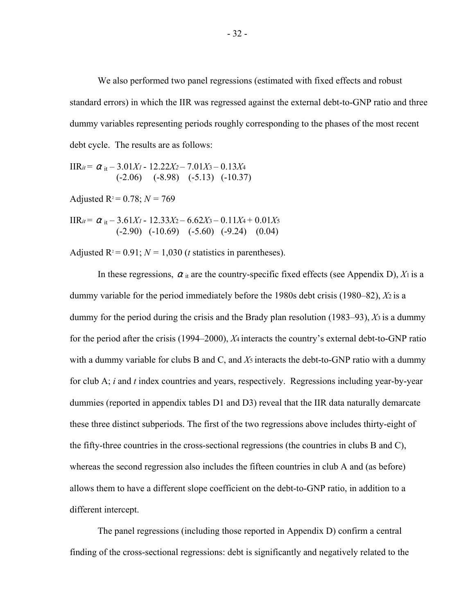We also performed two panel regressions (estimated with fixed effects and robust standard errors) in which the IIR was regressed against the external debt-to-GNP ratio and three dummy variables representing periods roughly corresponding to the phases of the most recent debt cycle. The results are as follows:

IIR<sub>it</sub> =  $\alpha$ <sub>it</sub> - 3.01*X*<sub>1</sub> - 12.22*X*<sub>2</sub> - 7.01*X*<sub>3</sub> - 0.13*X*<sub>4</sub> (-2.06) (-8.98) (-5.13) (-10.37)

Adjusted R<sup>2</sup> = 0.78;  $N = 769$ 

IIR<sub>it</sub> =  $\alpha$ <sub>it</sub> - 3.61*X<sub>1</sub>* - 12.33*X*<sub>2</sub> - 6.62*X*<sub>3</sub> - 0.11*X*<sub>4</sub> + 0.01*X*<sub>5</sub> (-2.90) (-10.69) (-5.60) (-9.24) (0.04)

Adjusted  $R^2 = 0.91$ ;  $N = 1,030$  (*t* statistics in parentheses).

In these regressions,  $\alpha_{it}$  are the country-specific fixed effects (see Appendix D),  $X_i$  is a dummy variable for the period immediately before the 1980s debt crisis (1980–82), *X*2 is a dummy for the period during the crisis and the Brady plan resolution (1983–93), *X*3 is a dummy for the period after the crisis (1994–2000), *X*4 interacts the country's external debt-to-GNP ratio with a dummy variable for clubs B and C, and X<sub>5</sub> interacts the debt-to-GNP ratio with a dummy for club A; *i* and *t* index countries and years, respectively. Regressions including year-by-year dummies (reported in appendix tables D1 and D3) reveal that the IIR data naturally demarcate these three distinct subperiods. The first of the two regressions above includes thirty-eight of the fifty-three countries in the cross-sectional regressions (the countries in clubs B and C), whereas the second regression also includes the fifteen countries in club A and (as before) allows them to have a different slope coefficient on the debt-to-GNP ratio, in addition to a different intercept.

The panel regressions (including those reported in Appendix D) confirm a central finding of the cross-sectional regressions: debt is significantly and negatively related to the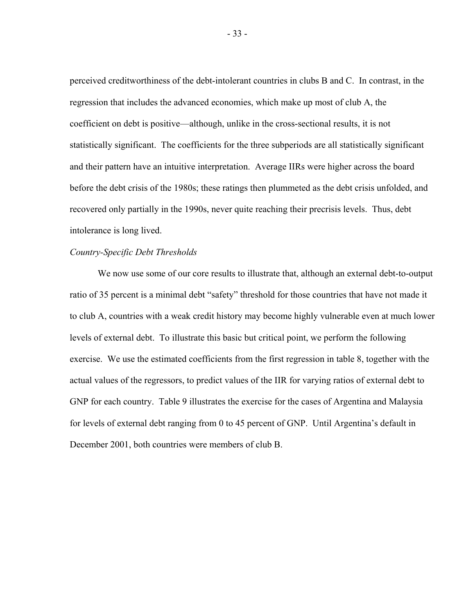perceived creditworthiness of the debt-intolerant countries in clubs B and C. In contrast, in the regression that includes the advanced economies, which make up most of club A, the coefficient on debt is positive—although, unlike in the cross-sectional results, it is not statistically significant. The coefficients for the three subperiods are all statistically significant and their pattern have an intuitive interpretation. Average IIRs were higher across the board before the debt crisis of the 1980s; these ratings then plummeted as the debt crisis unfolded, and recovered only partially in the 1990s, never quite reaching their precrisis levels. Thus, debt intolerance is long lived.

### *Country-Specific Debt Thresholds*

We now use some of our core results to illustrate that, although an external debt-to-output ratio of 35 percent is a minimal debt "safety" threshold for those countries that have not made it to club A, countries with a weak credit history may become highly vulnerable even at much lower levels of external debt. To illustrate this basic but critical point, we perform the following exercise. We use the estimated coefficients from the first regression in table 8, together with the actual values of the regressors, to predict values of the IIR for varying ratios of external debt to GNP for each country. Table 9 illustrates the exercise for the cases of Argentina and Malaysia for levels of external debt ranging from 0 to 45 percent of GNP. Until Argentina's default in December 2001, both countries were members of club B.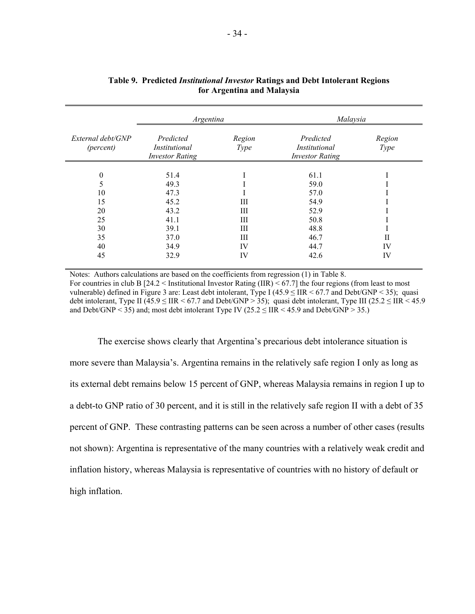|                                | Argentina                                            |                | Malaysia                                             |                |
|--------------------------------|------------------------------------------------------|----------------|------------------------------------------------------|----------------|
| External debt/GNP<br>(percent) | Predicted<br>Institutional<br><b>Investor Rating</b> | Region<br>Type | Predicted<br>Institutional<br><b>Investor Rating</b> | Region<br>Type |
| $\theta$                       | 51.4                                                 |                | 61.1                                                 |                |
| 5                              | 49.3                                                 |                | 59.0                                                 |                |
| 10                             | 47.3                                                 |                | 57.0                                                 |                |
| 15                             | 45.2                                                 | Ш              | 54.9                                                 |                |
| 20                             | 43.2                                                 | Ш              | 52.9                                                 |                |
| 25                             | 41.1                                                 | Ш              | 50.8                                                 |                |
| 30                             | 39.1                                                 | Ш              | 48.8                                                 |                |
| 35                             | 37.0                                                 | Ш              | 46.7                                                 | П              |
| 40                             | 34.9                                                 | IV             | 44.7                                                 | IV             |
| 45                             | 32.9                                                 | IV             | 42.6                                                 | IV             |

### **Table 9. Predicted** *Institutional Investor* **Ratings and Debt Intolerant Regions for Argentina and Malaysia**

Notes: Authors calculations are based on the coefficients from regression (1) in Table 8. For countries in club B  $[24.2 \leq$  Institutional Investor Rating (IIR)  $\leq$  67.7] the four regions (from least to most vulnerable) defined in Figure 3 are: Least debt intolerant, Type I (45.9  $\leq$  IIR  $\leq$  67.7 and Debt/GNP  $\leq$  35); quasi debt intolerant, Type II (45.9  $\leq$  IIR  $<$  67.7 and Debt/GNP > 35); quasi debt intolerant, Type III (25.2  $\leq$  IIR  $<$  45.9 and Debt/GNP < 35) and; most debt intolerant Type IV ( $25.2 \leq IIR$  < 45.9 and Debt/GNP > 35.)

The exercise shows clearly that Argentina's precarious debt intolerance situation is more severe than Malaysia's. Argentina remains in the relatively safe region I only as long as its external debt remains below 15 percent of GNP, whereas Malaysia remains in region I up to a debt-to GNP ratio of 30 percent, and it is still in the relatively safe region II with a debt of 35 percent of GNP. These contrasting patterns can be seen across a number of other cases (results not shown): Argentina is representative of the many countries with a relatively weak credit and inflation history, whereas Malaysia is representative of countries with no history of default or high inflation.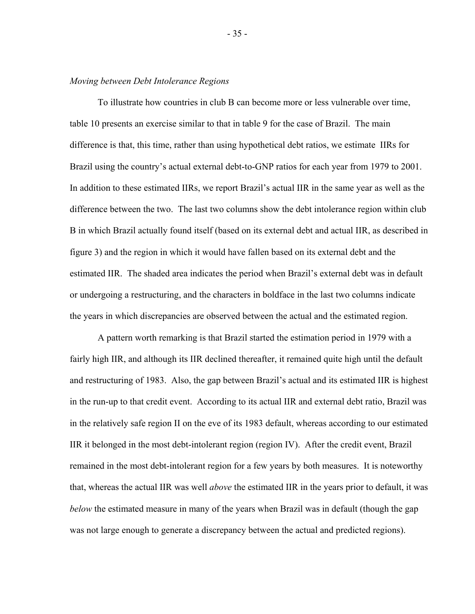## *Moving between Debt Intolerance Regions*

 To illustrate how countries in club B can become more or less vulnerable over time, table 10 presents an exercise similar to that in table 9 for the case of Brazil. The main difference is that, this time, rather than using hypothetical debt ratios, we estimate IIRs for Brazil using the country's actual external debt-to-GNP ratios for each year from 1979 to 2001. In addition to these estimated IIRs, we report Brazil's actual IIR in the same year as well as the difference between the two. The last two columns show the debt intolerance region within club B in which Brazil actually found itself (based on its external debt and actual IIR, as described in figure 3) and the region in which it would have fallen based on its external debt and the estimated IIR. The shaded area indicates the period when Brazil's external debt was in default or undergoing a restructuring, and the characters in boldface in the last two columns indicate the years in which discrepancies are observed between the actual and the estimated region.

 A pattern worth remarking is that Brazil started the estimation period in 1979 with a fairly high IIR, and although its IIR declined thereafter, it remained quite high until the default and restructuring of 1983. Also, the gap between Brazil's actual and its estimated IIR is highest in the run-up to that credit event. According to its actual IIR and external debt ratio, Brazil was in the relatively safe region II on the eve of its 1983 default, whereas according to our estimated IIR it belonged in the most debt-intolerant region (region IV). After the credit event, Brazil remained in the most debt-intolerant region for a few years by both measures. It is noteworthy that, whereas the actual IIR was well *above* the estimated IIR in the years prior to default, it was *below* the estimated measure in many of the years when Brazil was in default (though the gap was not large enough to generate a discrepancy between the actual and predicted regions).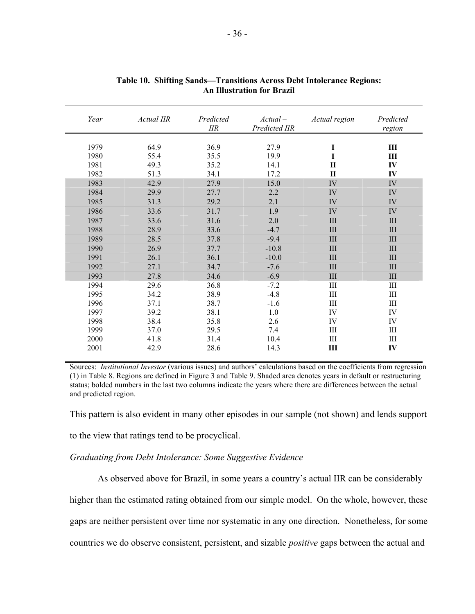| Year | <b>Actual IIR</b> | Predicted<br>IIR | $Actual -$<br>Predicted IIR | Actual region               | Predicted<br>region |
|------|-------------------|------------------|-----------------------------|-----------------------------|---------------------|
|      |                   |                  |                             |                             |                     |
| 1979 | 64.9              | 36.9             | 27.9                        | 1                           | Ш                   |
| 1980 | 55.4              | 35.5             | 19.9                        | I                           | Ш                   |
| 1981 | 49.3              | 35.2             | 14.1                        | П                           | IV                  |
| 1982 | 51.3              | 34.1             | 17.2                        | $\mathbf{I}$                | IV                  |
| 1983 | 42.9              | 27.9             | 15.0                        | IV                          | IV                  |
| 1984 | 29.9              | 27.7             | 2.2                         | IV                          | IV                  |
| 1985 | 31.3              | 29.2             | 2.1                         | IV                          | ${\rm IV}$          |
| 1986 | 33.6              | 31.7             | 1.9                         | IV                          | IV                  |
| 1987 | 33.6              | 31.6             | 2.0                         | III                         | Ш                   |
| 1988 | 28.9              | 33.6             | $-4.7$                      | $\mathop{\rm III}\nolimits$ | III                 |
| 1989 | 28.5              | 37.8             | $-9.4$                      | $\rm III$                   | III                 |
| 1990 | 26.9              | 37.7             | $-10.8$                     | III                         | $\rm III$           |
| 1991 | 26.1              | 36.1             | $-10.0$                     | III                         | $\rm III$           |
| 1992 | 27.1              | 34.7             | $-7.6$                      | III                         | III                 |
| 1993 | 27.8              | 34.6             | $-6.9$                      | $\mathop{\rm III}\nolimits$ | $\rm III$           |
| 1994 | 29.6              | 36.8             | $-7.2$                      | III                         | $\rm III$           |
| 1995 | 34.2              | 38.9             | $-4.8$                      | III                         | $\rm III$           |
| 1996 | 37.1              | 38.7             | $-1.6$                      | III                         | $\rm III$           |
| 1997 | 39.2              | 38.1             | 1.0                         | IV                          | IV                  |
| 1998 | 38.4              | 35.8             | 2.6                         | IV                          | IV                  |
| 1999 | 37.0              | 29.5             | 7.4                         | $\mathop{\rm III}$          | Ш                   |
| 2000 | 41.8              | 31.4             | 10.4                        | $\mathop{\rm III}$          | Ш                   |
| 2001 | 42.9              | 28.6             | 14.3                        | III                         | IV                  |

## **Table 10. Shifting Sands—Transitions Across Debt Intolerance Regions: An Illustration for Brazil**

Sources: *Institutional Investor* (various issues) and authors' calculations based on the coefficients from regression (1) in Table 8. Regions are defined in Figure 3 and Table 9. Shaded area denotes years in default or restructuring status; bolded numbers in the last two columns indicate the years where there are differences between the actual and predicted region.

This pattern is also evident in many other episodes in our sample (not shown) and lends support

to the view that ratings tend to be procyclical.

## *Graduating from Debt Intolerance: Some Suggestive Evidence*

As observed above for Brazil, in some years a country's actual IIR can be considerably

higher than the estimated rating obtained from our simple model. On the whole, however, these

gaps are neither persistent over time nor systematic in any one direction. Nonetheless, for some

countries we do observe consistent, persistent, and sizable *positive* gaps between the actual and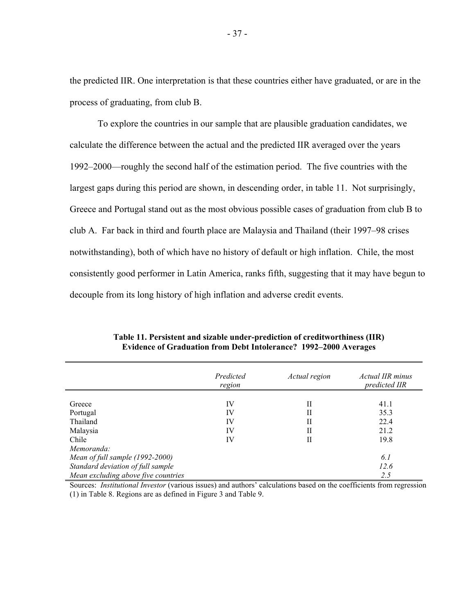the predicted IIR. One interpretation is that these countries either have graduated, or are in the process of graduating, from club B.

 To explore the countries in our sample that are plausible graduation candidates, we calculate the difference between the actual and the predicted IIR averaged over the years 1992–2000—roughly the second half of the estimation period. The five countries with the largest gaps during this period are shown, in descending order, in table 11. Not surprisingly, Greece and Portugal stand out as the most obvious possible cases of graduation from club B to club A. Far back in third and fourth place are Malaysia and Thailand (their 1997–98 crises notwithstanding), both of which have no history of default or high inflation. Chile, the most consistently good performer in Latin America, ranks fifth, suggesting that it may have begun to decouple from its long history of high inflation and adverse credit events.

|                                     | Predicted<br>region | Actual region | Actual IIR minus<br>predicted IIR |
|-------------------------------------|---------------------|---------------|-----------------------------------|
| Greece                              | IV                  | Н             | 41.1                              |
| Portugal                            | IV                  | П             | 35.3                              |
| Thailand                            | IV                  | H             | 22.4                              |
| Malaysia                            | IV                  | П             | 21.2                              |
| Chile                               | IV                  | П             | 19.8                              |
| Memoranda:                          |                     |               |                                   |
| Mean of full sample (1992-2000)     |                     |               | 6.1                               |
| Standard deviation of full sample   |                     |               | 12.6                              |
| Mean excluding above five countries |                     |               | 2.5                               |

**Table 11. Persistent and sizable under-prediction of creditworthiness (IIR) Evidence of Graduation from Debt Intolerance? 1992–2000 Averages** 

Sources: *Institutional Investor* (various issues) and authors' calculations based on the coefficients from regression (1) in Table 8. Regions are as defined in Figure 3 and Table 9.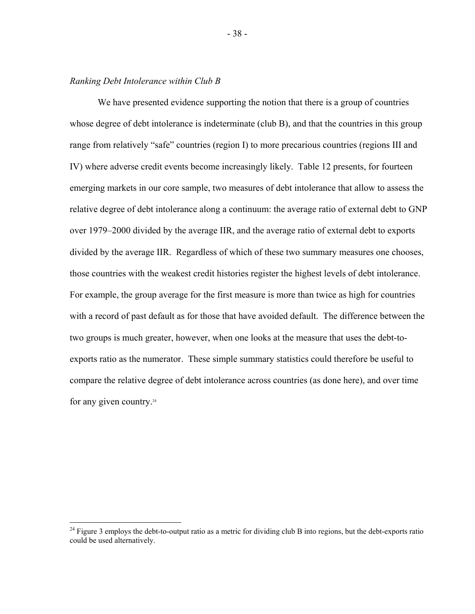### *Ranking Debt Intolerance within Club B*

1

 We have presented evidence supporting the notion that there is a group of countries whose degree of debt intolerance is indeterminate (club B), and that the countries in this group range from relatively "safe" countries (region I) to more precarious countries (regions III and IV) where adverse credit events become increasingly likely. Table 12 presents, for fourteen emerging markets in our core sample, two measures of debt intolerance that allow to assess the relative degree of debt intolerance along a continuum: the average ratio of external debt to GNP over 1979–2000 divided by the average IIR, and the average ratio of external debt to exports divided by the average IIR. Regardless of which of these two summary measures one chooses, those countries with the weakest credit histories register the highest levels of debt intolerance. For example, the group average for the first measure is more than twice as high for countries with a record of past default as for those that have avoided default. The difference between the two groups is much greater, however, when one looks at the measure that uses the debt-toexports ratio as the numerator. These simple summary statistics could therefore be useful to compare the relative degree of debt intolerance across countries (as done here), and over time for any given country.24

 $24$  Figure 3 employs the debt-to-output ratio as a metric for dividing club B into regions, but the debt-exports ratio could be used alternatively.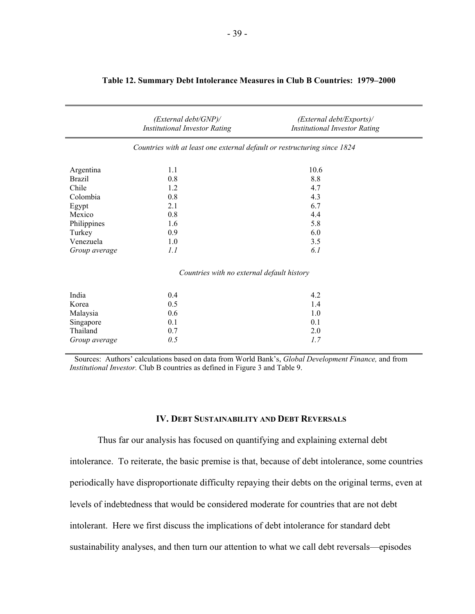|                                                                                   | (External debt/GNP)/<br><b>Institutional Investor Rating</b>             | (External debt/Exports)/<br><b>Institutional Investor Rating</b> |  |
|-----------------------------------------------------------------------------------|--------------------------------------------------------------------------|------------------------------------------------------------------|--|
|                                                                                   | Countries with at least one external default or restructuring since 1824 |                                                                  |  |
| Argentina<br><b>Brazil</b><br>Chile<br>Colombia<br>Egypt<br>Mexico<br>Philippines | 1.1<br>0.8<br>1.2<br>0.8<br>2.1<br>0.8<br>1.6                            | 10.6<br>8.8<br>4.7<br>4.3<br>6.7<br>4.4<br>5.8                   |  |
| Turkey<br>Venezuela<br>Group average                                              | 0.9<br>1.0<br>1.1<br>Countries with no external default history          | 6.0<br>3.5<br>6.1                                                |  |
|                                                                                   |                                                                          |                                                                  |  |
| India<br>Korea<br>Malaysia<br>Singapore<br>Thailand<br>Group average              | 0.4<br>0.5<br>0.6<br>0.1<br>0.7<br>0.5                                   | 4.2<br>1.4<br>1.0<br>0.1<br>2.0<br>1.7                           |  |

### **Table 12. Summary Debt Intolerance Measures in Club B Countries: 1979–2000**

 Sources: Authors' calculations based on data from World Bank's, *Global Development Finance,* and from *Institutional Investor.* Club B countries as defined in Figure 3 and Table 9.

# **IV. DEBT SUSTAINABILITY AND DEBT REVERSALS**

Thus far our analysis has focused on quantifying and explaining external debt intolerance. To reiterate, the basic premise is that, because of debt intolerance, some countries periodically have disproportionate difficulty repaying their debts on the original terms, even at levels of indebtedness that would be considered moderate for countries that are not debt intolerant. Here we first discuss the implications of debt intolerance for standard debt sustainability analyses, and then turn our attention to what we call debt reversals—episodes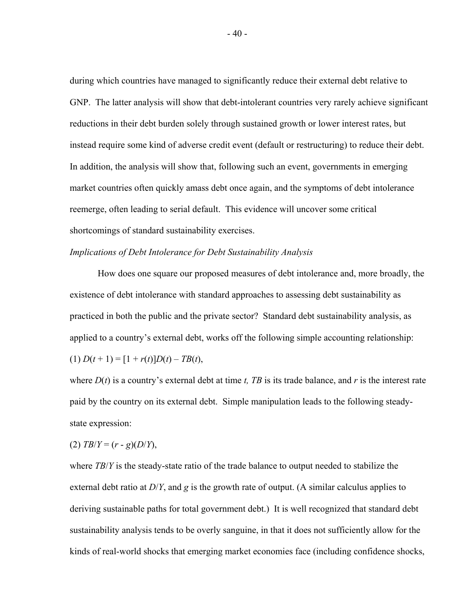during which countries have managed to significantly reduce their external debt relative to GNP. The latter analysis will show that debt-intolerant countries very rarely achieve significant reductions in their debt burden solely through sustained growth or lower interest rates, but instead require some kind of adverse credit event (default or restructuring) to reduce their debt. In addition, the analysis will show that, following such an event, governments in emerging market countries often quickly amass debt once again, and the symptoms of debt intolerance reemerge, often leading to serial default. This evidence will uncover some critical shortcomings of standard sustainability exercises.

# *Implications of Debt Intolerance for Debt Sustainability Analysis*

How does one square our proposed measures of debt intolerance and, more broadly, the existence of debt intolerance with standard approaches to assessing debt sustainability as practiced in both the public and the private sector? Standard debt sustainability analysis, as applied to a country's external debt, works off the following simple accounting relationship: (1) *D*(*t* + 1) = [1 + *r*(*t*)]*D*(*t*) – *TB*(*t*),

where *D*(*t*) is a country's external debt at time *t, TB* is its trade balance, and *r* is the interest rate paid by the country on its external debt. Simple manipulation leads to the following steadystate expression:

(2) 
$$
TB/Y = (r - g)(D/Y)
$$
,

where *TB*/*Y* is the steady-state ratio of the trade balance to output needed to stabilize the external debt ratio at *D*/*Y*, and *g* is the growth rate of output. (A similar calculus applies to deriving sustainable paths for total government debt.) It is well recognized that standard debt sustainability analysis tends to be overly sanguine, in that it does not sufficiently allow for the kinds of real-world shocks that emerging market economies face (including confidence shocks,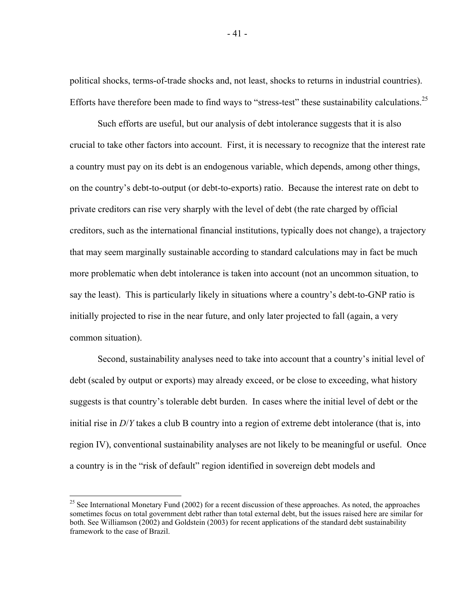political shocks, terms-of-trade shocks and, not least, shocks to returns in industrial countries). Efforts have therefore been made to find ways to "stress-test" these sustainability calculations.<sup>25</sup>

 Such efforts are useful, but our analysis of debt intolerance suggests that it is also crucial to take other factors into account. First, it is necessary to recognize that the interest rate a country must pay on its debt is an endogenous variable, which depends, among other things, on the country's debt-to-output (or debt-to-exports) ratio. Because the interest rate on debt to private creditors can rise very sharply with the level of debt (the rate charged by official creditors, such as the international financial institutions, typically does not change), a trajectory that may seem marginally sustainable according to standard calculations may in fact be much more problematic when debt intolerance is taken into account (not an uncommon situation, to say the least). This is particularly likely in situations where a country's debt-to-GNP ratio is initially projected to rise in the near future, and only later projected to fall (again, a very common situation).

 Second, sustainability analyses need to take into account that a country's initial level of debt (scaled by output or exports) may already exceed, or be close to exceeding, what history suggests is that country's tolerable debt burden. In cases where the initial level of debt or the initial rise in *D*/*Y* takes a club B country into a region of extreme debt intolerance (that is, into region IV), conventional sustainability analyses are not likely to be meaningful or useful. Once a country is in the "risk of default" region identified in sovereign debt models and

1

- 41 -

<sup>&</sup>lt;sup>25</sup> See International Monetary Fund (2002) for a recent discussion of these approaches. As noted, the approaches sometimes focus on total government debt rather than total external debt, but the issues raised here are similar for both. See Williamson (2002) and Goldstein (2003) for recent applications of the standard debt sustainability framework to the case of Brazil.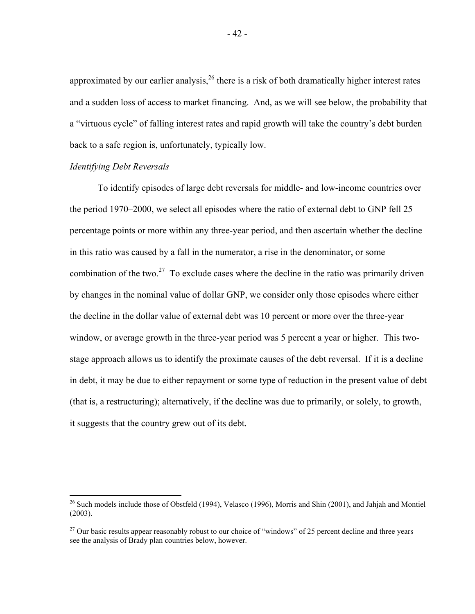approximated by our earlier analysis,  $26$  there is a risk of both dramatically higher interest rates and a sudden loss of access to market financing. And, as we will see below, the probability that a "virtuous cycle" of falling interest rates and rapid growth will take the country's debt burden back to a safe region is, unfortunately, typically low.

# *Identifying Debt Reversals*

1

 To identify episodes of large debt reversals for middle- and low-income countries over the period 1970–2000, we select all episodes where the ratio of external debt to GNP fell 25 percentage points or more within any three-year period, and then ascertain whether the decline in this ratio was caused by a fall in the numerator, a rise in the denominator, or some combination of the two.<sup>27</sup> To exclude cases where the decline in the ratio was primarily driven by changes in the nominal value of dollar GNP, we consider only those episodes where either the decline in the dollar value of external debt was 10 percent or more over the three-year window, or average growth in the three-year period was 5 percent a year or higher. This twostage approach allows us to identify the proximate causes of the debt reversal. If it is a decline in debt, it may be due to either repayment or some type of reduction in the present value of debt (that is, a restructuring); alternatively, if the decline was due to primarily, or solely, to growth, it suggests that the country grew out of its debt.

 $26$  Such models include those of Obstfeld (1994), Velasco (1996), Morris and Shin (2001), and Jahjah and Montiel (2003).

 $27$  Our basic results appear reasonably robust to our choice of "windows" of 25 percent decline and three years see the analysis of Brady plan countries below, however.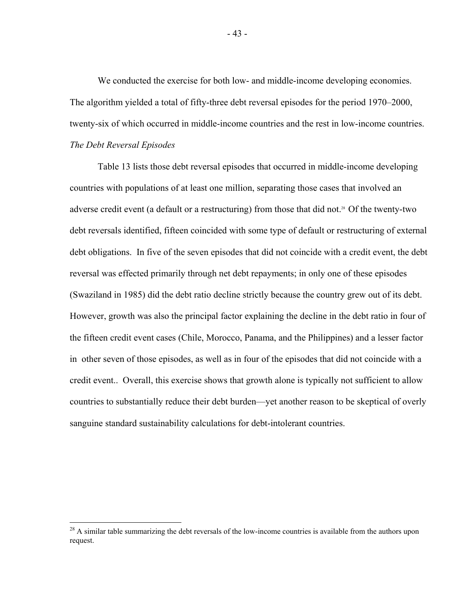We conducted the exercise for both low- and middle-income developing economies. The algorithm yielded a total of fifty-three debt reversal episodes for the period 1970–2000, twenty-six of which occurred in middle-income countries and the rest in low-income countries. *The Debt Reversal Episodes* 

 Table 13 lists those debt reversal episodes that occurred in middle-income developing countries with populations of at least one million, separating those cases that involved an adverse credit event (a default or a restructuring) from those that did not.<sup>28</sup> Of the twenty-two debt reversals identified, fifteen coincided with some type of default or restructuring of external debt obligations. In five of the seven episodes that did not coincide with a credit event, the debt reversal was effected primarily through net debt repayments; in only one of these episodes (Swaziland in 1985) did the debt ratio decline strictly because the country grew out of its debt. However, growth was also the principal factor explaining the decline in the debt ratio in four of the fifteen credit event cases (Chile, Morocco, Panama, and the Philippines) and a lesser factor in other seven of those episodes, as well as in four of the episodes that did not coincide with a credit event.. Overall, this exercise shows that growth alone is typically not sufficient to allow countries to substantially reduce their debt burden—yet another reason to be skeptical of overly sanguine standard sustainability calculations for debt-intolerant countries.

1

<sup>&</sup>lt;sup>28</sup> A similar table summarizing the debt reversals of the low-income countries is available from the authors upon request.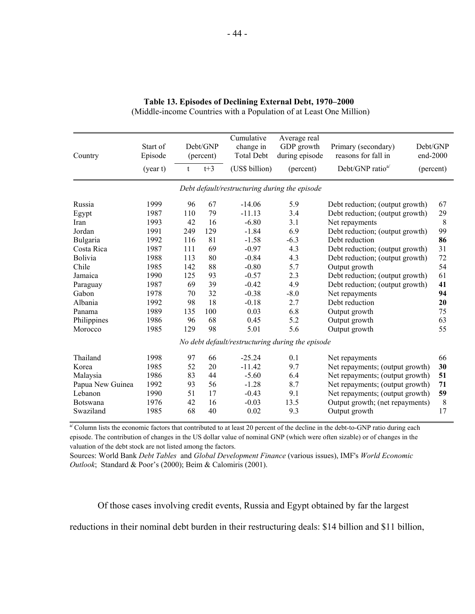| Country          | Start of<br>Episode |     | Debt/GNP<br>(percent) | Cumulative<br>change in<br><b>Total Debt</b>  | Average real<br>GDP growth<br>during episode     | Debt/GNP<br>Primary (secondary)<br>end-2000<br>reasons for fall in |    |
|------------------|---------------------|-----|-----------------------|-----------------------------------------------|--------------------------------------------------|--------------------------------------------------------------------|----|
|                  | (year t)            | t   | $t+3$                 | (US\$ billion)                                | (percent)                                        | Debt/GNP ratio $a$ <sup><math>\prime</math></sup><br>(percent)     |    |
|                  |                     |     |                       | Debt default/restructuring during the episode |                                                  |                                                                    |    |
| Russia           | 1999                | 96  | 67                    | $-14.06$                                      | 5.9                                              | Debt reduction; (output growth)                                    | 67 |
| Egypt            | 1987                | 110 | 79                    | $-11.13$                                      | 3.4                                              | Debt reduction; (output growth)                                    | 29 |
| Iran             | 1993                | 42  | 16                    | $-6.80$                                       | 3.1                                              | Net repayments                                                     | 8  |
| Jordan           | 1991                | 249 | 129                   | $-1.84$                                       | 6.9                                              | Debt reduction; (output growth)                                    | 99 |
| Bulgaria         | 1992                | 116 | 81                    | $-1.58$                                       | $-6.3$                                           | Debt reduction                                                     | 86 |
| Costa Rica       | 1987                | 111 | 69                    | $-0.97$                                       | 4.3                                              | Debt reduction; (output growth)                                    | 31 |
| Bolivia          | 1988                | 113 | 80                    | $-0.84$                                       | 4.3                                              | Debt reduction; (output growth)                                    | 72 |
| Chile            | 1985                | 142 | 88                    | $-0.80$                                       | 5.7                                              | Output growth                                                      | 54 |
| Jamaica          | 1990                | 125 | 93                    | $-0.57$                                       | 2.3                                              | Debt reduction; (output growth)                                    | 61 |
| Paraguay         | 1987                | 69  | 39                    | $-0.42$                                       | 4.9                                              | Debt reduction; (output growth)                                    | 41 |
| Gabon            | 1978                | 70  | 32                    | $-0.38$                                       | $-8.0$                                           | Net repayments                                                     | 94 |
| Albania          | 1992                | 98  | 18                    | $-0.18$                                       | 2.7                                              | Debt reduction                                                     | 20 |
| Panama           | 1989                | 135 | 100                   | 0.03                                          | 6.8                                              | Output growth                                                      | 75 |
| Philippines      | 1986                | 96  | 68                    | 0.45                                          | 5.2                                              | Output growth                                                      | 63 |
| Morocco          | 1985                | 129 | 98                    | 5.01                                          | 5.6                                              | Output growth                                                      | 55 |
|                  |                     |     |                       |                                               | No debt default/restructuring during the episode |                                                                    |    |
| Thailand         | 1998                | 97  | 66                    | $-25.24$                                      | 0.1                                              | Net repayments                                                     | 66 |
| Korea            | 1985                | 52  | 20                    | $-11.42$                                      | 9.7                                              | Net repayments; (output growth)                                    | 30 |
| Malaysia         | 1986                | 83  | 44                    | $-5.60$                                       | 6.4                                              | Net repayments; (output growth)                                    | 51 |
| Papua New Guinea | 1992                | 93  | 56                    | $-1.28$                                       | 8.7                                              | Net repayments; (output growth)                                    | 71 |
| Lebanon          | 1990                | 51  | 17                    | $-0.43$                                       | 9.1                                              | Net repayments; (output growth)                                    | 59 |
| <b>Botswana</b>  | 1976                | 42  | 16                    | $-0.03$                                       | 13.5                                             | Output growth; (net repayments)                                    | 8  |
| Swaziland        | 1985                | 68  | 40                    | 0.02                                          | 9.3                                              | Output growth                                                      | 17 |

# **Table 13. Episodes of Declining External Debt, 1970–2000**

(Middle-income Countries with a Population of at Least One Million)

 $\sqrt[n]{\text{Column lists the economic factors that contributed to at least 20 percent of the decline in the debt-to-GNP ratio during each}}$ episode. The contribution of changes in the US dollar value of nominal GNP (which were often sizable) or of changes in the valuation of the debt stock are not listed among the factors.

Sources: World Bank *Debt Tables* and *Global Development Finance* (various issues), IMF's *World Economic Outlook*; Standard & Poor's (2000); Beim & Calomiris (2001).

Of those cases involving credit events, Russia and Egypt obtained by far the largest

reductions in their nominal debt burden in their restructuring deals: \$14 billion and \$11 billion,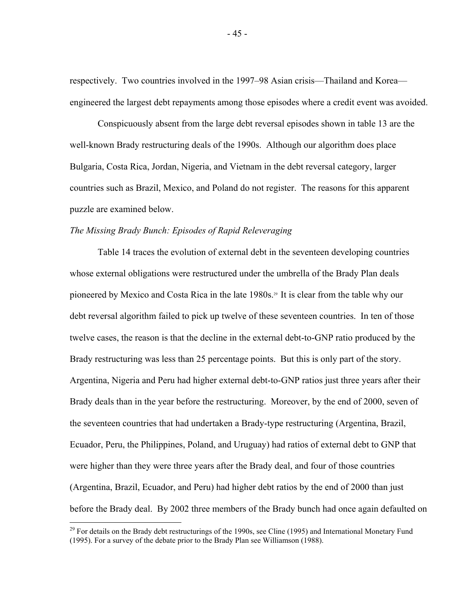respectively. Two countries involved in the 1997–98 Asian crisis—Thailand and Korea engineered the largest debt repayments among those episodes where a credit event was avoided.

 Conspicuously absent from the large debt reversal episodes shown in table 13 are the well-known Brady restructuring deals of the 1990s. Although our algorithm does place Bulgaria, Costa Rica, Jordan, Nigeria, and Vietnam in the debt reversal category, larger countries such as Brazil, Mexico, and Poland do not register. The reasons for this apparent puzzle are examined below.

# *The Missing Brady Bunch: Episodes of Rapid Releveraging*

1

 Table 14 traces the evolution of external debt in the seventeen developing countries whose external obligations were restructured under the umbrella of the Brady Plan deals pioneered by Mexico and Costa Rica in the late 1980s.29 It is clear from the table why our debt reversal algorithm failed to pick up twelve of these seventeen countries. In ten of those twelve cases, the reason is that the decline in the external debt-to-GNP ratio produced by the Brady restructuring was less than 25 percentage points. But this is only part of the story. Argentina, Nigeria and Peru had higher external debt-to-GNP ratios just three years after their Brady deals than in the year before the restructuring. Moreover, by the end of 2000, seven of the seventeen countries that had undertaken a Brady-type restructuring (Argentina, Brazil, Ecuador, Peru, the Philippines, Poland, and Uruguay) had ratios of external debt to GNP that were higher than they were three years after the Brady deal, and four of those countries (Argentina, Brazil, Ecuador, and Peru) had higher debt ratios by the end of 2000 than just before the Brady deal. By 2002 three members of the Brady bunch had once again defaulted on

<sup>&</sup>lt;sup>29</sup> For details on the Brady debt restructurings of the 1990s, see Cline (1995) and International Monetary Fund (1995). For a survey of the debate prior to the Brady Plan see Williamson (1988).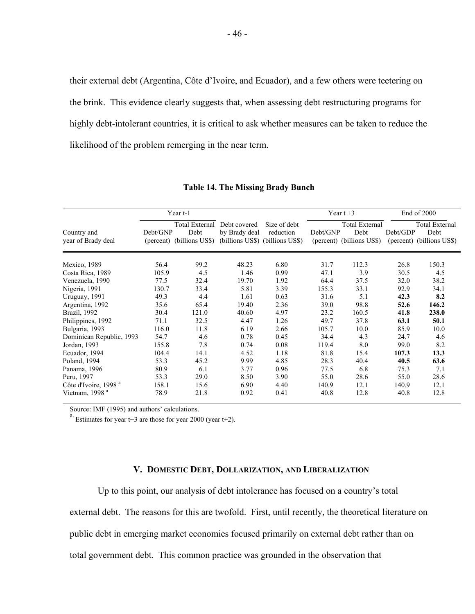their external debt (Argentina, Côte d'Ivoire, and Ecuador), and a few others were teetering on the brink. This evidence clearly suggests that, when assessing debt restructuring programs for highly debt-intolerant countries, it is critical to ask whether measures can be taken to reduce the likelihood of the problem remerging in the near term.

|                                  |          | Year t-1                  |               |                                 |          | Year $t + 3$              |          | End of 2000               |
|----------------------------------|----------|---------------------------|---------------|---------------------------------|----------|---------------------------|----------|---------------------------|
|                                  |          | <b>Total External</b>     | Debt covered  | Size of debt                    |          | <b>Total External</b>     |          | <b>Total External</b>     |
| Country and                      | Debt/GNP | Debt                      | by Brady deal | reduction                       | Debt/GNP | Debt                      | Debt/GDP | Debt                      |
| year of Brady deal               |          | (percent) (billions US\$) |               | (billions US\$) (billions US\$) |          | (percent) (billions US\$) |          | (percent) (billions US\$) |
| Mexico, 1989                     | 56.4     | 99.2                      | 48.23         | 6.80                            | 31.7     | 112.3                     | 26.8     | 150.3                     |
| Costa Rica, 1989                 | 105.9    | 4.5                       | 1.46          | 0.99                            | 47.1     | 3.9                       | 30.5     | 4.5                       |
| Venezuela, 1990                  | 77.5     | 32.4                      | 19.70         | 1.92                            | 64.4     | 37.5                      | 32.0     | 38.2                      |
| Nigeria, 1991                    | 130.7    | 33.4                      | 5.81          | 3.39                            | 155.3    | 33.1                      | 92.9     | 34.1                      |
| Uruguay, 1991                    | 49.3     | 4.4                       | 1.61          | 0.63                            | 31.6     | 5.1                       | 42.3     | 8.2                       |
| Argentina, 1992                  | 35.6     | 65.4                      | 19.40         | 2.36                            | 39.0     | 98.8                      | 52.6     | 146.2                     |
| <b>Brazil</b> , 1992             | 30.4     | 121.0                     | 40.60         | 4.97                            | 23.2     | 160.5                     | 41.8     | 238.0                     |
| Philippines, 1992                | 71.1     | 32.5                      | 4.47          | 1.26                            | 49.7     | 37.8                      | 63.1     | 50.1                      |
| Bulgaria, 1993                   | 116.0    | 11.8                      | 6.19          | 2.66                            | 105.7    | 10.0                      | 85.9     | 10.0                      |
| Dominican Republic, 1993         | 54.7     | 4.6                       | 0.78          | 0.45                            | 34.4     | 4.3                       | 24.7     | 4.6                       |
| Jordan, 1993                     | 155.8    | 7.8                       | 0.74          | 0.08                            | 119.4    | 8.0                       | 99.0     | 8.2                       |
| Ecuador, 1994                    | 104.4    | 14.1                      | 4.52          | 1.18                            | 81.8     | 15.4                      | 107.3    | 13.3                      |
| Poland, 1994                     | 53.3     | 45.2                      | 9.99          | 4.85                            | 28.3     | 40.4                      | 40.5     | 63.6                      |
| Panama, 1996                     | 80.9     | 6.1                       | 3.77          | 0.96                            | 77.5     | 6.8                       | 75.3     | 7.1                       |
| Peru, 1997                       | 53.3     | 29.0                      | 8.50          | 3.90                            | 55.0     | 28.6                      | 55.0     | 28.6                      |
| Côte d'Ivoire, 1998 <sup>a</sup> | 158.1    | 15.6                      | 6.90          | 4.40                            | 140.9    | 12.1                      | 140.9    | 12.1                      |
| Vietnam, 1998 <sup>a</sup>       | 78.9     | 21.8                      | 0.92          | 0.41                            | 40.8     | 12.8                      | 40.8     | 12.8                      |

**Table 14. The Missing Brady Bunch** 

Source: IMF (1995) and authors' calculations.

<sup>a.</sup> Estimates for year t+3 are those for year 2000 (year t+2).

# **V. DOMESTIC DEBT, DOLLARIZATION, AND LIBERALIZATION**

 Up to this point, our analysis of debt intolerance has focused on a country's total external debt. The reasons for this are twofold. First, until recently, the theoretical literature on public debt in emerging market economies focused primarily on external debt rather than on total government debt. This common practice was grounded in the observation that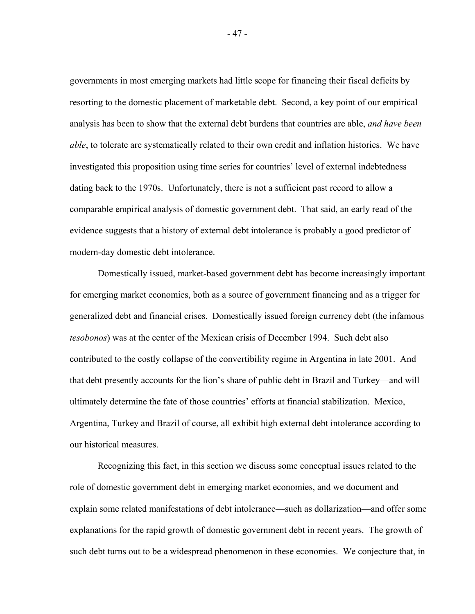governments in most emerging markets had little scope for financing their fiscal deficits by resorting to the domestic placement of marketable debt. Second, a key point of our empirical analysis has been to show that the external debt burdens that countries are able, *and have been able*, to tolerate are systematically related to their own credit and inflation histories. We have investigated this proposition using time series for countries' level of external indebtedness dating back to the 1970s. Unfortunately, there is not a sufficient past record to allow a comparable empirical analysis of domestic government debt. That said, an early read of the evidence suggests that a history of external debt intolerance is probably a good predictor of modern-day domestic debt intolerance.

 Domestically issued, market-based government debt has become increasingly important for emerging market economies, both as a source of government financing and as a trigger for generalized debt and financial crises. Domestically issued foreign currency debt (the infamous *tesobonos*) was at the center of the Mexican crisis of December 1994. Such debt also contributed to the costly collapse of the convertibility regime in Argentina in late 2001. And that debt presently accounts for the lion's share of public debt in Brazil and Turkey—and will ultimately determine the fate of those countries' efforts at financial stabilization. Mexico, Argentina, Turkey and Brazil of course, all exhibit high external debt intolerance according to our historical measures.

Recognizing this fact, in this section we discuss some conceptual issues related to the role of domestic government debt in emerging market economies, and we document and explain some related manifestations of debt intolerance—such as dollarization—and offer some explanations for the rapid growth of domestic government debt in recent years. The growth of such debt turns out to be a widespread phenomenon in these economies. We conjecture that, in

- 47 -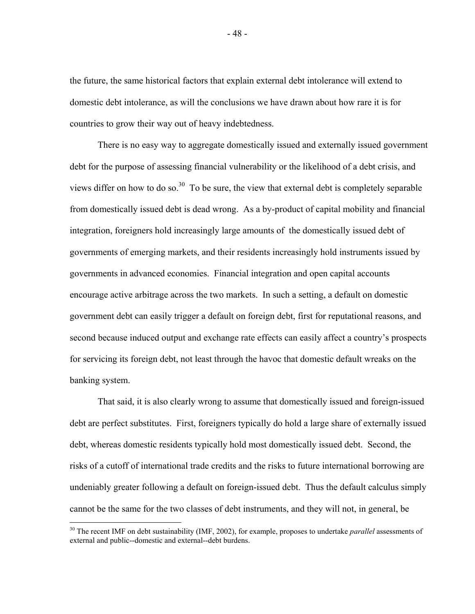the future, the same historical factors that explain external debt intolerance will extend to domestic debt intolerance, as will the conclusions we have drawn about how rare it is for countries to grow their way out of heavy indebtedness.

There is no easy way to aggregate domestically issued and externally issued government debt for the purpose of assessing financial vulnerability or the likelihood of a debt crisis, and views differ on how to do so.<sup>30</sup> To be sure, the view that external debt is completely separable from domestically issued debt is dead wrong. As a by-product of capital mobility and financial integration, foreigners hold increasingly large amounts of the domestically issued debt of governments of emerging markets, and their residents increasingly hold instruments issued by governments in advanced economies. Financial integration and open capital accounts encourage active arbitrage across the two markets. In such a setting, a default on domestic government debt can easily trigger a default on foreign debt, first for reputational reasons, and second because induced output and exchange rate effects can easily affect a country's prospects for servicing its foreign debt, not least through the havoc that domestic default wreaks on the banking system.

That said, it is also clearly wrong to assume that domestically issued and foreign-issued debt are perfect substitutes. First, foreigners typically do hold a large share of externally issued debt, whereas domestic residents typically hold most domestically issued debt. Second, the risks of a cutoff of international trade credits and the risks to future international borrowing are undeniably greater following a default on foreign-issued debt. Thus the default calculus simply cannot be the same for the two classes of debt instruments, and they will not, in general, be

1

<sup>&</sup>lt;sup>30</sup> The recent IMF on debt sustainability (IMF, 2002), for example, proposes to undertake *parallel* assessments of external and public--domestic and external--debt burdens.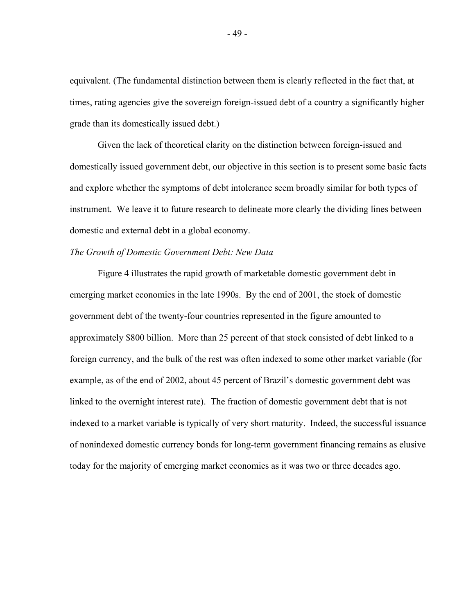equivalent. (The fundamental distinction between them is clearly reflected in the fact that, at times, rating agencies give the sovereign foreign-issued debt of a country a significantly higher grade than its domestically issued debt.)

 Given the lack of theoretical clarity on the distinction between foreign-issued and domestically issued government debt, our objective in this section is to present some basic facts and explore whether the symptoms of debt intolerance seem broadly similar for both types of instrument. We leave it to future research to delineate more clearly the dividing lines between domestic and external debt in a global economy.

### *The Growth of Domestic Government Debt: New Data*

Figure 4 illustrates the rapid growth of marketable domestic government debt in emerging market economies in the late 1990s. By the end of 2001, the stock of domestic government debt of the twenty-four countries represented in the figure amounted to approximately \$800 billion. More than 25 percent of that stock consisted of debt linked to a foreign currency, and the bulk of the rest was often indexed to some other market variable (for example, as of the end of 2002, about 45 percent of Brazil's domestic government debt was linked to the overnight interest rate). The fraction of domestic government debt that is not indexed to a market variable is typically of very short maturity. Indeed, the successful issuance of nonindexed domestic currency bonds for long-term government financing remains as elusive today for the majority of emerging market economies as it was two or three decades ago.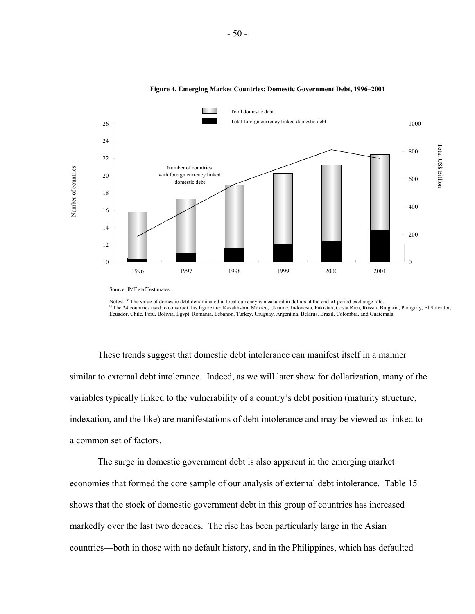

#### **Figure 4. Emerging Market Countries: Domestic Government Debt, 1996–2001**

Source: IMF staff estimates.

Notes: <sup>a/</sup> The value of domestic debt denominated in local currency is measured in dollars at the end-of-period exchange rate. Notes: <sup>a</sup>' The value of domestic debt denominated in local currency is measured in dollars at the end-of-period exchange rate.<br><sup>b</sup>' The 24 countries used to construct this figure are: Kazakhstan, Mexico, Ukraine, Indonesi Ecuador, Chile, Peru, Bolivia, Egypt, Romania, Lebanon, Turkey, Uruguay, Argentina, Belarus, Brazil, Colombia, and Guatemala.

These trends suggest that domestic debt intolerance can manifest itself in a manner similar to external debt intolerance. Indeed, as we will later show for dollarization, many of the variables typically linked to the vulnerability of a country's debt position (maturity structure, indexation, and the like) are manifestations of debt intolerance and may be viewed as linked to a common set of factors.

 The surge in domestic government debt is also apparent in the emerging market economies that formed the core sample of our analysis of external debt intolerance. Table 15 shows that the stock of domestic government debt in this group of countries has increased markedly over the last two decades. The rise has been particularly large in the Asian countries—both in those with no default history, and in the Philippines, which has defaulted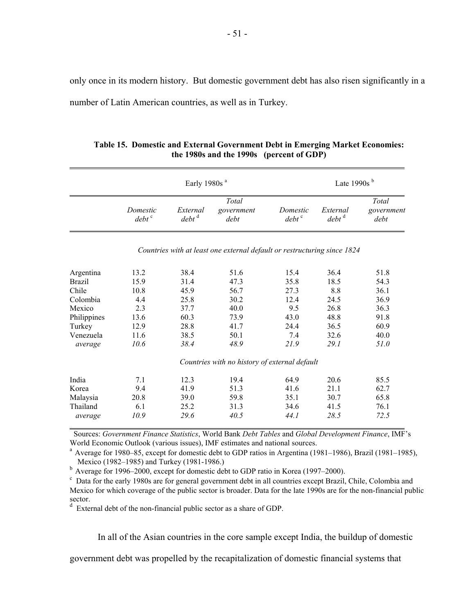only once in its modern history. But domestic government debt has also risen significantly in a number of Latin American countries, as well as in Turkey.

|               |                      | Early 1980s $a$                 |                                                                          | Late $1990sb$        |                      |                             |
|---------------|----------------------|---------------------------------|--------------------------------------------------------------------------|----------------------|----------------------|-----------------------------|
|               | Domestic<br>$debt^c$ | External<br>$debt$ <sup>d</sup> | Total<br>government<br>debt                                              | Domestic<br>$debt^c$ | External<br>$debt^d$ | Total<br>government<br>debt |
|               |                      |                                 | Countries with at least one external default or restructuring since 1824 |                      |                      |                             |
| Argentina     | 13.2                 | 38.4                            | 51.6                                                                     | 15.4                 | 36.4                 | 51.8                        |
| <b>Brazil</b> | 15.9                 | 31.4                            | 47.3                                                                     | 35.8                 | 18.5                 | 54.3                        |
| Chile         | 10.8                 | 45.9                            | 56.7                                                                     | 27.3                 | 8.8                  | 36.1                        |
| Colombia      | 4.4                  | 25.8                            | 30.2                                                                     | 12.4                 | 24.5                 | 36.9                        |
| Mexico        | 2.3                  | 37.7                            | 40.0                                                                     | 9.5                  | 26.8                 | 36.3                        |
| Philippines   | 13.6                 | 60.3                            | 73.9                                                                     | 43.0                 | 48.8                 | 91.8                        |
| Turkey        | 12.9                 | 28.8                            | 41.7                                                                     | 24.4                 | 36.5                 | 60.9                        |
| Venezuela     | 11.6                 | 38.5                            | 50.1                                                                     | 7.4                  | 32.6                 | 40.0                        |
| average       | 10.6                 | 38.4                            | 48.9                                                                     | 21.9                 | 29.1                 | 51.0                        |
|               |                      |                                 | Countries with no history of external default                            |                      |                      |                             |
| India         | 7.1                  | 12.3                            | 19.4                                                                     | 64.9                 | 20.6                 | 85.5                        |
| Korea         | 9.4                  | 41.9                            | 51.3                                                                     | 41.6                 | 21.1                 | 62.7                        |
| Malaysia      | 20.8                 | 39.0                            | 59.8                                                                     | 35.1                 | 30.7                 | 65.8                        |
| Thailand      | 6.1                  | 25.2                            | 31.3                                                                     | 34.6                 | 41.5                 | 76.1                        |
| average       | 10.9                 | 29.6                            | 40.5                                                                     | 44. I                | 28.5                 | 72.5                        |
|               |                      |                                 |                                                                          |                      |                      |                             |

| Table 15. Domestic and External Government Debt in Emerging Market Economies: |  |  |
|-------------------------------------------------------------------------------|--|--|
| the 1980s and the 1990s (percent of GDP)                                      |  |  |

 Sources: *Government Finance Statistics*, World Bank *Debt Tables* and *Global Development Finance*, IMF's World Economic Outlook (various issues), IMF estimates and national sources.

<sup>a</sup> Average for 1980–85, except for domestic debt to GDP ratios in Argentina (1981–1986), Brazil (1981–1985), Mexico (1982–1985) and Turkey (1981-1986.)

b Average for 1996–2000, except for domestic debt to GDP ratio in Korea (1997–2000).

c Data for the early 1980s are for general government debt in all countries except Brazil, Chile, Colombia and Mexico for which coverage of the public sector is broader. Data for the late 1990s are for the non-financial public sector.<br><sup>d</sup> External debt of the non-financial public sector as a share of GDP.

 $\overline{a}$ 

In all of the Asian countries in the core sample except India, the buildup of domestic

government debt was propelled by the recapitalization of domestic financial systems that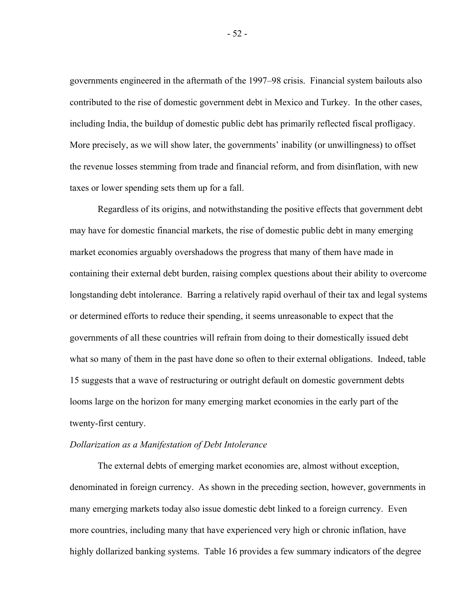governments engineered in the aftermath of the 1997–98 crisis. Financial system bailouts also contributed to the rise of domestic government debt in Mexico and Turkey. In the other cases, including India, the buildup of domestic public debt has primarily reflected fiscal profligacy. More precisely, as we will show later, the governments' inability (or unwillingness) to offset the revenue losses stemming from trade and financial reform, and from disinflation, with new taxes or lower spending sets them up for a fall.

Regardless of its origins, and notwithstanding the positive effects that government debt may have for domestic financial markets, the rise of domestic public debt in many emerging market economies arguably overshadows the progress that many of them have made in containing their external debt burden, raising complex questions about their ability to overcome longstanding debt intolerance. Barring a relatively rapid overhaul of their tax and legal systems or determined efforts to reduce their spending, it seems unreasonable to expect that the governments of all these countries will refrain from doing to their domestically issued debt what so many of them in the past have done so often to their external obligations. Indeed, table 15 suggests that a wave of restructuring or outright default on domestic government debts looms large on the horizon for many emerging market economies in the early part of the twenty-first century.

### *Dollarization as a Manifestation of Debt Intolerance*

 The external debts of emerging market economies are, almost without exception, denominated in foreign currency. As shown in the preceding section, however, governments in many emerging markets today also issue domestic debt linked to a foreign currency. Even more countries, including many that have experienced very high or chronic inflation, have highly dollarized banking systems. Table 16 provides a few summary indicators of the degree

- 52 -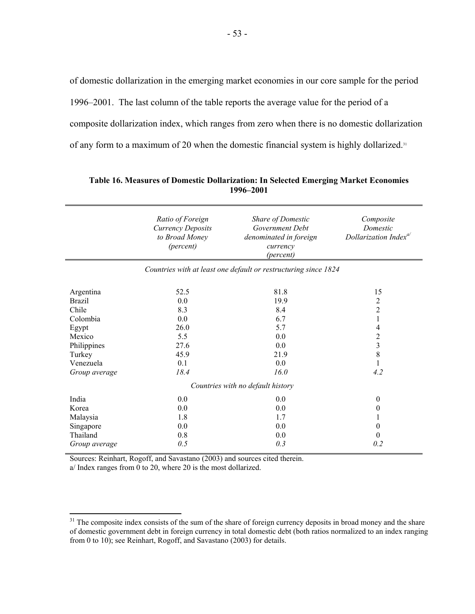of domestic dollarization in the emerging market economies in our core sample for the period 1996–2001. The last column of the table reports the average value for the period of a composite dollarization index, which ranges from zero when there is no domestic dollarization of any form to a maximum of 20 when the domestic financial system is highly dollarized.31

|               | Ratio of Foreign<br><b>Currency Deposits</b><br>to Broad Money<br>(percent) | Share of Domestic<br>Government Debt<br>denominated in foreign<br>currency<br>(percent) | Composite<br>Domestic<br>Dollarization Index <sup>a/</sup> |
|---------------|-----------------------------------------------------------------------------|-----------------------------------------------------------------------------------------|------------------------------------------------------------|
|               |                                                                             | Countries with at least one default or restructuring since 1824                         |                                                            |
| Argentina     | 52.5                                                                        | 81.8                                                                                    | 15                                                         |
| <b>Brazil</b> | 0.0                                                                         | 19.9                                                                                    | $\overline{2}$                                             |
| Chile         | 8.3                                                                         | 8.4                                                                                     | $\overline{2}$                                             |
| Colombia      | 0.0                                                                         | 6.7                                                                                     | 1                                                          |
| Egypt         | 26.0                                                                        | 5.7                                                                                     | 4                                                          |
| Mexico        | 5.5                                                                         | 0.0                                                                                     | $\overline{c}$                                             |
| Philippines   | 27.6                                                                        | 0.0                                                                                     | 3                                                          |
| Turkey        | 45.9                                                                        | 21.9                                                                                    | 8                                                          |
| Venezuela     | 0.1                                                                         | 0.0                                                                                     |                                                            |
| Group average | 18.4                                                                        | 16.0                                                                                    | 4.2                                                        |
|               |                                                                             | Countries with no default history                                                       |                                                            |
| India         | 0.0                                                                         | 0.0                                                                                     | $\boldsymbol{0}$                                           |
| Korea         | 0.0                                                                         | 0.0                                                                                     | $\theta$                                                   |
| Malaysia      | 1.8                                                                         | 1.7                                                                                     |                                                            |
| Singapore     | 0.0                                                                         | 0.0                                                                                     | $\theta$                                                   |
| Thailand      | 0.8                                                                         | 0.0                                                                                     | $\theta$                                                   |
| Group average | 0.5                                                                         | 0.3                                                                                     | 0.2                                                        |

| Table 16. Measures of Domestic Dollarization: In Selected Emerging Market Economies |
|-------------------------------------------------------------------------------------|
| 1996–2001                                                                           |

Sources: Reinhart, Rogoff, and Savastano (2003) and sources cited therein. a/ Index ranges from 0 to 20, where 20 is the most dollarized.

1

<sup>&</sup>lt;sup>31</sup> The composite index consists of the sum of the share of foreign currency deposits in broad money and the share of domestic government debt in foreign currency in total domestic debt (both ratios normalized to an index ranging from 0 to 10); see Reinhart, Rogoff, and Savastano (2003) for details.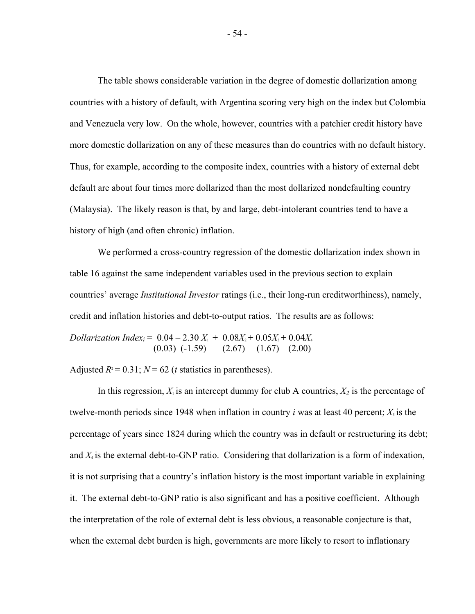The table shows considerable variation in the degree of domestic dollarization among countries with a history of default, with Argentina scoring very high on the index but Colombia and Venezuela very low. On the whole, however, countries with a patchier credit history have more domestic dollarization on any of these measures than do countries with no default history. Thus, for example, according to the composite index, countries with a history of external debt default are about four times more dollarized than the most dollarized nondefaulting country (Malaysia). The likely reason is that, by and large, debt-intolerant countries tend to have a history of high (and often chronic) inflation.

We performed a cross-country regression of the domestic dollarization index shown in table 16 against the same independent variables used in the previous section to explain countries' average *Institutional Investor* ratings (i.e., their long-run creditworthiness), namely, credit and inflation histories and debt-to-output ratios. The results are as follows:

*Dollarization Index<sub>i</sub>* =  $0.04 - 2.30 X_1 + 0.08X_2 + 0.05X_3 + 0.04X_4$ (0.03) (-1.59) (2.67) (1.67) (2.00)

Adjusted  $R^2 = 0.31$ ;  $N = 62$  (*t* statistics in parentheses).

In this regression,  $X_1$  is an intercept dummy for club A countries,  $X_2$  is the percentage of twelve-month periods since 1948 when inflation in country *i* was at least 40 percent;  $X_3$  is the percentage of years since 1824 during which the country was in default or restructuring its debt; and  $X<sub>4</sub>$  is the external debt-to-GNP ratio. Considering that dollarization is a form of indexation, it is not surprising that a country's inflation history is the most important variable in explaining it. The external debt-to-GNP ratio is also significant and has a positive coefficient. Although the interpretation of the role of external debt is less obvious, a reasonable conjecture is that, when the external debt burden is high, governments are more likely to resort to inflationary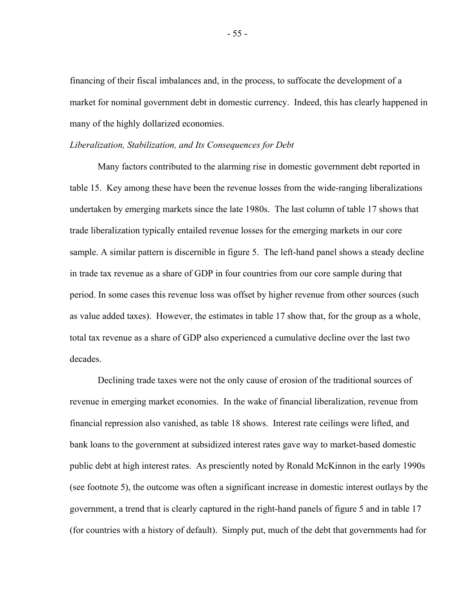financing of their fiscal imbalances and, in the process, to suffocate the development of a market for nominal government debt in domestic currency. Indeed, this has clearly happened in many of the highly dollarized economies.

## *Liberalization, Stabilization, and Its Consequences for Debt*

 Many factors contributed to the alarming rise in domestic government debt reported in table 15. Key among these have been the revenue losses from the wide-ranging liberalizations undertaken by emerging markets since the late 1980s. The last column of table 17 shows that trade liberalization typically entailed revenue losses for the emerging markets in our core sample. A similar pattern is discernible in figure 5. The left-hand panel shows a steady decline in trade tax revenue as a share of GDP in four countries from our core sample during that period. In some cases this revenue loss was offset by higher revenue from other sources (such as value added taxes). However, the estimates in table 17 show that, for the group as a whole, total tax revenue as a share of GDP also experienced a cumulative decline over the last two decades.

 Declining trade taxes were not the only cause of erosion of the traditional sources of revenue in emerging market economies. In the wake of financial liberalization, revenue from financial repression also vanished, as table 18 shows. Interest rate ceilings were lifted, and bank loans to the government at subsidized interest rates gave way to market-based domestic public debt at high interest rates. As presciently noted by Ronald McKinnon in the early 1990s (see footnote 5), the outcome was often a significant increase in domestic interest outlays by the government, a trend that is clearly captured in the right-hand panels of figure 5 and in table 17 (for countries with a history of default). Simply put, much of the debt that governments had for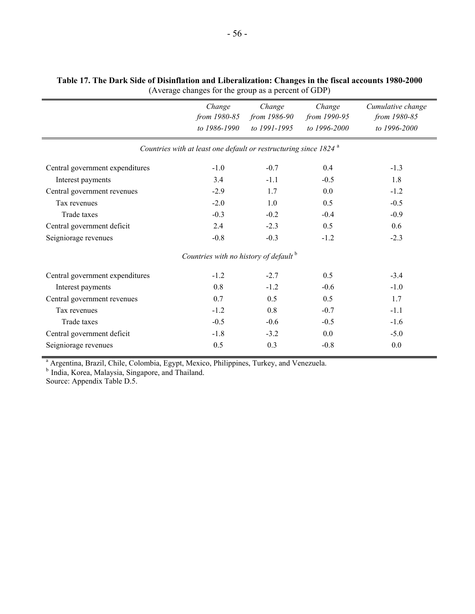|                                 | Change<br>from 1980-85<br>to 1986-1990                                       | Change<br>from 1986-90<br>to 1991-1995 | Change<br>from 1990-95<br>to 1996-2000 | Cumulative change<br>from 1980-85<br>to 1996-2000 |  |  |  |
|---------------------------------|------------------------------------------------------------------------------|----------------------------------------|----------------------------------------|---------------------------------------------------|--|--|--|
|                                 | Countries with at least one default or restructuring since 1824 <sup>a</sup> |                                        |                                        |                                                   |  |  |  |
| Central government expenditures | $-1.0$                                                                       | $-0.7$                                 | 0.4                                    | $-1.3$                                            |  |  |  |
| Interest payments               | 3.4                                                                          | $-1.1$                                 | $-0.5$                                 | 1.8                                               |  |  |  |
| Central government revenues     | $-2.9$                                                                       | 1.7                                    | 0.0                                    | $-1.2$                                            |  |  |  |
| Tax revenues                    | $-2.0$                                                                       | 1.0                                    | 0.5                                    | $-0.5$                                            |  |  |  |
| Trade taxes                     | $-0.3$                                                                       | $-0.2$                                 | $-0.4$                                 | $-0.9$                                            |  |  |  |
| Central government deficit      | 2.4                                                                          | $-2.3$                                 | 0.5                                    | 0.6                                               |  |  |  |
| Seigniorage revenues            | $-0.8$                                                                       | $-0.3$                                 | $-1.2$                                 | $-2.3$                                            |  |  |  |
|                                 | Countries with no history of default b                                       |                                        |                                        |                                                   |  |  |  |
| Central government expenditures | $-1.2$                                                                       | $-2.7$                                 | 0.5                                    | $-3.4$                                            |  |  |  |
| Interest payments               | 0.8                                                                          | $-1.2$                                 | $-0.6$                                 | $-1.0$                                            |  |  |  |
| Central government revenues     | 0.7                                                                          | 0.5                                    | 0.5                                    | 1.7                                               |  |  |  |
| Tax revenues                    | $-1.2$                                                                       | 0.8                                    | $-0.7$                                 | $-1.1$                                            |  |  |  |
| Trade taxes                     | $-0.5$                                                                       | $-0.6$                                 | $-0.5$                                 | $-1.6$                                            |  |  |  |
| Central government deficit      | $-1.8$                                                                       | $-3.2$                                 | 0.0                                    | $-5.0$                                            |  |  |  |
| Seigniorage revenues            | 0.5                                                                          | 0.3                                    | $-0.8$                                 | 0.0                                               |  |  |  |

# **Table 17. The Dark Side of Disinflation and Liberalization: Changes in the fiscal accounts 1980-2000**  (Average changes for the group as a percent of GDP)

<sup>a</sup> Argentina, Brazil, Chile, Colombia, Egypt, Mexico, Philippines, Turkey, and Venezuela.

<sup>b</sup> India, Korea, Malaysia, Singapore, and Thailand.

Source: Appendix Table D.5.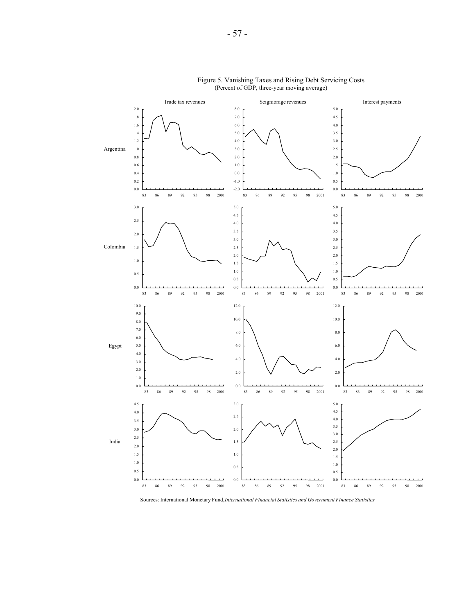

Figure 5. Vanishing Taxes and Rising Debt Servicing Costs (Percent of GDP, three-year moving average)

Sources: International Monetary Fund,*International Financial Statistics and Government Finance Statistics*.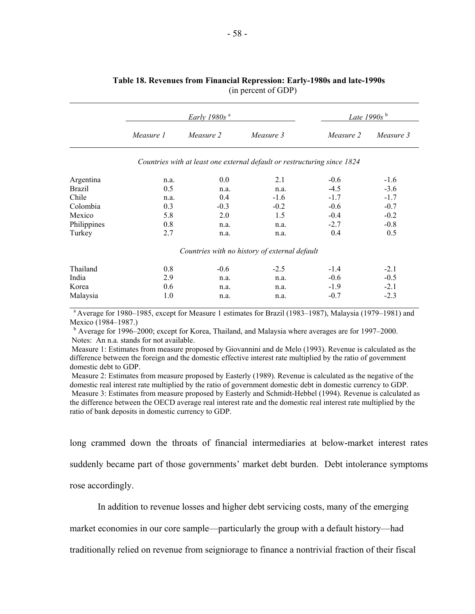|               | Early $1980s$ <sup>a</sup> |           |                                                                          | Late 1990s $\frac{b}{b}$ |           |
|---------------|----------------------------|-----------|--------------------------------------------------------------------------|--------------------------|-----------|
|               | Measure 1                  | Measure 2 | Measure 3                                                                | Measure 2                | Measure 3 |
|               |                            |           | Countries with at least one external default or restructuring since 1824 |                          |           |
| Argentina     | n.a.                       | 0.0       | 2.1                                                                      | $-0.6$                   | $-1.6$    |
| <b>Brazil</b> | 0.5                        | n.a.      | n.a.                                                                     | $-4.5$                   | $-3.6$    |
| Chile         | n.a.                       | 0.4       | $-1.6$                                                                   | $-1.7$                   | $-1.7$    |
| Colombia      | 0.3                        | $-0.3$    | $-0.2$                                                                   | $-0.6$                   | $-0.7$    |
| Mexico        | 5.8                        | 2.0       | 1.5                                                                      | $-0.4$                   | $-0.2$    |
| Philippines   | 0.8                        | n.a.      | n.a.                                                                     | $-2.7$                   | $-0.8$    |
| Turkey        | 2.7                        | n.a.      | n.a.                                                                     | 0.4                      | 0.5       |
|               |                            |           | Countries with no history of external default                            |                          |           |
| Thailand      | 0.8                        | $-0.6$    | $-2.5$                                                                   | $-1.4$                   | $-2.1$    |
| India         | 2.9                        | n.a.      | n.a.                                                                     | $-0.6$                   | $-0.5$    |
| Korea         | 0.6                        | n.a.      | n.a.                                                                     | $-1.9$                   | $-2.1$    |
| Malaysia      | 1.0                        | n.a.      | n.a.                                                                     | $-0.7$                   | $-2.3$    |

#### **Table 18. Revenues from Financial Repression: Early-1980s and late-1990s**  (in percent of GDP)

 a Average for 1980–1985, except for Measure 1 estimates for Brazil (1983–1987), Malaysia (1979–1981) and Mexico (1984–1987.)

<sup>b</sup> Average for 1996–2000; except for Korea, Thailand, and Malaysia where averages are for 1997–2000. Notes: An n.a. stands for not available.

 Measure 1: Estimates from measure proposed by Giovannini and de Melo (1993). Revenue is calculated as the difference between the foreign and the domestic effective interest rate multiplied by the ratio of government domestic debt to GDP.

 Measure 2: Estimates from measure proposed by Easterly (1989). Revenue is calculated as the negative of the domestic real interest rate multiplied by the ratio of government domestic debt in domestic currency to GDP. Measure 3: Estimates from measure proposed by Easterly and Schmidt-Hebbel (1994). Revenue is calculated as the difference between the OECD average real interest rate and the domestic real interest rate multiplied by the ratio of bank deposits in domestic currency to GDP.

long crammed down the throats of financial intermediaries at below-market interest rates suddenly became part of those governments' market debt burden. Debt intolerance symptoms rose accordingly.

In addition to revenue losses and higher debt servicing costs, many of the emerging

market economies in our core sample—particularly the group with a default history—had

traditionally relied on revenue from seigniorage to finance a nontrivial fraction of their fiscal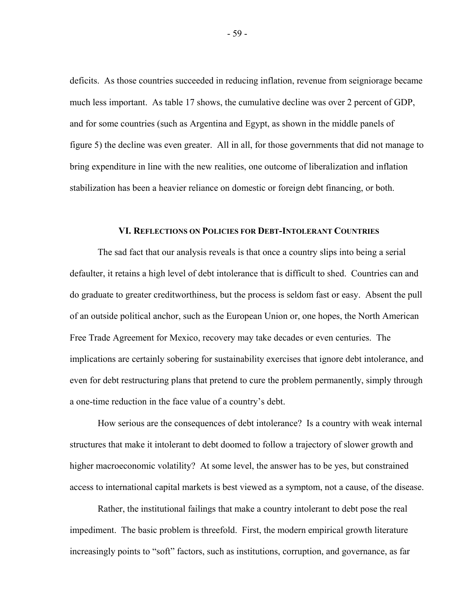deficits. As those countries succeeded in reducing inflation, revenue from seigniorage became much less important. As table 17 shows, the cumulative decline was over 2 percent of GDP, and for some countries (such as Argentina and Egypt, as shown in the middle panels of figure 5) the decline was even greater. All in all, for those governments that did not manage to bring expenditure in line with the new realities, one outcome of liberalization and inflation stabilization has been a heavier reliance on domestic or foreign debt financing, or both.

# **VI. REFLECTIONS ON POLICIES FOR DEBT-INTOLERANT COUNTRIES**

The sad fact that our analysis reveals is that once a country slips into being a serial defaulter, it retains a high level of debt intolerance that is difficult to shed. Countries can and do graduate to greater creditworthiness, but the process is seldom fast or easy. Absent the pull of an outside political anchor, such as the European Union or, one hopes, the North American Free Trade Agreement for Mexico, recovery may take decades or even centuries. The implications are certainly sobering for sustainability exercises that ignore debt intolerance, and even for debt restructuring plans that pretend to cure the problem permanently, simply through a one-time reduction in the face value of a country's debt.

How serious are the consequences of debt intolerance? Is a country with weak internal structures that make it intolerant to debt doomed to follow a trajectory of slower growth and higher macroeconomic volatility? At some level, the answer has to be yes, but constrained access to international capital markets is best viewed as a symptom, not a cause, of the disease.

Rather, the institutional failings that make a country intolerant to debt pose the real impediment. The basic problem is threefold. First, the modern empirical growth literature increasingly points to "soft" factors, such as institutions, corruption, and governance, as far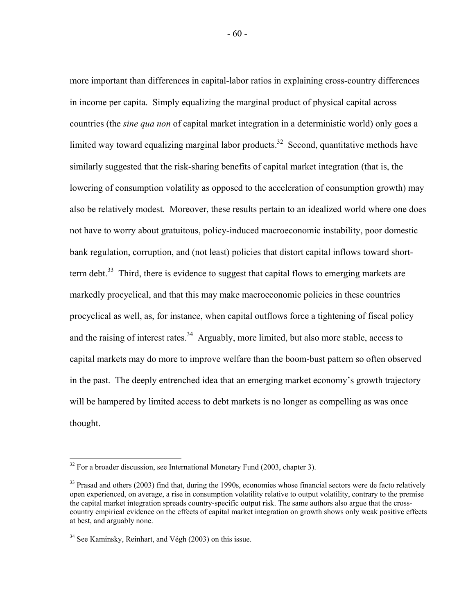more important than differences in capital-labor ratios in explaining cross-country differences in income per capita. Simply equalizing the marginal product of physical capital across countries (the *sine qua non* of capital market integration in a deterministic world) only goes a limited way toward equalizing marginal labor products.<sup>32</sup> Second, quantitative methods have similarly suggested that the risk-sharing benefits of capital market integration (that is, the lowering of consumption volatility as opposed to the acceleration of consumption growth) may also be relatively modest. Moreover, these results pertain to an idealized world where one does not have to worry about gratuitous, policy-induced macroeconomic instability, poor domestic bank regulation, corruption, and (not least) policies that distort capital inflows toward shortterm debt.<sup>33</sup> Third, there is evidence to suggest that capital flows to emerging markets are markedly procyclical, and that this may make macroeconomic policies in these countries procyclical as well, as, for instance, when capital outflows force a tightening of fiscal policy and the raising of interest rates.<sup>34</sup> Arguably, more limited, but also more stable, access to capital markets may do more to improve welfare than the boom-bust pattern so often observed in the past. The deeply entrenched idea that an emerging market economy's growth trajectory will be hampered by limited access to debt markets is no longer as compelling as was once thought.

1

 $32$  For a broader discussion, see International Monetary Fund (2003, chapter 3).

<sup>&</sup>lt;sup>33</sup> Prasad and others (2003) find that, during the 1990s, economies whose financial sectors were de facto relatively open experienced, on average, a rise in consumption volatility relative to output volatility, contrary to the premise the capital market integration spreads country-specific output risk. The same authors also argue that the crosscountry empirical evidence on the effects of capital market integration on growth shows only weak positive effects at best, and arguably none.

<sup>34</sup> See Kaminsky, Reinhart, and Végh (2003) on this issue.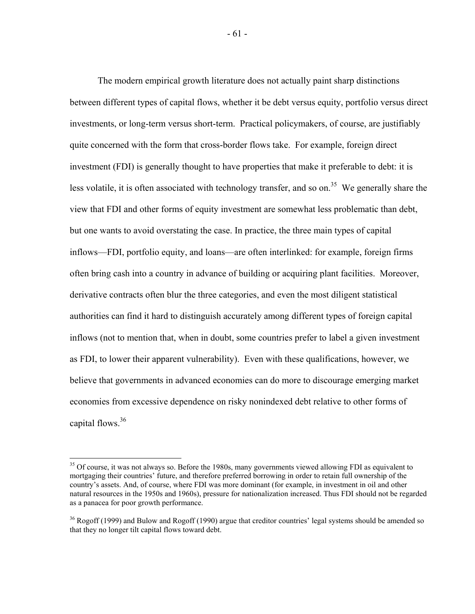The modern empirical growth literature does not actually paint sharp distinctions between different types of capital flows, whether it be debt versus equity, portfolio versus direct investments, or long-term versus short-term. Practical policymakers, of course, are justifiably quite concerned with the form that cross-border flows take. For example, foreign direct investment (FDI) is generally thought to have properties that make it preferable to debt: it is less volatile, it is often associated with technology transfer, and so on.<sup>35</sup> We generally share the view that FDI and other forms of equity investment are somewhat less problematic than debt, but one wants to avoid overstating the case. In practice, the three main types of capital inflows—FDI, portfolio equity, and loans—are often interlinked: for example, foreign firms often bring cash into a country in advance of building or acquiring plant facilities. Moreover, derivative contracts often blur the three categories, and even the most diligent statistical authorities can find it hard to distinguish accurately among different types of foreign capital inflows (not to mention that, when in doubt, some countries prefer to label a given investment as FDI, to lower their apparent vulnerability). Even with these qualifications, however, we believe that governments in advanced economies can do more to discourage emerging market economies from excessive dependence on risky nonindexed debt relative to other forms of capital flows.36

1

 $35$  Of course, it was not always so. Before the 1980s, many governments viewed allowing FDI as equivalent to mortgaging their countries' future, and therefore preferred borrowing in order to retain full ownership of the country's assets. And, of course, where FDI was more dominant (for example, in investment in oil and other natural resources in the 1950s and 1960s), pressure for nationalization increased. Thus FDI should not be regarded as a panacea for poor growth performance.

 $36$  Rogoff (1999) and Bulow and Rogoff (1990) argue that creditor countries' legal systems should be amended so that they no longer tilt capital flows toward debt.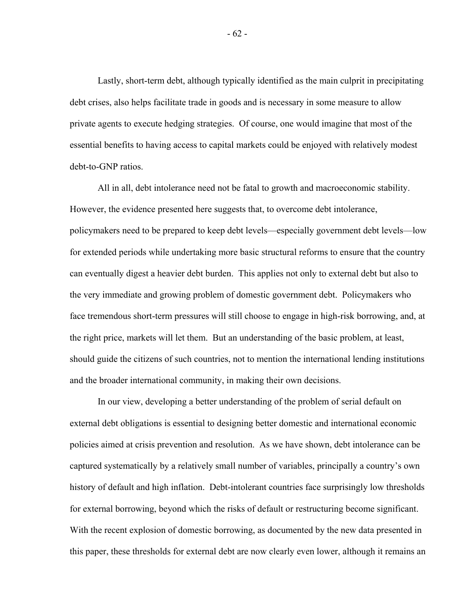Lastly, short-term debt, although typically identified as the main culprit in precipitating debt crises, also helps facilitate trade in goods and is necessary in some measure to allow private agents to execute hedging strategies. Of course, one would imagine that most of the essential benefits to having access to capital markets could be enjoyed with relatively modest debt-to-GNP ratios.

All in all, debt intolerance need not be fatal to growth and macroeconomic stability. However, the evidence presented here suggests that, to overcome debt intolerance, policymakers need to be prepared to keep debt levels—especially government debt levels—low for extended periods while undertaking more basic structural reforms to ensure that the country can eventually digest a heavier debt burden. This applies not only to external debt but also to the very immediate and growing problem of domestic government debt. Policymakers who face tremendous short-term pressures will still choose to engage in high-risk borrowing, and, at the right price, markets will let them. But an understanding of the basic problem, at least, should guide the citizens of such countries, not to mention the international lending institutions and the broader international community, in making their own decisions.

 In our view, developing a better understanding of the problem of serial default on external debt obligations is essential to designing better domestic and international economic policies aimed at crisis prevention and resolution. As we have shown, debt intolerance can be captured systematically by a relatively small number of variables, principally a country's own history of default and high inflation. Debt-intolerant countries face surprisingly low thresholds for external borrowing, beyond which the risks of default or restructuring become significant. With the recent explosion of domestic borrowing, as documented by the new data presented in this paper, these thresholds for external debt are now clearly even lower, although it remains an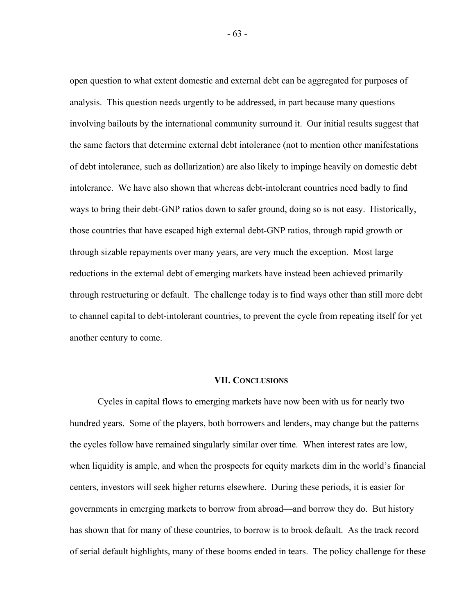open question to what extent domestic and external debt can be aggregated for purposes of analysis. This question needs urgently to be addressed, in part because many questions involving bailouts by the international community surround it. Our initial results suggest that the same factors that determine external debt intolerance (not to mention other manifestations of debt intolerance, such as dollarization) are also likely to impinge heavily on domestic debt intolerance. We have also shown that whereas debt-intolerant countries need badly to find ways to bring their debt-GNP ratios down to safer ground, doing so is not easy. Historically, those countries that have escaped high external debt-GNP ratios, through rapid growth or through sizable repayments over many years, are very much the exception. Most large reductions in the external debt of emerging markets have instead been achieved primarily through restructuring or default. The challenge today is to find ways other than still more debt to channel capital to debt-intolerant countries, to prevent the cycle from repeating itself for yet another century to come.

### **VII. CONCLUSIONS**

Cycles in capital flows to emerging markets have now been with us for nearly two hundred years. Some of the players, both borrowers and lenders, may change but the patterns the cycles follow have remained singularly similar over time. When interest rates are low, when liquidity is ample, and when the prospects for equity markets dim in the world's financial centers, investors will seek higher returns elsewhere. During these periods, it is easier for governments in emerging markets to borrow from abroad—and borrow they do. But history has shown that for many of these countries, to borrow is to brook default. As the track record of serial default highlights, many of these booms ended in tears. The policy challenge for these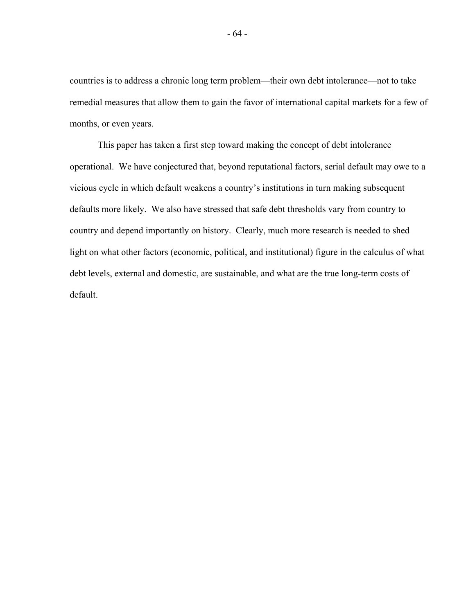countries is to address a chronic long term problem—their own debt intolerance—not to take remedial measures that allow them to gain the favor of international capital markets for a few of months, or even years.

 This paper has taken a first step toward making the concept of debt intolerance operational. We have conjectured that, beyond reputational factors, serial default may owe to a vicious cycle in which default weakens a country's institutions in turn making subsequent defaults more likely. We also have stressed that safe debt thresholds vary from country to country and depend importantly on history. Clearly, much more research is needed to shed light on what other factors (economic, political, and institutional) figure in the calculus of what debt levels, external and domestic, are sustainable, and what are the true long-term costs of default.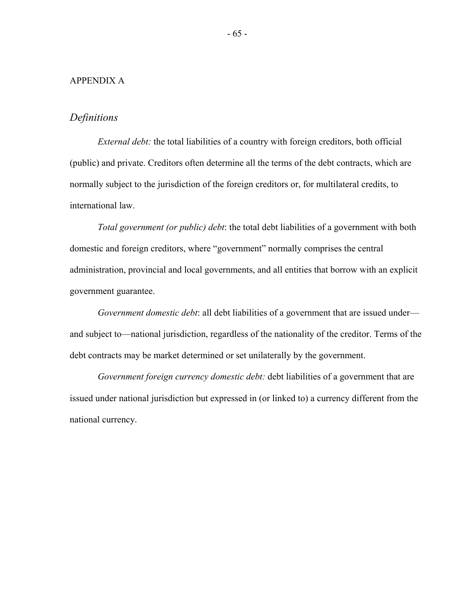# APPENDIX A

# *Definitions*

*External debt:* the total liabilities of a country with foreign creditors, both official (public) and private. Creditors often determine all the terms of the debt contracts, which are normally subject to the jurisdiction of the foreign creditors or, for multilateral credits, to international law.

*Total government (or public) debt*: the total debt liabilities of a government with both domestic and foreign creditors, where "government" normally comprises the central administration, provincial and local governments, and all entities that borrow with an explicit government guarantee.

*Government domestic debt*: all debt liabilities of a government that are issued under and subject to—national jurisdiction, regardless of the nationality of the creditor. Terms of the debt contracts may be market determined or set unilaterally by the government.

*Government foreign currency domestic debt:* debt liabilities of a government that are issued under national jurisdiction but expressed in (or linked to) a currency different from the national currency.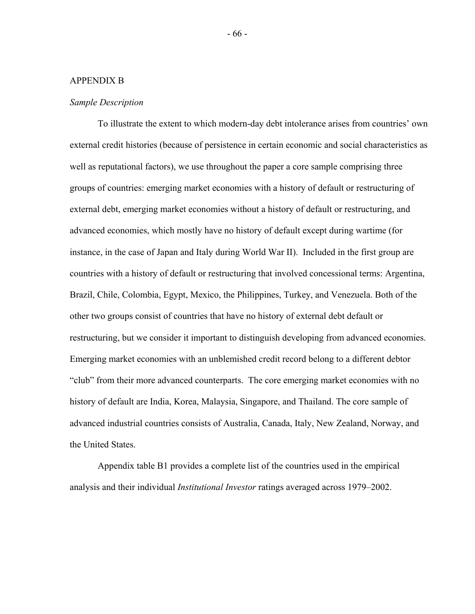# APPENDIX B

### *Sample Description*

To illustrate the extent to which modern-day debt intolerance arises from countries' own external credit histories (because of persistence in certain economic and social characteristics as well as reputational factors), we use throughout the paper a core sample comprising three groups of countries: emerging market economies with a history of default or restructuring of external debt, emerging market economies without a history of default or restructuring, and advanced economies, which mostly have no history of default except during wartime (for instance, in the case of Japan and Italy during World War II). Included in the first group are countries with a history of default or restructuring that involved concessional terms: Argentina, Brazil, Chile, Colombia, Egypt, Mexico, the Philippines, Turkey, and Venezuela. Both of the other two groups consist of countries that have no history of external debt default or restructuring, but we consider it important to distinguish developing from advanced economies. Emerging market economies with an unblemished credit record belong to a different debtor "club" from their more advanced counterparts. The core emerging market economies with no history of default are India, Korea, Malaysia, Singapore, and Thailand. The core sample of advanced industrial countries consists of Australia, Canada, Italy, New Zealand, Norway, and the United States.

Appendix table B1 provides a complete list of the countries used in the empirical analysis and their individual *Institutional Investor* ratings averaged across 1979–2002.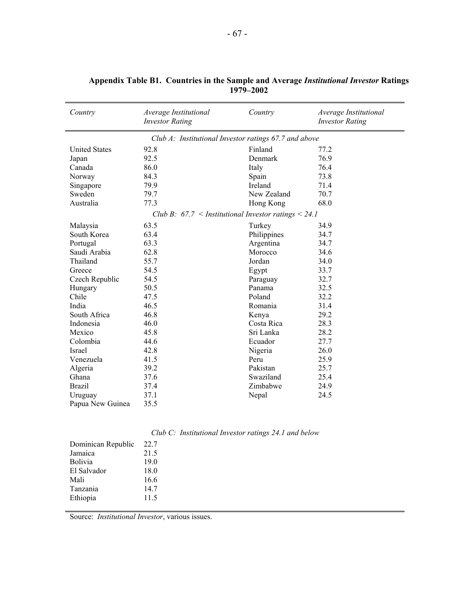| Country              | Average Institutional<br><b>Investor Rating</b>        | Country     | Average Institutional<br><b>Investor Rating</b> |
|----------------------|--------------------------------------------------------|-------------|-------------------------------------------------|
|                      | Club A: Institutional Investor ratings 67.7 and above  |             |                                                 |
| <b>United States</b> | 92.8                                                   | Finland     | 77.2                                            |
| Japan                | 92.5                                                   | Denmark     | 76.9                                            |
| Canada               | 86.0                                                   | Italy       | 76.4                                            |
| Norway               | 84.3                                                   | Spain       | 73.8                                            |
| Singapore            | 79.9                                                   | Ireland     | 71.4                                            |
| Sweden               | 79.7                                                   | New Zealand | 70.7                                            |
| Australia            | 77.3                                                   | Hong Kong   | 68.0                                            |
|                      | Club B: $67.7$ < Institutional Investor ratings < 24.1 |             |                                                 |
| Malaysia             | 63.5                                                   | Turkey      | 34.9                                            |
| South Korea          | 63.4                                                   | Philippines | 34.7                                            |
| Portugal             | 63.3                                                   | Argentina   | 34.7                                            |
| Saudi Arabia         | 62.8                                                   | Morocco     | 34.6                                            |
| Thailand             | 55.7                                                   | Jordan      | 34.0                                            |
| Greece               | 54.5                                                   | Egypt       | 33.7                                            |
| Czech Republic       | 54.5                                                   | Paraguay    | 32.7                                            |
| Hungary              | 50.5                                                   | Panama      | 32.5                                            |
| Chile                | 47.5                                                   | Poland      | 32.2                                            |
| India                | 46.5                                                   | Romania     | 31.4                                            |
| South Africa         | 46.8                                                   | Kenya       | 29.2                                            |
| Indonesia            | 46.0                                                   | Costa Rica  | 28.3                                            |
| Mexico               | 45.8                                                   | Sri Lanka   | 28.2                                            |
| Colombia             | 44.6                                                   | Ecuador     | 27.7                                            |
| Israel               | 42.8                                                   | Nigeria     | 26.0                                            |
| Venezuela            | 41.5                                                   | Peru        | 25.9                                            |
| Algeria              | 39.2                                                   | Pakistan    | 25.7                                            |
| Ghana                | 37.6                                                   | Swaziland   | 25.4                                            |
| <b>Brazil</b>        | 37.4                                                   | Zimbabwe    | 24.9                                            |
| Uruguay              | 37.1                                                   | Nepal       | 24.5                                            |
| Papua New Guinea     | 35.5                                                   |             |                                                 |

### **Appendix Table B1. Countries in the Sample and Average** *Institutional Investor* **Ratings 1979–2002**

|                    | Cub C. Thsulutional Investor ratings $24.1$ and below |
|--------------------|-------------------------------------------------------|
| Dominican Republic | 22.7                                                  |
| Jamaica            | 21.5                                                  |
| <b>Bolivia</b>     | 19.0                                                  |
| El Salvador        | 18.0                                                  |
| Mali               | 16.6                                                  |
| Tanzania           | 14.7                                                  |
| Ethiopia           | 11.5                                                  |

*Club C: Institutional Investor ratings 24.1 and below* 

Source: *Institutional Investor*, various issues.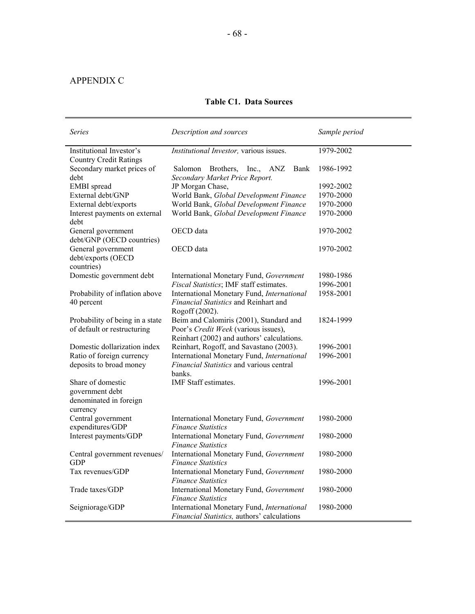# APPENDIX C

### **Table C1. Data Sources**

| Series                                                                     | Description and sources                                                                                      | Sample period |  |
|----------------------------------------------------------------------------|--------------------------------------------------------------------------------------------------------------|---------------|--|
| Institutional Investor's<br><b>Country Credit Ratings</b>                  | Institutional Investor, various issues.                                                                      | 1979-2002     |  |
| Secondary market prices of<br>debt                                         | Salomon<br>Brothers,<br>Inc.,<br>ANZ<br>Bank<br>Secondary Market Price Report.                               | 1986-1992     |  |
| <b>EMBI</b> spread                                                         | JP Morgan Chase,                                                                                             | 1992-2002     |  |
| External debt/GNP                                                          | World Bank, Global Development Finance                                                                       | 1970-2000     |  |
| External debt/exports                                                      | World Bank, Global Development Finance                                                                       | 1970-2000     |  |
| Interest payments on external<br>debt                                      | World Bank, Global Development Finance                                                                       | 1970-2000     |  |
| General government<br>debt/GNP (OECD countries)                            | OECD data                                                                                                    | 1970-2002     |  |
| General government<br>debt/exports (OECD<br>countries)                     | OECD data                                                                                                    | 1970-2002     |  |
| Domestic government debt                                                   | International Monetary Fund, Government                                                                      | 1980-1986     |  |
|                                                                            | Fiscal Statistics; IMF staff estimates.                                                                      | 1996-2001     |  |
| Probability of inflation above<br>40 percent                               | International Monetary Fund, International<br><i>Financial Statistics</i> and Reinhart and<br>Rogoff (2002). | 1958-2001     |  |
| Probability of being in a state<br>of default or restructuring             | Beim and Calomiris (2001), Standard and<br>Poor's Credit Week (various issues),                              | 1824-1999     |  |
|                                                                            | Reinhart (2002) and authors' calculations.                                                                   |               |  |
| Domestic dollarization index                                               | Reinhart, Rogoff, and Savastano (2003).                                                                      | 1996-2001     |  |
| Ratio of foreign currency<br>deposits to broad money                       | International Monetary Fund, International<br>Financial Statistics and various central<br>banks.             | 1996-2001     |  |
| Share of domestic<br>government debt<br>denominated in foreign<br>currency | IMF Staff estimates.                                                                                         | 1996-2001     |  |
| Central government<br>expenditures/GDP                                     | International Monetary Fund, Government<br><i><b>Finance Statistics</b></i>                                  | 1980-2000     |  |
| Interest payments/GDP                                                      | International Monetary Fund, Government<br>1980-2000<br><b>Finance Statistics</b>                            |               |  |
| Central government revenues/<br>GDP                                        | International Monetary Fund, Government<br><b>Finance Statistics</b>                                         | 1980-2000     |  |
| Tax revenues/GDP                                                           | International Monetary Fund, Government<br><b>Finance Statistics</b>                                         | 1980-2000     |  |
| Trade taxes/GDP                                                            | International Monetary Fund, Government<br><b>Finance Statistics</b>                                         | 1980-2000     |  |
| Seigniorage/GDP                                                            | International Monetary Fund, International<br>Financial Statistics, authors' calculations                    | 1980-2000     |  |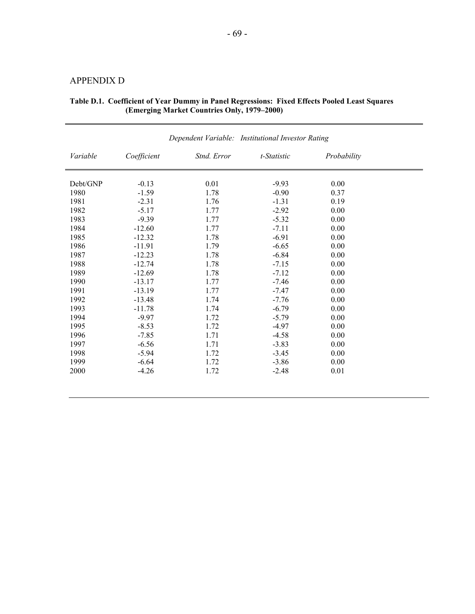## APPENDIX D

|          |             | Dependent Variable: Institutional Investor Rating |             |             |  |
|----------|-------------|---------------------------------------------------|-------------|-------------|--|
| Variable | Coefficient | Stnd. Error                                       | t-Statistic | Probability |  |
| Debt/GNP | $-0.13$     | 0.01                                              | $-9.93$     | 0.00        |  |
| 1980     | $-1.59$     | 1.78                                              | $-0.90$     | 0.37        |  |
| 1981     | $-2.31$     | 1.76                                              | $-1.31$     | 0.19        |  |
| 1982     | $-5.17$     | 1.77                                              | $-2.92$     | 0.00        |  |
| 1983     | $-9.39$     | 1.77                                              | $-5.32$     | 0.00        |  |
| 1984     | $-12.60$    | 1.77                                              | $-7.11$     | 0.00        |  |
| 1985     | $-12.32$    | 1.78                                              | $-6.91$     | 0.00        |  |
| 1986     | $-11.91$    | 1.79                                              | $-6.65$     | 0.00        |  |
| 1987     | $-12.23$    | 1.78                                              | $-6.84$     | 0.00        |  |
| 1988     | $-12.74$    | 1.78                                              | $-7.15$     | 0.00        |  |
| 1989     | $-12.69$    | 1.78                                              | $-7.12$     | 0.00        |  |
| 1990     | $-13.17$    | 1.77                                              | $-7.46$     | 0.00        |  |
| 1991     | $-13.19$    | 1.77                                              | $-7.47$     | 0.00        |  |
| 1992     | $-13.48$    | 1.74                                              | $-7.76$     | 0.00        |  |
| 1993     | $-11.78$    | 1.74                                              | $-6.79$     | 0.00        |  |
| 1994     | $-9.97$     | 1.72                                              | $-5.79$     | 0.00        |  |
| 1995     | $-8.53$     | 1.72                                              | $-4.97$     | 0.00        |  |
| 1996     | $-7.85$     | 1.71                                              | $-4.58$     | 0.00        |  |
| 1997     | $-6.56$     | 1.71                                              | $-3.83$     | 0.00        |  |
| 1998     | $-5.94$     | 1.72                                              | $-3.45$     | 0.00        |  |
| 1999     | $-6.64$     | 1.72                                              | $-3.86$     | 0.00        |  |
| 2000     | $-4.26$     | 1.72                                              | $-2.48$     | 0.01        |  |
|          |             |                                                   |             |             |  |

#### **Table D.1. Coefficient of Year Dummy in Panel Regressions: Fixed Effects Pooled Least Squares (Emerging Market Countries Only, 1979–2000)**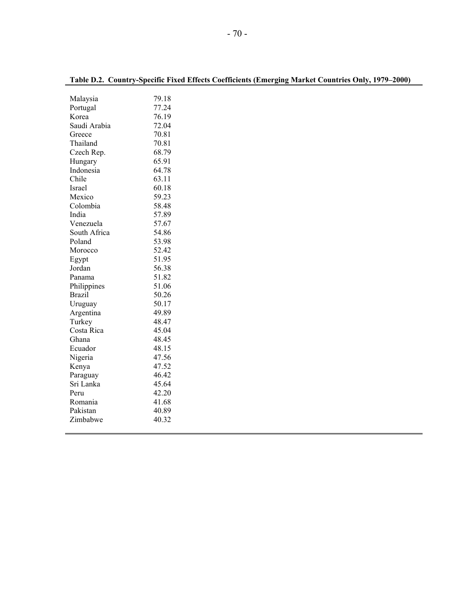| Malaysia      | 79.18 |
|---------------|-------|
| Portugal      | 77.24 |
| Korea         | 76.19 |
| Saudi Arabia  | 72.04 |
| Greece        | 70.81 |
| Thailand      | 70.81 |
| Czech Rep.    | 68.79 |
| Hungary       | 65.91 |
| Indonesia     | 64.78 |
| Chile         | 63.11 |
| Israel        | 60.18 |
| Mexico        | 59.23 |
| Colombia      | 58.48 |
| India         | 57.89 |
| Venezuela     | 57.67 |
| South Africa  | 54.86 |
| Poland        | 53.98 |
| Morocco       | 52.42 |
| Egypt         | 51.95 |
| Jordan        | 56.38 |
| Panama        | 51.82 |
| Philippines   | 51.06 |
| <b>Brazil</b> | 50.26 |
| Uruguay       | 50.17 |
| Argentina     | 49.89 |
| Turkey        | 48.47 |
| Costa Rica    | 45.04 |
| Ghana         | 48.45 |
| Ecuador       | 48.15 |
| Nigeria       | 47.56 |
| Kenya         | 47.52 |
| Paraguay      | 46.42 |
| Sri Lanka     | 45.64 |
| Peru          | 42.20 |
| Romania       | 41.68 |
| Pakistan      | 40.89 |
| Zimbabwe      | 40.32 |
|               |       |

**Table D.2. Country-Specific Fixed Effects Coefficients (Emerging Market Countries Only, 1979–2000)**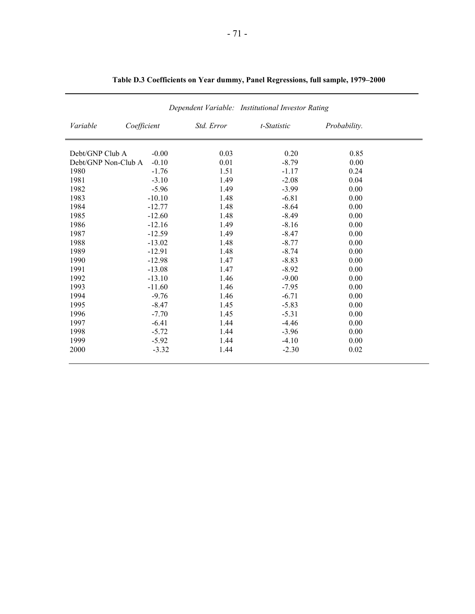|                     |             |            | Dependent Variable: Institutional Investor Rating |              |  |
|---------------------|-------------|------------|---------------------------------------------------|--------------|--|
| Variable            | Coefficient | Std. Error | t-Statistic                                       | Probability. |  |
| Debt/GNP Club A     | $-0.00$     | 0.03       | 0.20                                              | 0.85         |  |
| Debt/GNP Non-Club A | $-0.10$     | 0.01       | $-8.79$                                           | 0.00         |  |
| 1980                | $-1.76$     | 1.51       | $-1.17$                                           | 0.24         |  |
| 1981                | $-3.10$     | 1.49       | $-2.08$                                           | 0.04         |  |
| 1982                | $-5.96$     | 1.49       | $-3.99$                                           | 0.00         |  |
| 1983                | $-10.10$    | 1.48       | $-6.81$                                           | 0.00         |  |
| 1984                | $-12.77$    | 1.48       | $-8.64$                                           | 0.00         |  |
| 1985                | $-12.60$    | 1.48       | $-8.49$                                           | 0.00         |  |
| 1986                | $-12.16$    | 1.49       | $-8.16$                                           | 0.00         |  |
| 1987                | $-12.59$    | 1.49       | $-8.47$                                           | 0.00         |  |
| 1988                | $-13.02$    | 1.48       | $-8.77$                                           | 0.00         |  |
| 1989                | $-12.91$    | 1.48       | $-8.74$                                           | 0.00         |  |
| 1990                | $-12.98$    | 1.47       | $-8.83$                                           | 0.00         |  |
| 1991                | $-13.08$    | 1.47       | $-8.92$                                           | 0.00         |  |
| 1992                | $-13.10$    | 1.46       | $-9.00$                                           | 0.00         |  |
| 1993                | $-11.60$    | 1.46       | $-7.95$                                           | 0.00         |  |
| 1994                | $-9.76$     | 1.46       | $-6.71$                                           | 0.00         |  |
| 1995                | $-8.47$     | 1.45       | $-5.83$                                           | 0.00         |  |
| 1996                | $-7.70$     | 1.45       | $-5.31$                                           | 0.00         |  |
| 1997                | $-6.41$     | 1.44       | $-4.46$                                           | 0.00         |  |
| 1998                | $-5.72$     | 1.44       | $-3.96$                                           | 0.00         |  |
| 1999                | $-5.92$     | 1.44       | $-4.10$                                           | 0.00         |  |
| 2000                | $-3.32$     | 1.44       | $-2.30$                                           | 0.02         |  |

**Table D.3 Coefficients on Year dummy, Panel Regressions, full sample, 1979–2000**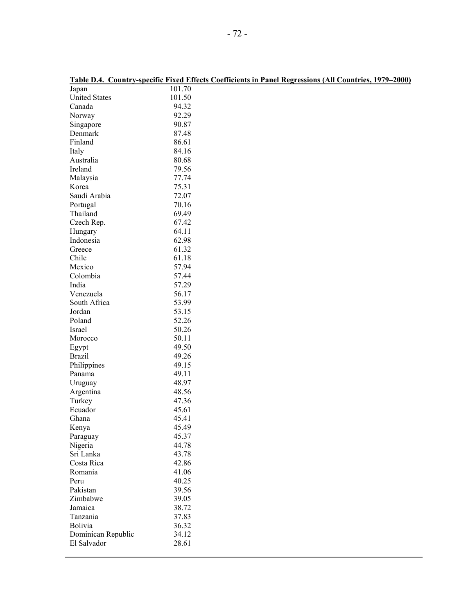| Japan                | 101.70 |  |
|----------------------|--------|--|
| <b>United States</b> | 101.50 |  |
| Canada               | 94.32  |  |
| Norway               | 92.29  |  |
| Singapore            | 90.87  |  |
|                      |        |  |
| Denmark              | 87.48  |  |
| Finland              | 86.61  |  |
| Italy                | 84.16  |  |
| Australia            | 80.68  |  |
| Ireland              | 79.56  |  |
| Malaysia             | 77.74  |  |
| Korea                | 75.31  |  |
| Saudi Arabia         | 72.07  |  |
| Portugal             | 70.16  |  |
| Thailand             | 69.49  |  |
| Czech Rep.           | 67.42  |  |
| Hungary              | 64.11  |  |
| Indonesia            | 62.98  |  |
| Greece               | 61.32  |  |
| Chile                | 61.18  |  |
| Mexico               | 57.94  |  |
| Colombia             | 57.44  |  |
| India                | 57.29  |  |
| Venezuela            | 56.17  |  |
| South Africa         | 53.99  |  |
| Jordan               | 53.15  |  |
| Poland               | 52.26  |  |
| Israel               | 50.26  |  |
| Morocco              | 50.11  |  |
| Egypt                | 49.50  |  |
| <b>Brazil</b>        | 49.26  |  |
| Philippines          | 49.15  |  |
| Panama               | 49.11  |  |
| Uruguay              | 48.97  |  |
| Argentina            | 48.56  |  |
| Turkey               | 47.36  |  |
| Ecuador              | 45.61  |  |
| Ghana                | 45.41  |  |
| Kenya                | 45.49  |  |
| Paraguay             | 45.37  |  |
| Nigeria              | 44.78  |  |
| Sri Lanka            | 43.78  |  |
| Costa Rica           | 42.86  |  |
| Romania              | 41.06  |  |
| Peru                 | 40.25  |  |
| Pakistan             | 39.56  |  |
| Zimbabwe             | 39.05  |  |
| Jamaica              | 38.72  |  |
| Tanzania             | 37.83  |  |
| Bolivia              | 36.32  |  |
| Dominican Republic   | 34.12  |  |
| El Salvador          | 28.61  |  |

**Table D.4. Country-specific Fixed Effects Coefficients in Panel Regressions (All Countries, 1979–2000)**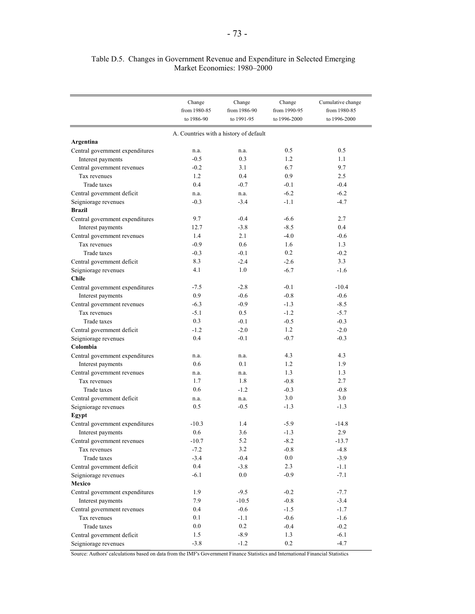## Table D.5. Changes in Government Revenue and Expenditure in Selected Emerging Market Economies: 1980–2000

|                                                    | Change<br>from 1980-85<br>to 1986-90   | Change<br>from 1986-90<br>to 1991-95 | Change<br>from 1990-95<br>to 1996-2000 | Cumulative change<br>from 1980-85<br>to 1996-2000 |
|----------------------------------------------------|----------------------------------------|--------------------------------------|----------------------------------------|---------------------------------------------------|
|                                                    |                                        |                                      |                                        |                                                   |
|                                                    | A. Countries with a history of default |                                      |                                        |                                                   |
| Argentina                                          |                                        |                                      |                                        |                                                   |
| Central government expenditures                    | n.a.                                   | n.a.                                 | 0.5                                    | 0.5                                               |
| Interest payments                                  | $-0.5$                                 | 0.3                                  | 1.2                                    | 1.1                                               |
| Central government revenues                        | $-0.2$                                 | 3.1                                  | 6.7                                    | 9.7                                               |
| Tax revenues                                       | 1.2                                    | 0.4                                  | 0.9                                    | 2.5                                               |
| Trade taxes                                        | 0.4                                    | $-0.7$                               | $-0.1$                                 | $-0.4$                                            |
| Central government deficit                         | n.a.                                   | n.a.                                 | $-6.2$                                 | $-6.2$                                            |
| Seigniorage revenues                               | $-0.3$                                 | $-3.4$                               | $-1.1$                                 | $-4.7$                                            |
| <b>Brazil</b>                                      |                                        |                                      |                                        |                                                   |
| Central government expenditures                    | 9.7                                    | $-0.4$                               | $-6.6$                                 | 2.7                                               |
| Interest payments                                  | 12.7                                   | $-3.8$                               | $-8.5$                                 | 0.4                                               |
| Central government revenues                        | 1.4                                    | 2.1                                  | $-4.0$                                 | $-0.6$                                            |
| Tax revenues                                       | $-0.9$                                 | 0.6                                  | 1.6                                    | 1.3                                               |
| Trade taxes                                        | $-0.3$                                 | $-0.1$                               | 0.2                                    | $-0.2$                                            |
| Central government deficit                         | 8.3                                    | $-2.4$                               | $-2.6$                                 | 3.3                                               |
| Seigniorage revenues                               | 4.1                                    | 1.0                                  | $-6.7$                                 | $-1.6$                                            |
| Chile                                              |                                        |                                      |                                        |                                                   |
| Central government expenditures                    | $-7.5$                                 | $-2.8$                               | $-0.1$                                 | $-10.4$                                           |
| Interest payments                                  | 0.9                                    | $-0.6$                               | $-0.8$                                 | $-0.6$                                            |
| Central government revenues                        | $-6.3$                                 | $-0.9$                               | $-1.3$                                 | $-8.5$                                            |
| Tax revenues                                       | $-5.1$                                 | 0.5                                  | $-1.2$                                 | $-5.7$                                            |
| Trade taxes                                        | 0.3                                    | $-0.1$                               | $-0.5$                                 | $-0.3$                                            |
| Central government deficit                         | $-1.2$                                 | $-2.0$                               | 1.2                                    | $-2.0$                                            |
| Seigniorage revenues                               | 0.4                                    | $-0.1$                               | $-0.7$                                 | $-0.3$                                            |
| Colombia                                           |                                        |                                      |                                        |                                                   |
| Central government expenditures                    | n.a.                                   | n.a.                                 | 4.3                                    | 4.3                                               |
| Interest payments                                  | 0.6                                    | 0.1                                  | 1.2                                    | 1.9                                               |
| Central government revenues                        | n.a.                                   | n.a.                                 | 1.3                                    | 1.3                                               |
| Tax revenues                                       | 1.7                                    | 1.8                                  | $-0.8$                                 | 2.7                                               |
| Trade taxes                                        | 0.6                                    | $-1.2$                               | $-0.3$                                 | $-0.8$                                            |
| Central government deficit                         | n.a.                                   | n.a.                                 | 3.0                                    | 3.0                                               |
| Seigniorage revenues                               | 0.5                                    | $-0.5$                               | $-1.3$                                 | $-1.3$                                            |
| Egypt                                              |                                        |                                      |                                        |                                                   |
| Central government expenditures                    | $-10.3$                                | 1.4                                  | $-5.9$                                 | $-14.8$                                           |
| Interest payments                                  | 0.6                                    | 3.6                                  | $-1.3$                                 | 2.9                                               |
| Central government revenues                        | -10.7                                  | 5.2                                  | -8.2                                   | -13.7                                             |
| Tax revenues                                       | $-7.2$                                 | 3.2                                  | $-0.8$                                 | $-4.8$                                            |
| Trade taxes                                        | $-3.4$                                 | $-0.4$                               | $0.0\,$                                | $-3.9$                                            |
|                                                    | 0.4                                    | $-3.8$                               | 2.3                                    | $-1.1$                                            |
| Central government deficit<br>Seigniorage revenues | $-6.1$                                 | $0.0\,$                              | $-0.9$                                 |                                                   |
|                                                    |                                        |                                      |                                        | $-7.1$                                            |
| Mexico                                             |                                        | $-9.5$                               | $-0.2$                                 | $-7.7$                                            |
| Central government expenditures                    | 1.9                                    |                                      |                                        |                                                   |
| Interest payments                                  | 7.9                                    | $-10.5$                              | $-0.8$                                 | $-3.4$                                            |
| Central government revenues                        | 0.4                                    | $-0.6$                               | $-1.5$                                 | $-1.7$                                            |
| Tax revenues                                       | 0.1                                    | $-1.1$                               | $-0.6$                                 | $-1.6$                                            |
| Trade taxes                                        | $0.0\,$                                | 0.2                                  | $-0.4$                                 | $-0.2$                                            |
| Central government deficit                         | 1.5                                    | $-8.9$                               | 1.3                                    | $-6.1$                                            |
| Seigniorage revenues                               | $-3.8$                                 | $-1.2$                               | 0.2                                    | $-4.7$                                            |

Source: Authors' calculations based on data from the IMF's Government Finance Statistics and International Financial Statistics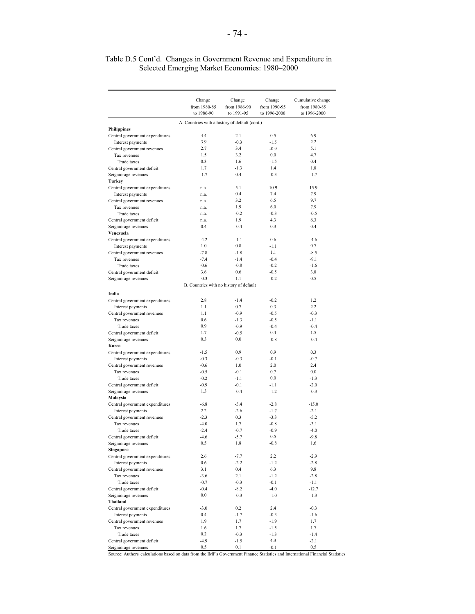## Table D.5 Cont'd. Changes in Government Revenue and Expenditure in Selected Emerging Market Economies: 1980–2000

|                                                    | Change       | Change           | Change        | Cumulative change |  |  |  |
|----------------------------------------------------|--------------|------------------|---------------|-------------------|--|--|--|
|                                                    | from 1980-85 | from 1986-90     | from 1990-95  | from 1980-85      |  |  |  |
|                                                    | to 1986-90   | to 1991-95       | to 1996-2000  | to 1996-2000      |  |  |  |
| A. Countries with a history of default (cont.)     |              |                  |               |                   |  |  |  |
| <b>Philippines</b>                                 |              |                  |               |                   |  |  |  |
| Central government expenditures                    | 4.4          | 2.1              | 0.5           | 6.9               |  |  |  |
| Interest payments                                  | 3.9          | $-0.3$           | $-1.5$        | 2.2               |  |  |  |
| Central government revenues                        | 2.7          | 3.4              | $-0.9$        | 5.1               |  |  |  |
| Tax revenues                                       | 1.5          | 3.2              | 0.0           | 4.7               |  |  |  |
| Trade taxes<br>Central government deficit          | 0.3<br>1.7   | 1.6<br>$-1.3$    | $-1.5$<br>1.4 | 0.4<br>1.8        |  |  |  |
| Seigniorage revenues                               | $-1.7$       | 0.4              | $-0.3$        | $-1.7$            |  |  |  |
| Turkey                                             |              |                  |               |                   |  |  |  |
| Central government expenditures                    | n.a.         | 5.1              | 10.9          | 15.9              |  |  |  |
| Interest payments                                  | n.a.         | 0.4              | 7.4           | 7.9               |  |  |  |
| Central government revenues                        | n.a.         | 3.2              | 6.5           | 9.7               |  |  |  |
| Tax revenues                                       | n.a.         | 1.9              | 6.0           | 7.9               |  |  |  |
| Trade taxes                                        | n.a.         | $-0.2$           | $-0.3$        | $-0.5$            |  |  |  |
| Central government deficit                         | n.a.         | 1.9              | 4.3           | 6.3               |  |  |  |
| Seigniorage revenues<br>Venezuela                  | 0.4          | $-0.4$           | 0.3           | 0.4               |  |  |  |
| Central government expenditures                    | $-4.2$       | $-1.1$           | 0.6           | $-4.6$            |  |  |  |
| Interest payments                                  | 1.0          | 0.8              | $-1.1$        | 0.7               |  |  |  |
| Central government revenues                        | $-7.8$       | $-1.8$           | 1.1           | $-8.5$            |  |  |  |
| Tax revenues                                       | $-7.4$       | $-1.4$           | $-0.4$        | $-9.1$            |  |  |  |
| Trade taxes                                        | $-0.6$       | $-0.8$           | $-0.2$        | $-1.6$            |  |  |  |
| Central government deficit                         | 3.6          | 0.6              | $-0.5$        | 3.8               |  |  |  |
| Seigniorage revenues                               | $-0.3$       | 1.1              | $-0.2$        | 0.5               |  |  |  |
| B. Countries with no history of default            |              |                  |               |                   |  |  |  |
| India                                              |              |                  |               |                   |  |  |  |
| Central government expenditures                    | 2.8          | $-1.4$           | $-0.2$        | 1.2               |  |  |  |
| Interest payments                                  | 1.1          | 0.7              | 0.3           | 2.2               |  |  |  |
| Central government revenues                        | 1.1          | $-0.9$           | $-0.5$        | $-0.3$            |  |  |  |
| Tax revenues                                       | 0.6          | $-1.3$           | $-0.5$        | $-1.1$            |  |  |  |
| Trade taxes                                        | 0.9<br>1.7   | $-0.9$<br>$-0.5$ | $-0.4$<br>0.4 | $-0.4$<br>1.5     |  |  |  |
| Central government deficit<br>Seigniorage revenues | 0.3          | 0.0              | $-0.8$        | $-0.4$            |  |  |  |
| Korea                                              |              |                  |               |                   |  |  |  |
| Central government expenditures                    | $-1.5$       | 0.9              | 0.9           | 0.3               |  |  |  |
| Interest payments                                  | $-0.3$       | $-0.3$           | $-0.1$        | $-0.7$            |  |  |  |
| Central government revenues                        | $-0.6$       | 1.0              | 2.0           | 2.4               |  |  |  |
| Tax revenues                                       | $-0.5$       | $-0.1$           | 0.7           | 0.0               |  |  |  |
| Trade taxes                                        | $-0.2$       | $-1.1$           | 0.0           | $-1.3$            |  |  |  |
| Central government deficit                         | $-0.9$       | $-0.1$           | $-1.1$        | $-2.0$            |  |  |  |
| Seigniorage revenues                               | 1.3          | $-0.4$           | $-1.2$        | $-0.3$            |  |  |  |
| Malaysia                                           |              |                  |               |                   |  |  |  |
| Central government expenditures                    | $-6.8$       | $-5.4$           | $-2.8$        | $-15.0$           |  |  |  |
| Interest payments                                  | 2.2          | $-2.6$           | $-1.7$        | $-2.1$            |  |  |  |
| Central government revenues                        | $-2.3$       | 0.3              | $-3.3$        | $-5.2$            |  |  |  |
| Tax revenues                                       | $-4.0$       | 1.7              | $-0.8$        | $-3.1$            |  |  |  |
| Trade taxes                                        | $-2.4$       | $-0.7$           | $-0.9$        | $-4.0$            |  |  |  |
| Central government deficit                         | $-4.6$       | -5.7<br>1.8      | 0.5<br>$-0.8$ | $-9.8$            |  |  |  |
| Seigniorage revenues<br>Singapore                  | 0.5          |                  |               | 1.6               |  |  |  |
| Central government expenditures                    | 2.6          | $-7.7$           | 2.2           | $-2.9$            |  |  |  |
| Interest payments                                  | 0.6          | $-2.2$           | $-1.2$        | $-2.8$            |  |  |  |
| Central government revenues                        | 3.1          | 0.4              | 6.3           | 9.8               |  |  |  |
| Tax revenues                                       | $-3.6$       | 2.1              | $-1.2$        | $-2.8$            |  |  |  |
| Trade taxes                                        | $-0.7$       | $-0.3$           | $-0.1$        | $-1.1$            |  |  |  |
| Central government deficit                         | $-0.4$       | $-8.2$           | $-4.0$        | $-12.7$           |  |  |  |
| Seigniorage revenues<br><b>Thailand</b>            | 0.0          | $-0.3$           | $-1.0$        | $-1.3$            |  |  |  |
| Central government expenditures                    | $-3.0$       | 0.2              | 2.4           | $-0.3$            |  |  |  |
| Interest payments                                  | 0.4          | $-1.7$           | $-0.3$        | $-1.6$            |  |  |  |
| Central government revenues                        | 1.9          | 1.7              | $-1.9$        | 1.7               |  |  |  |
| Tax revenues                                       | 1.6          | 1.7              | $-1.5$        | 1.7               |  |  |  |
| Trade taxes                                        | 0.2          | $-0.3$           | $-1.3$        | $-1.4$            |  |  |  |
| Central government deficit                         | $-4.9$       | $-1.5$           | 4.3           | $-2.1$            |  |  |  |
| Seigniorage revenues                               | 0.5          | 0.1              | $-0.1$        | 0.5               |  |  |  |

Source: Authors' calculations based on data from the IMF's Government Finance Statistics and International Financial Statistics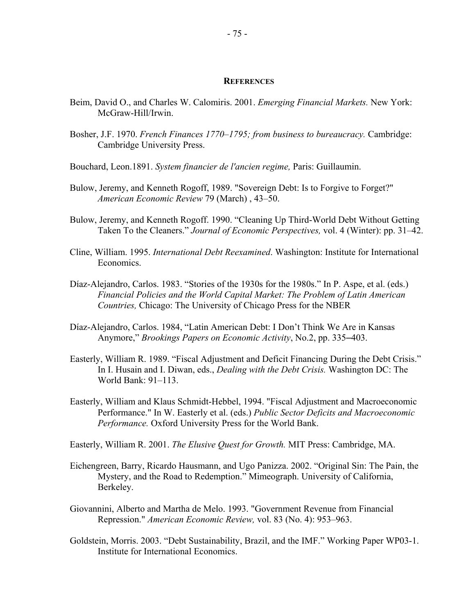## **REFERENCES**

- Beim, David O., and Charles W. Calomiris. 2001. *Emerging Financial Markets.* New York: McGraw-Hill/Irwin.
- Bosher, J.F. 1970. *French Finances 1770–1795; from business to bureaucracy.* Cambridge: Cambridge University Press.
- Bouchard, Leon.1891. *System financier de l'ancien regime,* Paris: Guillaumin.
- Bulow, Jeremy, and Kenneth Rogoff, 1989. "Sovereign Debt: Is to Forgive to Forget?" *American Economic Review* 79 (March) , 43–50.
- Bulow, Jeremy, and Kenneth Rogoff. 1990. "Cleaning Up Third-World Debt Without Getting Taken To the Cleaners." *Journal of Economic Perspectives,* vol. 4 (Winter): pp. 31–42.
- Cline, William. 1995. *International Debt Reexamined*. Washington: Institute for International **Economics**
- Díaz-Alejandro, Carlos. 1983. "Stories of the 1930s for the 1980s." In P. Aspe, et al. (eds.) *Financial Policies and the World Capital Market: The Problem of Latin American Countries,* Chicago: The University of Chicago Press for the NBER
- Díaz-Alejandro, Carlos. 1984, "Latin American Debt: I Don't Think We Are in Kansas Anymore," *Brookings Papers on Economic Activity*, No.2, pp. 335–403.
- Easterly, William R. 1989. "Fiscal Adjustment and Deficit Financing During the Debt Crisis." In I. Husain and I. Diwan, eds., *Dealing with the Debt Crisis.* Washington DC: The World Bank: 91–113.
- Easterly, William and Klaus Schmidt-Hebbel, 1994. "Fiscal Adjustment and Macroeconomic Performance." In W. Easterly et al. (eds.) *Public Sector Deficits and Macroeconomic Performance.* Oxford University Press for the World Bank.
- Easterly, William R. 2001. *The Elusive Quest for Growth.* MIT Press: Cambridge, MA.
- Eichengreen, Barry, Ricardo Hausmann, and Ugo Panizza. 2002. "Original Sin: The Pain, the Mystery, and the Road to Redemption." Mimeograph. University of California, Berkeley.
- Giovannini, Alberto and Martha de Melo. 1993. "Government Revenue from Financial Repression." *American Economic Review,* vol. 83 (No. 4): 953–963.
- Goldstein, Morris. 2003. "Debt Sustainability, Brazil, and the IMF." Working Paper WP03-1. Institute for International Economics.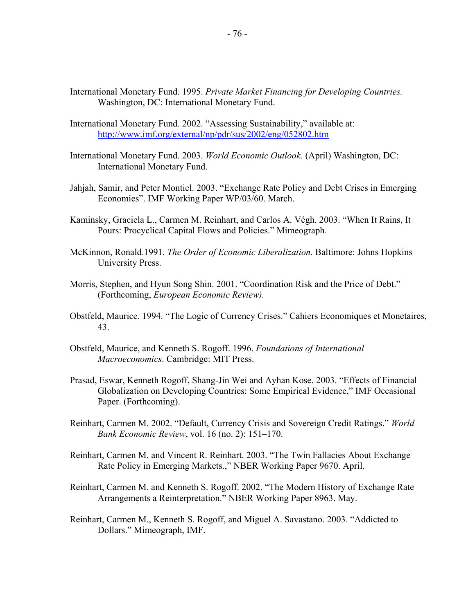- International Monetary Fund. 1995. *Private Market Financing for Developing Countries.*  Washington, DC: International Monetary Fund.
- International Monetary Fund. 2002. "Assessing Sustainability," available at: http://www.imf.org/external/np/pdr/sus/2002/eng/052802.htm
- International Monetary Fund. 2003. *World Economic Outlook.* (April) Washington, DC: International Monetary Fund.
- Jahjah, Samir, and Peter Montiel. 2003. "Exchange Rate Policy and Debt Crises in Emerging Economies". IMF Working Paper WP/03/60. March.
- Kaminsky, Graciela L., Carmen M. Reinhart, and Carlos A. Végh. 2003. "When It Rains, It Pours: Procyclical Capital Flows and Policies." Mimeograph.
- McKinnon, Ronald.1991. *The Order of Economic Liberalization.* Baltimore: Johns Hopkins University Press.
- Morris, Stephen, and Hyun Song Shin. 2001. "Coordination Risk and the Price of Debt." (Forthcoming, *European Economic Review).*
- Obstfeld, Maurice. 1994. "The Logic of Currency Crises." Cahiers Economiques et Monetaires, 43.
- Obstfeld, Maurice, and Kenneth S. Rogoff. 1996. *Foundations of International Macroeconomics*. Cambridge: MIT Press.
- Prasad, Eswar, Kenneth Rogoff, Shang-Jin Wei and Ayhan Kose. 2003. "Effects of Financial Globalization on Developing Countries: Some Empirical Evidence," IMF Occasional Paper. (Forthcoming).
- Reinhart, Carmen M. 2002. "Default, Currency Crisis and Sovereign Credit Ratings." *World Bank Economic Review*, vol. 16 (no. 2): 151–170.
- Reinhart, Carmen M. and Vincent R. Reinhart. 2003. "The Twin Fallacies About Exchange Rate Policy in Emerging Markets.," NBER Working Paper 9670. April.
- Reinhart, Carmen M. and Kenneth S. Rogoff. 2002. "The Modern History of Exchange Rate Arrangements a Reinterpretation." NBER Working Paper 8963. May.
- Reinhart, Carmen M., Kenneth S. Rogoff, and Miguel A. Savastano. 2003. "Addicted to Dollars." Mimeograph, IMF.